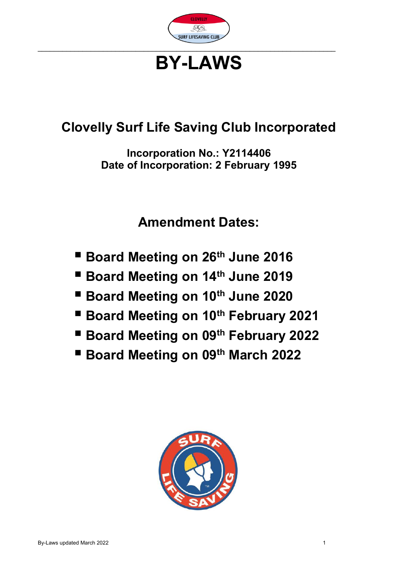

# **BY-LAWS**

## **Clovelly Surf Life Saving Club Incorporated**

**Incorporation No.: Y2114406 Date of Incorporation: 2 February 1995**

**Amendment Dates:**

- **Board Meeting on 26th June 2016**
- **Board Meeting on 14th June 2019**
- Board Meeting on 10<sup>th</sup> June 2020
- Board Meeting on 10<sup>th</sup> February 2021
- **Board Meeting on 09th February 2022**
- **Board Meeting on 09th March 2022**

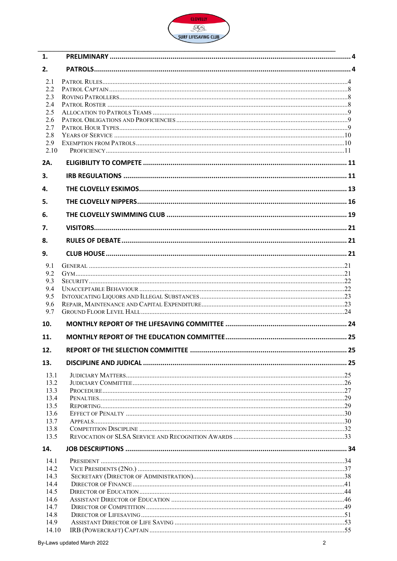

| 1.           |  |
|--------------|--|
| 2.           |  |
| 2.1          |  |
| 2.2          |  |
| 2.3          |  |
| 2.4<br>2.5   |  |
| 2.6          |  |
| 2.7          |  |
| 2.8          |  |
| 2.9          |  |
| 2.10         |  |
| 2A.          |  |
| 3.           |  |
| 4.           |  |
| 5.           |  |
| 6.           |  |
| 7.           |  |
| 8.           |  |
| 9.           |  |
| 9.1          |  |
| 9.2          |  |
| 9.3<br>9.4   |  |
| 9.5          |  |
| 9.6          |  |
| 9.7          |  |
| 10.          |  |
| 11.          |  |
| 12.          |  |
| 13.          |  |
| 13.1         |  |
| 13.2<br>13.3 |  |
| 13.4         |  |
| 13.5         |  |
| 13.6         |  |
| 13.7         |  |
| 13.8         |  |
| 13.5<br>14.  |  |
|              |  |
| 14.1<br>14.2 |  |
| 14.3         |  |
| 14.4         |  |
| 14.5         |  |
| 14.6         |  |
| 14.7         |  |
| 14.8<br>14.9 |  |
| 14.10        |  |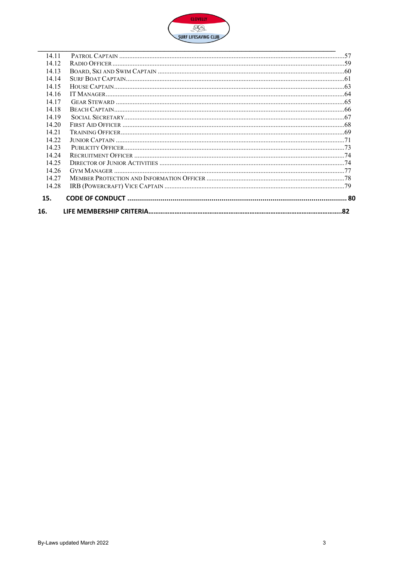

| 16.            | .82 |
|----------------|-----|
| 15.            |     |
| 14.28          |     |
| 14.27          |     |
| 14.26          |     |
| 14.25          |     |
| 14.24          |     |
| 14.23          |     |
| 14 22          |     |
| 14 21          |     |
| 14.20          |     |
| 14 19          |     |
| 14.18          |     |
| 14.16<br>14.17 |     |
| 14 15          |     |
| 14.14          |     |
| 14.13          |     |
| 14.12          |     |
| 14.11          |     |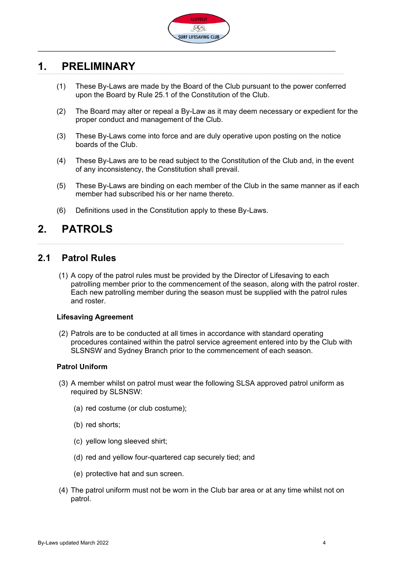

#### **1. PRELIMINARY**

- (1) These By-Laws are made by the Board of the Club pursuant to the power conferred upon the Board by Rule 25.1 of the Constitution of the Club.
- (2) The Board may alter or repeal a By-Law as it may deem necessary or expedient for the proper conduct and management of the Club.
- (3) These By-Laws come into force and are duly operative upon posting on the notice boards of the Club.
- (4) These By-Laws are to be read subject to the Constitution of the Club and, in the event of any inconsistency, the Constitution shall prevail.
- (5) These By-Laws are binding on each member of the Club in the same manner as if each member had subscribed his or her name thereto.
- (6) Definitions used in the Constitution apply to these By-Laws.

## **2. PATROLS**

## **2.1 Patrol Rules**

(1) A copy of the patrol rules must be provided by the Director of Lifesaving to each patrolling member prior to the commencement of the season, along with the patrol roster. Each new patrolling member during the season must be supplied with the patrol rules and roster.

#### **Lifesaving Agreement**

(2) Patrols are to be conducted at all times in accordance with standard operating procedures contained within the patrol service agreement entered into by the Club with SLSNSW and Sydney Branch prior to the commencement of each season.

#### **Patrol Uniform**

- (3) A member whilst on patrol must wear the following SLSA approved patrol uniform as required by SLSNSW:
	- (a) red costume (or club costume);
	- (b) red shorts;
	- (c) yellow long sleeved shirt;
	- (d) red and yellow four-quartered cap securely tied; and
	- (e) protective hat and sun screen.
- (4) The patrol uniform must not be worn in the Club bar area or at any time whilst not on patrol.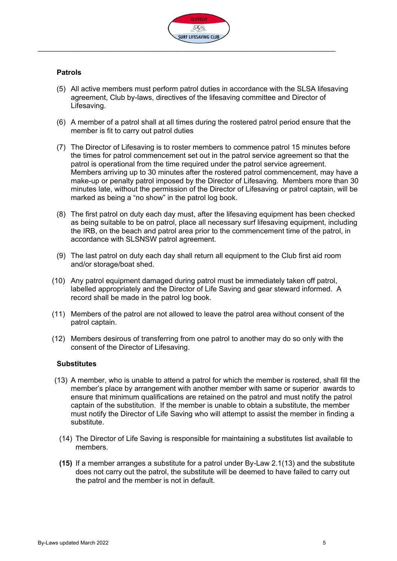

#### **Patrols**

- (5) All active members must perform patrol duties in accordance with the SLSA lifesaving agreement, Club by-laws, directives of the lifesaving committee and Director of Lifesaving.
- (6) A member of a patrol shall at all times during the rostered patrol period ensure that the member is fit to carry out patrol duties
- (7) The Director of Lifesaving is to roster members to commence patrol 15 minutes before the times for patrol commencement set out in the patrol service agreement so that the patrol is operational from the time required under the patrol service agreement. Members arriving up to 30 minutes after the rostered patrol commencement, may have a make-up or penalty patrol imposed by the Director of Lifesaving. Members more than 30 minutes late, without the permission of the Director of Lifesaving or patrol captain, will be marked as being a "no show" in the patrol log book.
- (8) The first patrol on duty each day must, after the lifesaving equipment has been checked as being suitable to be on patrol, place all necessary surf lifesaving equipment, including the IRB, on the beach and patrol area prior to the commencement time of the patrol, in accordance with SLSNSW patrol agreement.
- (9) The last patrol on duty each day shall return all equipment to the Club first aid room and/or storage/boat shed.
- (10) Any patrol equipment damaged during patrol must be immediately taken off patrol, labelled appropriately and the Director of Life Saving and gear steward informed. A record shall be made in the patrol log book.
- (11) Members of the patrol are not allowed to leave the patrol area without consent of the patrol captain.
- (12) Members desirous of transferring from one patrol to another may do so only with the consent of the Director of Lifesaving.

#### **Substitutes**

- (13) A member, who is unable to attend a patrol for which the member is rostered, shall fill the member's place by arrangement with another member with same or superior awards to ensure that minimum qualifications are retained on the patrol and must notify the patrol captain of the substitution. If the member is unable to obtain a substitute, the member must notify the Director of Life Saving who will attempt to assist the member in finding a substitute.
	- (14) The Director of Life Saving is responsible for maintaining a substitutes list available to members.
	- **(15)** If a member arranges a substitute for a patrol under By-Law 2.1(13) and the substitute does not carry out the patrol, the substitute will be deemed to have failed to carry out the patrol and the member is not in default.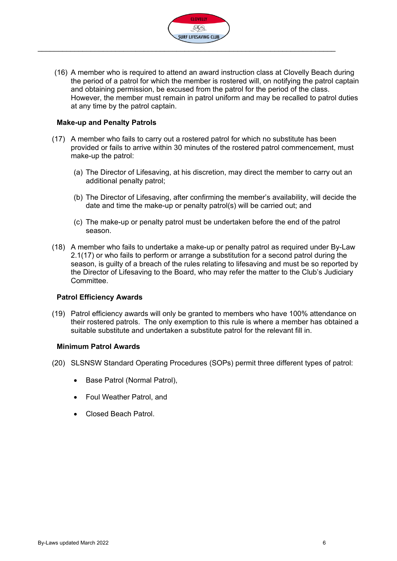

(16) A member who is required to attend an award instruction class at Clovelly Beach during the period of a patrol for which the member is rostered will, on notifying the patrol captain and obtaining permission, be excused from the patrol for the period of the class. However, the member must remain in patrol uniform and may be recalled to patrol duties at any time by the patrol captain.

#### **Make-up and Penalty Patrols**

- (17) A member who fails to carry out a rostered patrol for which no substitute has been provided or fails to arrive within 30 minutes of the rostered patrol commencement, must make-up the patrol:
	- (a) The Director of Lifesaving, at his discretion, may direct the member to carry out an additional penalty patrol;
	- (b) The Director of Lifesaving, after confirming the member's availability, will decide the date and time the make-up or penalty patrol(s) will be carried out; and
	- (c) The make-up or penalty patrol must be undertaken before the end of the patrol season.
- (18) A member who fails to undertake a make-up or penalty patrol as required under By-Law 2.1(17) or who fails to perform or arrange a substitution for a second patrol during the season, is guilty of a breach of the rules relating to lifesaving and must be so reported by the Director of Lifesaving to the Board, who may refer the matter to the Club's Judiciary Committee.

#### **Patrol Efficiency Awards**

(19) Patrol efficiency awards will only be granted to members who have 100% attendance on their rostered patrols. The only exemption to this rule is where a member has obtained a suitable substitute and undertaken a substitute patrol for the relevant fill in.

#### **Minimum Patrol Awards**

- (20) SLSNSW Standard Operating Procedures (SOPs) permit three different types of patrol:
	- Base Patrol (Normal Patrol),
	- Foul Weather Patrol, and
	- Closed Beach Patrol.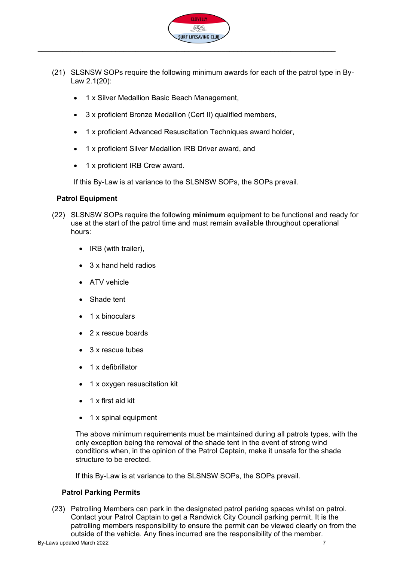

- (21) SLSNSW SOPs require the following minimum awards for each of the patrol type in By-Law 2.1(20):
	- x 1 x Silver Medallion Basic Beach Management,
	- 3 x proficient Bronze Medallion (Cert II) qualified members,
	- 1 x proficient Advanced Resuscitation Techniques award holder,
	- 1 x proficient Silver Medallion IRB Driver award, and
	- x 1 x proficient IRB Crew award.

If this By-Law is at variance to the SLSNSW SOPs, the SOPs prevail.

#### **Patrol Equipment**

- (22) SLSNSW SOPs require the following **minimum** equipment to be functional and ready for use at the start of the patrol time and must remain available throughout operational hours:
	- $\bullet$  IRB (with trailer),
	- $\bullet$  3 x hand held radios
	- ATV vehicle
	- Shade tent
	- x 1 x binoculars
	- $\bullet$  2 x rescue boards
	- $\bullet$  3 x rescue tubes
	- $\bullet$  1 x defibrillator
	- 1 x oxygen resuscitation kit
	- $\bullet$  1 x first aid kit
	- $\bullet$  1 x spinal equipment

The above minimum requirements must be maintained during all patrols types, with the only exception being the removal of the shade tent in the event of strong wind conditions when, in the opinion of the Patrol Captain, make it unsafe for the shade structure to be erected.

If this By-Law is at variance to the SLSNSW SOPs, the SOPs prevail.

#### **Patrol Parking Permits**

(23) Patrolling Members can park in the designated patrol parking spaces whilst on patrol. Contact your Patrol Captain to get a Randwick City Council parking permit. It is the patrolling members responsibility to ensure the permit can be viewed clearly on from the outside of the vehicle. Any fines incurred are the responsibility of the member.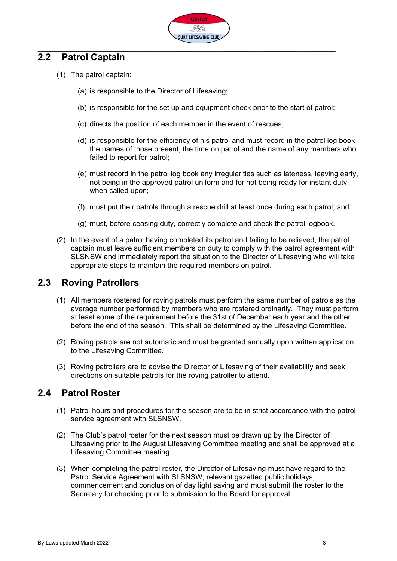

## **2.2 Patrol Captain**

- (1) The patrol captain:
	- (a) is responsible to the Director of Lifesaving;
	- (b) is responsible for the set up and equipment check prior to the start of patrol;
	- (c) directs the position of each member in the event of rescues;
	- (d) is responsible for the efficiency of his patrol and must record in the patrol log book the names of those present, the time on patrol and the name of any members who failed to report for patrol;
	- (e) must record in the patrol log book any irregularities such as lateness, leaving early, not being in the approved patrol uniform and for not being ready for instant duty when called upon;
	- (f) must put their patrols through a rescue drill at least once during each patrol; and
	- (g) must, before ceasing duty, correctly complete and check the patrol logbook.
- (2) In the event of a patrol having completed its patrol and failing to be relieved, the patrol captain must leave sufficient members on duty to comply with the patrol agreement with SLSNSW and immediately report the situation to the Director of Lifesaving who will take appropriate steps to maintain the required members on patrol.

## **2.3 Roving Patrollers**

- (1) All members rostered for roving patrols must perform the same number of patrols as the average number performed by members who are rostered ordinarily. They must perform at least some of the requirement before the 31st of December each year and the other before the end of the season. This shall be determined by the Lifesaving Committee.
- (2) Roving patrols are not automatic and must be granted annually upon written application to the Lifesaving Committee.
- (3) Roving patrollers are to advise the Director of Lifesaving of their availability and seek directions on suitable patrols for the roving patroller to attend.

## **2.4 Patrol Roster**

- (1) Patrol hours and procedures for the season are to be in strict accordance with the patrol service agreement with SLSNSW.
- (2) The Club's patrol roster for the next season must be drawn up by the Director of Lifesaving prior to the August Lifesaving Committee meeting and shall be approved at a Lifesaving Committee meeting.
- (3) When completing the patrol roster, the Director of Lifesaving must have regard to the Patrol Service Agreement with SLSNSW, relevant gazetted public holidays, commencement and conclusion of day light saving and must submit the roster to the Secretary for checking prior to submission to the Board for approval.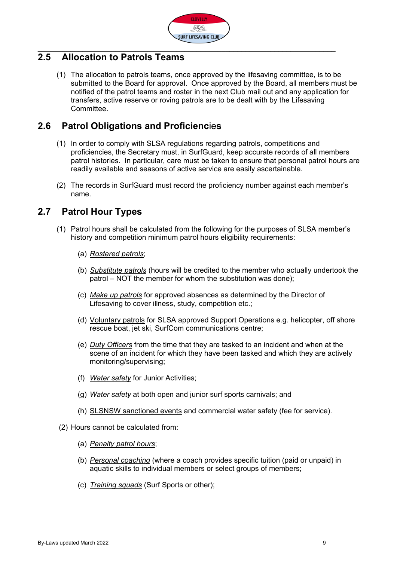

## **2.5 Allocation to Patrols Teams**

(1) The allocation to patrols teams, once approved by the lifesaving committee, is to be submitted to the Board for approval. Once approved by the Board, all members must be notified of the patrol teams and roster in the next Club mail out and any application for transfers, active reserve or roving patrols are to be dealt with by the Lifesaving Committee.

## **2.6 Patrol Obligations and Proficienc**ie**s**

- (1) In order to comply with SLSA regulations regarding patrols, competitions and proficiencies, the Secretary must, in SurfGuard, keep accurate records of all members patrol histories. In particular, care must be taken to ensure that personal patrol hours are readily available and seasons of active service are easily ascertainable.
- (2) The records in SurfGuard must record the proficiency number against each member's name.

## **2.7 Patrol Hour Types**

- (1) Patrol hours shall be calculated from the following for the purposes of SLSA member's history and competition minimum patrol hours eligibility requirements:
	- (a) *Rostered patrols*;
	- (b) *Substitute patrols* (hours will be credited to the member who actually undertook the patrol – NOT the member for whom the substitution was done);
	- (c) *Make up patrols* for approved absences as determined by the Director of Lifesaving to cover illness, study, competition etc.;
	- (d) Voluntary patrols for SLSA approved Support Operations e.g. helicopter, off shore rescue boat, jet ski, SurfCom communications centre;
	- (e) *Duty Officers* from the time that they are tasked to an incident and when at the scene of an incident for which they have been tasked and which they are actively monitoring/supervising;
	- (f) *Water safety* for Junior Activities;
	- (g) *Water safety* at both open and junior surf sports carnivals; and
	- (h) SLSNSW sanctioned events and commercial water safety (fee for service).
- (2) Hours cannot be calculated from:
	- (a) *Penalty patrol hours*;
	- (b) *Personal coaching* (where a coach provides specific tuition (paid or unpaid) in aquatic skills to individual members or select groups of members;
	- (c) *Training squads* (Surf Sports or other);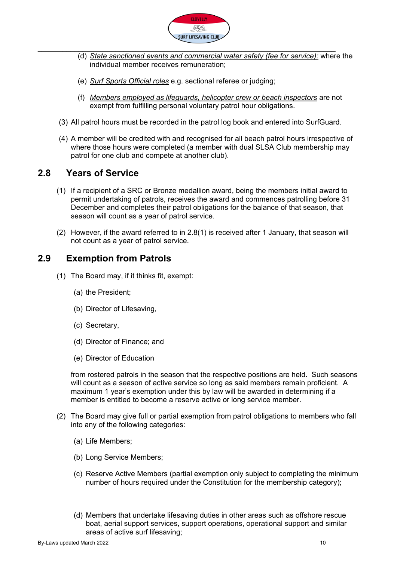

- \_\_\_\_\_\_\_\_\_\_\_\_\_\_\_\_\_\_\_\_\_\_\_\_\_\_\_\_\_\_\_\_\_\_\_\_\_\_\_\_\_\_\_\_\_\_\_\_\_\_\_\_\_\_\_\_\_\_\_\_\_\_\_\_\_\_\_\_\_\_\_\_\_ (d) *State sanctioned events and commercial water safety (fee for service):* where the individual member receives remuneration;
	- (e) *Surf Sports Official roles* e.g. sectional referee or judging;
	- (f) *Members employed as lifeguards, helicopter crew or beach inspectors* are not exempt from fulfilling personal voluntary patrol hour obligations.
	- (3) All patrol hours must be recorded in the patrol log book and entered into SurfGuard.
	- (4) A member will be credited with and recognised for all beach patrol hours irrespective of where those hours were completed (a member with dual SLSA Club membership may patrol for one club and compete at another club).

## **2.8 Years of Service**

- (1) If a recipient of a SRC or Bronze medallion award, being the members initial award to permit undertaking of patrols, receives the award and commences patrolling before 31 December and completes their patrol obligations for the balance of that season, that season will count as a year of patrol service.
- (2) However, if the award referred to in 2.8(1) is received after 1 January, that season will not count as a year of patrol service.

## **2.9 Exemption from Patrols**

- (1) The Board may, if it thinks fit, exempt:
	- (a) the President;
	- (b) Director of Lifesaving,
	- (c) Secretary,
	- (d) Director of Finance; and
	- (e) Director of Education

from rostered patrols in the season that the respective positions are held. Such seasons will count as a season of active service so long as said members remain proficient. A maximum 1 year's exemption under this by law will be awarded in determining if a member is entitled to become a reserve active or long service member.

- (2) The Board may give full or partial exemption from patrol obligations to members who fall into any of the following categories:
	- (a) Life Members;
	- (b) Long Service Members;
	- (c) Reserve Active Members (partial exemption only subject to completing the minimum number of hours required under the Constitution for the membership category);
	- (d) Members that undertake lifesaving duties in other areas such as offshore rescue boat, aerial support services, support operations, operational support and similar areas of active surf lifesaving;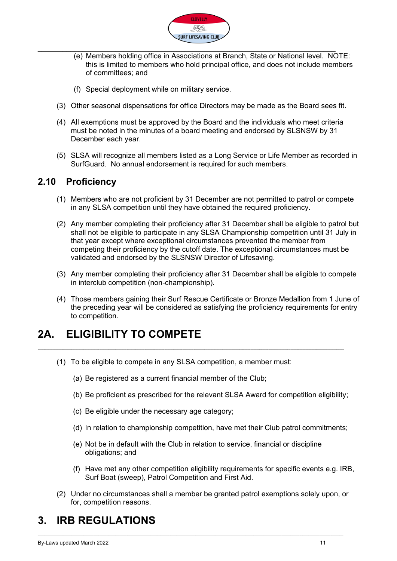

- \_\_\_\_\_\_\_\_\_\_\_\_\_\_\_\_\_\_\_\_\_\_\_\_\_\_\_\_\_\_\_\_\_\_\_\_\_\_\_\_\_\_\_\_\_\_\_\_\_\_\_\_\_\_\_\_\_\_\_\_\_\_\_\_\_\_\_\_\_\_\_\_\_ (e) Members holding office in Associations at Branch, State or National level. NOTE: this is limited to members who hold principal office, and does not include members of committees; and
	- (f) Special deployment while on military service.
	- (3) Other seasonal dispensations for office Directors may be made as the Board sees fit.
	- (4) All exemptions must be approved by the Board and the individuals who meet criteria must be noted in the minutes of a board meeting and endorsed by SLSNSW by 31 December each year.
	- (5) SLSA will recognize all members listed as a Long Service or Life Member as recorded in SurfGuard. No annual endorsement is required for such members.

## **2.10 Proficiency**

- (1) Members who are not proficient by 31 December are not permitted to patrol or compete in any SLSA competition until they have obtained the required proficiency.
- (2) Any member completing their proficiency after 31 December shall be eligible to patrol but shall not be eligible to participate in any SLSA Championship competition until 31 July in that year except where exceptional circumstances prevented the member from competing their proficiency by the cutoff date. The exceptional circumstances must be validated and endorsed by the SLSNSW Director of Lifesaving.
- (3) Any member completing their proficiency after 31 December shall be eligible to compete in interclub competition (non-championship).
- (4) Those members gaining their Surf Rescue Certificate or Bronze Medallion from 1 June of the preceding year will be considered as satisfying the proficiency requirements for entry to competition.

## **2A. ELIGIBILITY TO COMPETE**

(1) To be eligible to compete in any SLSA competition, a member must:

**\_\_\_\_\_\_\_\_\_\_\_\_\_\_\_\_\_\_\_\_\_\_\_\_\_\_\_\_\_\_\_\_\_\_\_\_\_\_\_\_\_\_\_\_\_\_\_\_\_\_\_\_\_\_\_\_\_\_\_\_\_\_\_\_\_\_\_\_\_\_\_\_\_\_\_\_\_\_\_\_\_\_\_\_\_\_\_\_\_\_\_\_\_\_\_\_\_\_\_\_\_\_\_\_\_\_\_\_\_\_\_\_\_\_\_\_\_\_\_\_\_\_\_\_\_\_\_\_\_\_\_\_\_\_\_\_\_\_\_\_\_\_\_\_\_\_\_\_\_\_\_\_\_\_\_\_\_\_\_\_\_\_\_\_\_\_\_\_\_\_\_\_\_\_\_\_\_\_\_\_\_\_\_\_\_\_\_\_\_\_\_\_\_\_\_\_\_\_\_\_\_\_\_\_\_\_\_\_\_\_\_\_\_\_\_\_\_\_\_\_\_\_\_\_\_\_\_\_\_\_\_\_\_\_\_\_\_\_\_\_\_\_\_\_\_\_\_\_\_\_\_\_\_\_\_\_\_\_\_\_\_\_\_\_\_\_\_\_\_\_\_\_\_\_\_\_\_\_\_\_\_\_\_\_\_\_\_\_\_\_\_\_\_\_\_\_\_\_\_\_\_\_\_\_\_\_\_\_\_\_\_\_\_\_\_\_\_\_\_\_\_\_\_\_\_\_\_\_\_\_\_\_\_\_\_\_\_\_\_\_\_\_\_\_\_\_\_\_\_\_\_\_\_\_\_\_\_\_\_\_\_\_\_\_\_\_\_\_\_\_\_\_\_\_\_\_\_\_\_\_\_\_\_\_\_\_\_\_\_\_\_\_\_\_\_\_\_\_\_\_\_\_\_\_\_\_\_\_\_\_\_\_\_**

- (a) Be registered as a current financial member of the Club;
- (b) Be proficient as prescribed for the relevant SLSA Award for competition eligibility;
- (c) Be eligible under the necessary age category;
- (d) In relation to championship competition, have met their Club patrol commitments;
- (e) Not be in default with the Club in relation to service, financial or discipline obligations; and
- (f) Have met any other competition eligibility requirements for specific events e.g. IRB, Surf Boat (sweep), Patrol Competition and First Aid.
- (2) Under no circumstances shall a member be granted patrol exemptions solely upon, or for, competition reasons.

## **3. IRB REGULATIONS**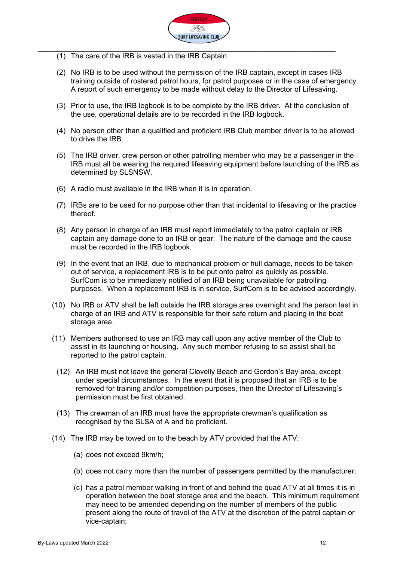

- \_\_\_\_\_\_\_\_\_\_\_\_\_\_\_\_\_\_\_\_\_\_\_\_\_\_\_\_\_\_\_\_\_\_\_\_\_\_\_\_\_\_\_\_\_\_\_\_\_\_\_\_\_\_\_\_\_\_\_\_\_\_\_\_\_\_\_\_\_\_\_\_\_ (1) The care of the IRB is vested in the IRB Captain.
	- (2) No IRB is to be used without the permission of the IRB captain, except in cases IRB training outside of rostered patrol hours, for patrol purposes or in the case of emergency. A report of such emergency to be made without delay to the Director of Lifesaving.
	- (3) Prior to use, the IRB logbook is to be complete by the IRB driver. At the conclusion of the use, operational details are to be recorded in the IRB logbook.
	- (4) No person other than a qualified and proficient IRB Club member driver is to be allowed to drive the IRB.
	- (5) The IRB driver, crew person or other patrolling member who may be a passenger in the IRB must all be wearing the required lifesaving equipment before launching of the IRB as determined by SLSNSW.
	- (6) A radio must available in the IRB when it is in operation.
	- (7) IRBs are to be used for no purpose other than that incidental to lifesaving or the practice thereof.
	- (8) Any person in charge of an IRB must report immediately to the patrol captain or IRB captain any damage done to an IRB or gear. The nature of the damage and the cause must be recorded in the IRB logbook.
	- (9) In the event that an IRB, due to mechanical problem or hull damage, needs to be taken out of service, a replacement IRB is to be put onto patrol as quickly as possible. SurfCom is to be immediately notified of an IRB being unavailable for patrolling purposes. When a replacement IRB is in service, SurfCom is to be advised accordingly.
	- (10) No IRB or ATV shall be left outside the IRB storage area overnight and the person last in charge of an IRB and ATV is responsible for their safe return and placing in the boat storage area.
	- (11) Members authorised to use an IRB may call upon any active member of the Club to assist in its launching or housing. Any such member refusing to so assist shall be reported to the patrol captain.
		- $(12)$  An IRB must not leave the general Clovelly Beach and Gordon's Bay area, except under special circumstances. In the event that it is proposed that an IRB is to be removed for training and/or competition purposes, then the Director of Lifesaving's permission must be first obtained.
		- $(13)$  The crewman of an IRB must have the appropriate crewman's qualification as recognised by the SLSA of A and be proficient.
	- (14) The IRB may be towed on to the beach by ATV provided that the ATV:
		- (a) does not exceed 9km/h;
		- (b) does not carry more than the number of passengers permitted by the manufacturer;
		- (c) has a patrol member walking in front of and behind the quad ATV at all times it is in operation between the boat storage area and the beach. This minimum requirement may need to be amended depending on the number of members of the public present along the route of travel of the ATV at the discretion of the patrol captain or vice-captain;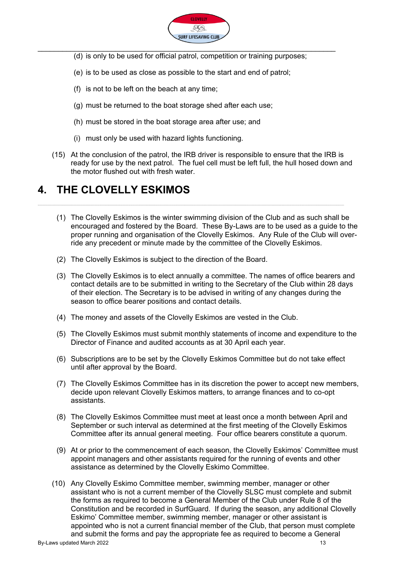

- \_\_\_\_\_\_\_\_\_\_\_\_\_\_\_\_\_\_\_\_\_\_\_\_\_\_\_\_\_\_\_\_\_\_\_\_\_\_\_\_\_\_\_\_\_\_\_\_\_\_\_\_\_\_\_\_\_\_\_\_\_\_\_\_\_\_\_\_\_\_\_\_\_ (d) is only to be used for official patrol, competition or training purposes;
	- (e) is to be used as close as possible to the start and end of patrol;
	- (f) is not to be left on the beach at any time;
	- (g) must be returned to the boat storage shed after each use;
	- (h) must be stored in the boat storage area after use; and
	- (i) must only be used with hazard lights functioning.
	- (15) At the conclusion of the patrol, the IRB driver is responsible to ensure that the IRB is ready for use by the next patrol. The fuel cell must be left full, the hull hosed down and the motor flushed out with fresh water.

## **4. THE CLOVELLY ESKIMOS**

- (1) The Clovelly Eskimos is the winter swimming division of the Club and as such shall be encouraged and fostered by the Board. These By-Laws are to be used as a guide to the proper running and organisation of the Clovelly Eskimos. Any Rule of the Club will override any precedent or minute made by the committee of the Clovelly Eskimos.
- (2) The Clovelly Eskimos is subject to the direction of the Board.
- (3) The Clovelly Eskimos is to elect annually a committee. The names of office bearers and contact details are to be submitted in writing to the Secretary of the Club within 28 days of their election. The Secretary is to be advised in writing of any changes during the season to office bearer positions and contact details.
- (4) The money and assets of the Clovelly Eskimos are vested in the Club.
- (5) The Clovelly Eskimos must submit monthly statements of income and expenditure to the Director of Finance and audited accounts as at 30 April each year.
- (6) Subscriptions are to be set by the Clovelly Eskimos Committee but do not take effect until after approval by the Board.
- (7) The Clovelly Eskimos Committee has in its discretion the power to accept new members, decide upon relevant Clovelly Eskimos matters, to arrange finances and to co-opt assistants.
- (8) The Clovelly Eskimos Committee must meet at least once a month between April and September or such interval as determined at the first meeting of the Clovelly Eskimos Committee after its annual general meeting. Four office bearers constitute a quorum.
- (9) At or prior to the commencement of each season, the Clovelly Eskimos' Committee must appoint managers and other assistants required for the running of events and other assistance as determined by the Clovelly Eskimo Committee.
- (10) Any Clovelly Eskimo Committee member, swimming member, manager or other assistant who is not a current member of the Clovelly SLSC must complete and submit the forms as required to become a General Member of the Club under Rule 8 of the Constitution and be recorded in SurfGuard. If during the season, any additional Clovelly Eskimo' Committee member, swimming member, manager or other assistant is appointed who is not a current financial member of the Club, that person must complete and submit the forms and pay the appropriate fee as required to become a General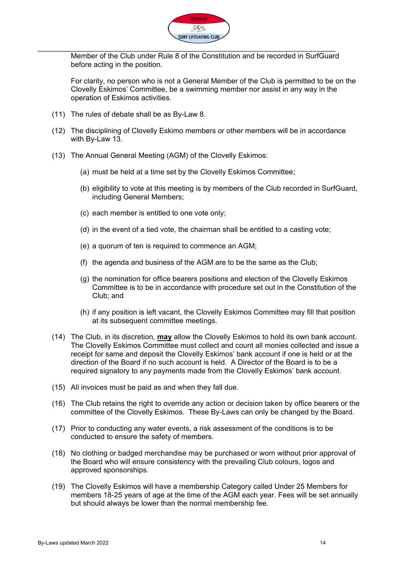

\_\_\_\_\_\_\_\_\_\_\_\_\_\_\_\_\_\_\_\_\_\_\_\_\_\_\_\_\_\_\_\_\_\_\_\_\_\_\_\_\_\_\_\_\_\_\_\_\_\_\_\_\_\_\_\_\_\_\_\_\_\_\_\_\_\_\_\_\_\_\_\_\_ Member of the Club under Rule 8 of the Constitution and be recorded in SurfGuard before acting in the position.

> For clarity, no person who is not a General Member of the Club is permitted to be on the Clovelly Eskimos' Committee, be a swimming member nor assist in any way in the operation of Eskimos activities.

- (11) The rules of debate shall be as By-Law 8.
- (12) The disciplining of Clovelly Eskimo members or other members will be in accordance with By-Law 13.
- (13) The Annual General Meeting (AGM) of the Clovelly Eskimos:
	- (a) must be held at a time set by the Clovelly Eskimos Committee;
	- (b) eligibility to vote at this meeting is by members of the Club recorded in SurfGuard, including General Members;
	- (c) each member is entitled to one vote only;
	- (d) in the event of a tied vote, the chairman shall be entitled to a casting vote;
	- (e) a quorum of ten is required to commence an AGM;
	- (f) the agenda and business of the AGM are to be the same as the Club;
	- (g) the nomination for office bearers positions and election of the Clovelly Eskimos Committee is to be in accordance with procedure set out in the Constitution of the Club; and
	- (h) if any position is left vacant, the Clovelly Eskimos Committee may fill that position at its subsequent committee meetings.
- (14) The Club, in its discretion, **may** allow the Clovelly Eskimos to hold its own bank account. The Clovelly Eskimos Committee must collect and count all monies collected and issue a receipt for same and deposit the Clovelly Eskimos' bank account if one is held or at the direction of the Board if no such account is held. A Director of the Board is to be a required signatory to any payments made from the Clovelly Eskimos' bank account.
- (15) All invoices must be paid as and when they fall due.
- (16) The Club retains the right to override any action or decision taken by office bearers or the committee of the Clovelly Eskimos. These By-Laws can only be changed by the Board.
- (17) Prior to conducting any water events, a risk assessment of the conditions is to be conducted to ensure the safety of members.
- (18) No clothing or badged merchandise may be purchased or worn without prior approval of the Board who will ensure consistency with the prevailing Club colours, logos and approved sponsorships.
- (19) The Clovelly Eskimos will have a membership Category called Under 25 Members for members 18-25 years of age at the time of the AGM each year. Fees will be set annually but should always be lower than the normal membership fee.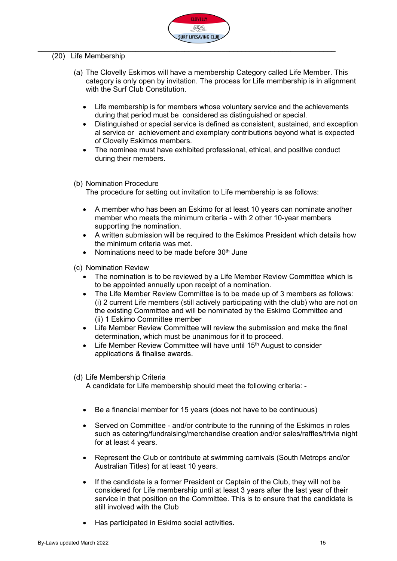

### (20) Life Membership

- (a) The Clovelly Eskimos will have a membership Category called Life Member. This category is only open by invitation. The process for Life membership is in alignment with the Surf Club Constitution.
	- Life membership is for members whose voluntary service and the achievements during that period must be considered as distinguished or special.
	- Distinguished or special service is defined as consistent, sustained, and exception al service or achievement and exemplary contributions beyond what is expected of Clovelly Eskimos members.
	- The nominee must have exhibited professional, ethical, and positive conduct during their members.

### (b) Nomination Procedure

The procedure for setting out invitation to Life membership is as follows:

- A member who has been an Eskimo for at least 10 years can nominate another member who meets the minimum criteria - with 2 other 10-year members supporting the nomination.
- x A written submission will be required to the Eskimos President which details how the minimum criteria was met.
- Nominations need to be made before  $30<sup>th</sup>$  June

(c) Nomination Review

- The nomination is to be reviewed by a Life Member Review Committee which is to be appointed annually upon receipt of a nomination.
- The Life Member Review Committee is to be made up of 3 members as follows: (i) 2 current Life members (still actively participating with the club) who are not on the existing Committee and will be nominated by the Eskimo Committee and (ii) 1 Eskimo Committee member
- Life Member Review Committee will review the submission and make the final determination, which must be unanimous for it to proceed.
- $\bullet$  Life Member Review Committee will have until 15<sup>th</sup> August to consider applications & finalise awards.

(d) Life Membership Criteria

A candidate for Life membership should meet the following criteria: -

- Be a financial member for 15 years (does not have to be continuous)
- Served on Committee and/or contribute to the running of the Eskimos in roles such as catering/fundraising/merchandise creation and/or sales/raffles/trivia night for at least 4 years.
- x Represent the Club or contribute at swimming carnivals (South Metrops and/or Australian Titles) for at least 10 years.
- If the candidate is a former President or Captain of the Club, they will not be considered for Life membership until at least 3 years after the last year of their service in that position on the Committee. This is to ensure that the candidate is still involved with the Club
- Has participated in Eskimo social activities.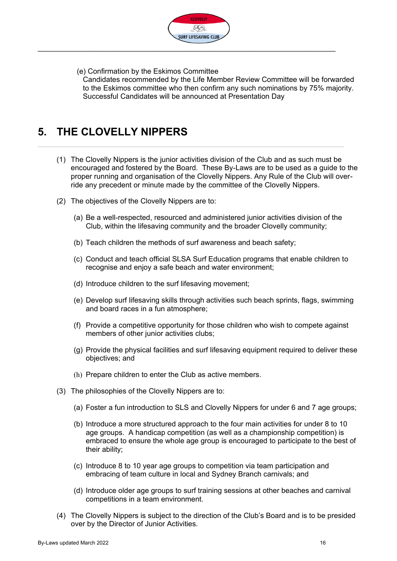

(e) Confirmation by the Eskimos Committee

 Candidates recommended by the Life Member Review Committee will be forwarded to the Eskimos committee who then confirm any such nominations by 75% majority. Successful Candidates will be announced at Presentation Day

## **5. THE CLOVELLY NIPPERS**

(1) The Clovelly Nippers is the junior activities division of the Club and as such must be encouraged and fostered by the Board. These By-Laws are to be used as a guide to the proper running and organisation of the Clovelly Nippers. Any Rule of the Club will override any precedent or minute made by the committee of the Clovelly Nippers.

**\_\_\_\_\_\_\_\_\_\_\_\_\_\_\_\_\_\_\_\_\_\_\_\_\_\_\_\_\_\_\_\_\_\_\_\_\_\_\_\_\_\_\_\_\_\_\_\_\_\_\_\_\_\_\_\_\_\_\_\_\_\_\_\_\_\_\_\_\_\_\_\_\_\_\_\_\_\_\_\_\_\_\_\_\_\_\_\_\_\_\_\_\_\_\_\_\_\_\_\_\_\_\_\_\_\_\_\_\_\_\_\_\_\_\_\_\_\_\_\_\_\_\_\_\_\_\_\_\_\_\_\_\_\_\_\_\_\_\_\_\_\_\_\_\_\_\_\_\_\_\_\_\_\_\_\_\_\_\_\_\_\_\_\_\_\_\_\_\_\_\_\_\_\_\_\_\_\_\_\_\_\_\_\_\_\_\_\_\_\_\_\_\_\_\_\_\_\_\_\_\_\_\_\_\_\_\_\_\_\_\_\_\_\_\_\_\_\_\_\_\_\_\_\_\_\_\_\_\_\_\_\_\_\_\_\_\_\_\_\_\_\_\_\_\_\_\_\_\_\_\_\_\_\_\_\_\_\_\_\_\_\_\_\_\_\_\_\_\_\_\_\_\_\_\_\_\_\_\_\_\_\_\_\_\_\_\_\_\_\_\_\_\_\_\_\_\_\_\_\_\_\_\_\_\_\_\_\_\_\_\_\_\_\_\_\_\_\_\_\_\_\_\_\_\_\_\_\_\_\_\_\_\_\_\_\_\_\_\_\_\_\_\_\_\_\_\_\_\_\_\_\_\_\_\_\_\_\_\_\_\_\_\_\_\_\_\_\_\_\_\_\_\_\_\_\_\_\_\_\_\_\_\_\_\_\_\_\_\_\_\_\_\_\_\_\_\_\_\_\_\_\_\_\_\_\_\_\_\_\_\_\_\_**

- (2) The objectives of the Clovelly Nippers are to:
	- (a) Be a well-respected, resourced and administered junior activities division of the Club, within the lifesaving community and the broader Clovelly community;
	- (b) Teach children the methods of surf awareness and beach safety;
	- (c) Conduct and teach official SLSA Surf Education programs that enable children to recognise and enjoy a safe beach and water environment:
	- (d) Introduce children to the surf lifesaving movement;
	- (e) Develop surf lifesaving skills through activities such beach sprints, flags, swimming and board races in a fun atmosphere;
	- (f) Provide a competitive opportunity for those children who wish to compete against members of other junior activities clubs;
	- (g) Provide the physical facilities and surf lifesaving equipment required to deliver these objectives; and
	- (h) Prepare children to enter the Club as active members.
- (3) The philosophies of the Clovelly Nippers are to:
	- (a) Foster a fun introduction to SLS and Clovelly Nippers for under 6 and 7 age groups;
	- (b) Introduce a more structured approach to the four main activities for under 8 to 10 age groups. A handicap competition (as well as a championship competition) is embraced to ensure the whole age group is encouraged to participate to the best of their ability;
	- (c) Introduce 8 to 10 year age groups to competition via team participation and embracing of team culture in local and Sydney Branch carnivals; and
	- (d) Introduce older age groups to surf training sessions at other beaches and carnival competitions in a team environment.
- (4) The Clovelly Nippers is subject to the direction of the Club's Board and is to be presided over by the Director of Junior Activities.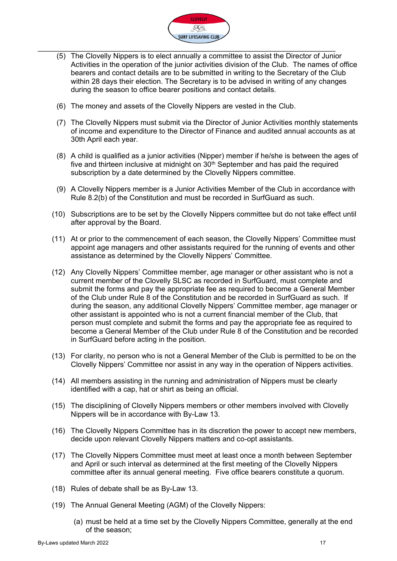

- \_\_\_\_\_\_\_\_\_\_\_\_\_\_\_\_\_\_\_\_\_\_\_\_\_\_\_\_\_\_\_\_\_\_\_\_\_\_\_\_\_\_\_\_\_\_\_\_\_\_\_\_\_\_\_\_\_\_\_\_\_\_\_\_\_\_\_\_\_\_\_\_\_ (5) The Clovelly Nippers is to elect annually a committee to assist the Director of Junior Activities in the operation of the junior activities division of the Club. The names of office bearers and contact details are to be submitted in writing to the Secretary of the Club within 28 days their election. The Secretary is to be advised in writing of any changes during the season to office bearer positions and contact details.
	- (6) The money and assets of the Clovelly Nippers are vested in the Club.
	- (7) The Clovelly Nippers must submit via the Director of Junior Activities monthly statements of income and expenditure to the Director of Finance and audited annual accounts as at 30th April each year.
	- (8) A child is qualified as a junior activities (Nipper) member if he/she is between the ages of five and thirteen inclusive at midnight on 30<sup>th</sup> September and has paid the required subscription by a date determined by the Clovelly Nippers committee.
	- (9) A Clovelly Nippers member is a Junior Activities Member of the Club in accordance with Rule 8.2(b) of the Constitution and must be recorded in SurfGuard as such.
	- (10) Subscriptions are to be set by the Clovelly Nippers committee but do not take effect until after approval by the Board.
	- (11) At or prior to the commencement of each season, the Clovelly Nippers' Committee must appoint age managers and other assistants required for the running of events and other assistance as determined by the Clovelly Nippers' Committee.
	- (12) Any Clovelly Nippers' Committee member, age manager or other assistant who is not a current member of the Clovelly SLSC as recorded in SurfGuard, must complete and submit the forms and pay the appropriate fee as required to become a General Member of the Club under Rule 8 of the Constitution and be recorded in SurfGuard as such. If during the season, any additional Clovelly Nippers' Committee member, age manager or other assistant is appointed who is not a current financial member of the Club, that person must complete and submit the forms and pay the appropriate fee as required to become a General Member of the Club under Rule 8 of the Constitution and be recorded in SurfGuard before acting in the position.
	- (13) For clarity, no person who is not a General Member of the Club is permitted to be on the Clovelly Nippers' Committee nor assist in any way in the operation of Nippers activities.
	- (14) All members assisting in the running and administration of Nippers must be clearly identified with a cap, hat or shirt as being an official.
	- (15) The disciplining of Clovelly Nippers members or other members involved with Clovelly Nippers will be in accordance with By-Law 13.
	- (16) The Clovelly Nippers Committee has in its discretion the power to accept new members, decide upon relevant Clovelly Nippers matters and co-opt assistants.
	- (17) The Clovelly Nippers Committee must meet at least once a month between September and April or such interval as determined at the first meeting of the Clovelly Nippers committee after its annual general meeting. Five office bearers constitute a quorum.
	- (18) Rules of debate shall be as By-Law 13.
	- (19) The Annual General Meeting (AGM) of the Clovelly Nippers:
		- (a) must be held at a time set by the Clovelly Nippers Committee, generally at the end of the season;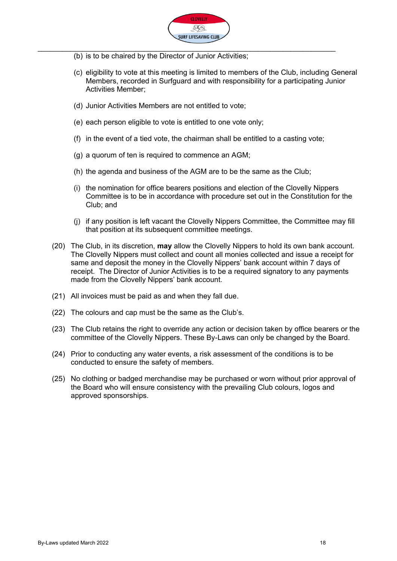

- \_\_\_\_\_\_\_\_\_\_\_\_\_\_\_\_\_\_\_\_\_\_\_\_\_\_\_\_\_\_\_\_\_\_\_\_\_\_\_\_\_\_\_\_\_\_\_\_\_\_\_\_\_\_\_\_\_\_\_\_\_\_\_\_\_\_\_\_\_\_\_\_\_ (b) is to be chaired by the Director of Junior Activities;
	- (c) eligibility to vote at this meeting is limited to members of the Club, including General Members, recorded in Surfguard and with responsibility for a participating Junior Activities Member;
	- (d) Junior Activities Members are not entitled to vote;
	- (e) each person eligible to vote is entitled to one vote only;
	- (f) in the event of a tied vote, the chairman shall be entitled to a casting vote;
	- (g) a quorum of ten is required to commence an AGM;
	- (h) the agenda and business of the AGM are to be the same as the Club;
	- (i) the nomination for office bearers positions and election of the Clovelly Nippers Committee is to be in accordance with procedure set out in the Constitution for the Club; and
	- (j) if any position is left vacant the Clovelly Nippers Committee, the Committee may fill that position at its subsequent committee meetings.
	- (20) The Club, in its discretion, **may** allow the Clovelly Nippers to hold its own bank account. The Clovelly Nippers must collect and count all monies collected and issue a receipt for same and deposit the money in the Clovelly Nippers' bank account within 7 days of receipt. The Director of Junior Activities is to be a required signatory to any payments made from the Clovelly Nippers' bank account.
	- (21) All invoices must be paid as and when they fall due.
	- (22) The colours and cap must be the same as the Club's.
	- (23) The Club retains the right to override any action or decision taken by office bearers or the committee of the Clovelly Nippers. These By-Laws can only be changed by the Board.
	- (24) Prior to conducting any water events, a risk assessment of the conditions is to be conducted to ensure the safety of members.
	- (25) No clothing or badged merchandise may be purchased or worn without prior approval of the Board who will ensure consistency with the prevailing Club colours, logos and approved sponsorships.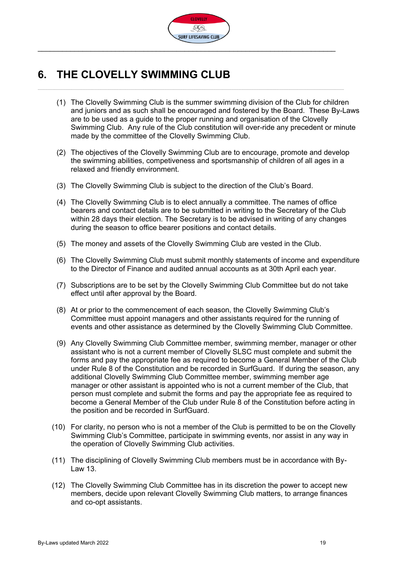

## **6. THE CLOVELLY SWIMMING CLUB**

- (1) The Clovelly Swimming Club is the summer swimming division of the Club for children and juniors and as such shall be encouraged and fostered by the Board. These By-Laws are to be used as a guide to the proper running and organisation of the Clovelly Swimming Club. Any rule of the Club constitution will over-ride any precedent or minute made by the committee of the Clovelly Swimming Club.
- (2) The objectives of the Clovelly Swimming Club are to encourage, promote and develop the swimming abilities, competiveness and sportsmanship of children of all ages in a relaxed and friendly environment.
- (3) The Clovelly Swimming Club is subject to the direction of the Club's Board.
- (4) The Clovelly Swimming Club is to elect annually a committee. The names of office bearers and contact details are to be submitted in writing to the Secretary of the Club within 28 days their election. The Secretary is to be advised in writing of any changes during the season to office bearer positions and contact details.
- (5) The money and assets of the Clovelly Swimming Club are vested in the Club.
- (6) The Clovelly Swimming Club must submit monthly statements of income and expenditure to the Director of Finance and audited annual accounts as at 30th April each year.
- (7) Subscriptions are to be set by the Clovelly Swimming Club Committee but do not take effect until after approval by the Board.
- (8) At or prior to the commencement of each season, the Clovelly Swimming Club's Committee must appoint managers and other assistants required for the running of events and other assistance as determined by the Clovelly Swimming Club Committee.
- (9) Any Clovelly Swimming Club Committee member, swimming member, manager or other assistant who is not a current member of Clovelly SLSC must complete and submit the forms and pay the appropriate fee as required to become a General Member of the Club under Rule 8 of the Constitution and be recorded in SurfGuard. If during the season, any additional Clovelly Swimming Club Committee member, swimming member age manager or other assistant is appointed who is not a current member of the Club, that person must complete and submit the forms and pay the appropriate fee as required to become a General Member of the Club under Rule 8 of the Constitution before acting in the position and be recorded in SurfGuard.
- (10) For clarity, no person who is not a member of the Club is permitted to be on the Clovelly Swimming Club's Committee, participate in swimming events, nor assist in any way in the operation of Clovelly Swimming Club activities.
- (11) The disciplining of Clovelly Swimming Club members must be in accordance with By-Law 13.
- (12) The Clovelly Swimming Club Committee has in its discretion the power to accept new members, decide upon relevant Clovelly Swimming Club matters, to arrange finances and co-opt assistants.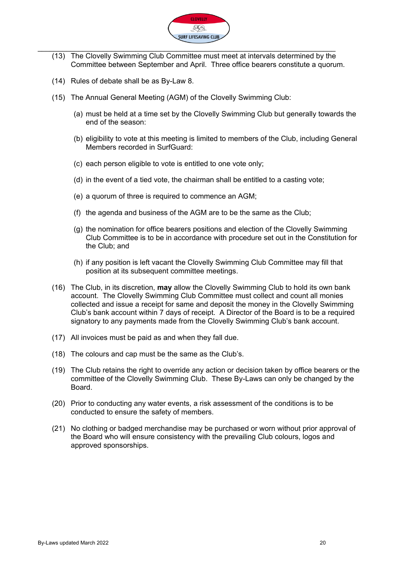

- \_\_\_\_\_\_\_\_\_\_\_\_\_\_\_\_\_\_\_\_\_\_\_\_\_\_\_\_\_\_\_\_\_\_\_\_\_\_\_\_\_\_\_\_\_\_\_\_\_\_\_\_\_\_\_\_\_\_\_\_\_\_\_\_\_\_\_\_\_\_\_\_\_ (13) The Clovelly Swimming Club Committee must meet at intervals determined by the Committee between September and April. Three office bearers constitute a quorum.
	- (14) Rules of debate shall be as By-Law 8.
	- (15) The Annual General Meeting (AGM) of the Clovelly Swimming Club:
		- (a) must be held at a time set by the Clovelly Swimming Club but generally towards the end of the season:
		- (b) eligibility to vote at this meeting is limited to members of the Club, including General Members recorded in SurfGuard:
		- (c) each person eligible to vote is entitled to one vote only;
		- (d) in the event of a tied vote, the chairman shall be entitled to a casting vote;
		- (e) a quorum of three is required to commence an AGM;
		- (f) the agenda and business of the AGM are to be the same as the Club;
		- (g) the nomination for office bearers positions and election of the Clovelly Swimming Club Committee is to be in accordance with procedure set out in the Constitution for the Club; and
		- (h) if any position is left vacant the Clovelly Swimming Club Committee may fill that position at its subsequent committee meetings.
	- (16) The Club, in its discretion, **may** allow the Clovelly Swimming Club to hold its own bank account. The Clovelly Swimming Club Committee must collect and count all monies collected and issue a receipt for same and deposit the money in the Clovelly Swimming Club's bank account within 7 days of receipt. A Director of the Board is to be a required signatory to any payments made from the Clovelly Swimming Club's bank account.
	- (17) All invoices must be paid as and when they fall due.
	- (18) The colours and cap must be the same as the Club's.
	- (19) The Club retains the right to override any action or decision taken by office bearers or the committee of the Clovelly Swimming Club. These By-Laws can only be changed by the Board.
	- (20) Prior to conducting any water events, a risk assessment of the conditions is to be conducted to ensure the safety of members.
	- (21) No clothing or badged merchandise may be purchased or worn without prior approval of the Board who will ensure consistency with the prevailing Club colours, logos and approved sponsorships.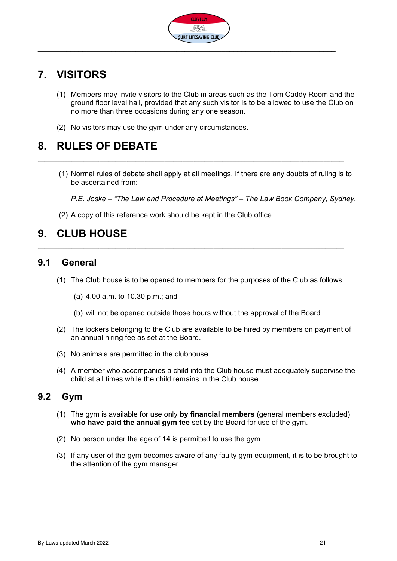

#### **7. VISITORS**

- (1) Members may invite visitors to the Club in areas such as the Tom Caddy Room and the ground floor level hall, provided that any such visitor is to be allowed to use the Club on no more than three occasions during any one season.
- (2) No visitors may use the gym under any circumstances.

## **8. RULES OF DEBATE**

(1) Normal rules of debate shall apply at all meetings. If there are any doubts of ruling is to be ascertained from:

*P.E. Joske - "The Law and Procedure at Meetings" - The Law Book Company, Sydney.* 

(2) A copy of this reference work should be kept in the Club office.

## **9. CLUB HOUSE**

## **9.1 General**

- (1) The Club house is to be opened to members for the purposes of the Club as follows:
	- (a) 4.00 a.m. to 10.30 p.m.; and
	- (b) will not be opened outside those hours without the approval of the Board.
- (2) The lockers belonging to the Club are available to be hired by members on payment of an annual hiring fee as set at the Board.
- (3) No animals are permitted in the clubhouse.
- (4) A member who accompanies a child into the Club house must adequately supervise the child at all times while the child remains in the Club house.

## **9.2 Gym**

- (1) The gym is available for use only **by financial members** (general members excluded) **who have paid the annual gym fee** set by the Board for use of the gym.
- (2) No person under the age of 14 is permitted to use the gym.
- (3) If any user of the gym becomes aware of any faulty gym equipment, it is to be brought to the attention of the gym manager.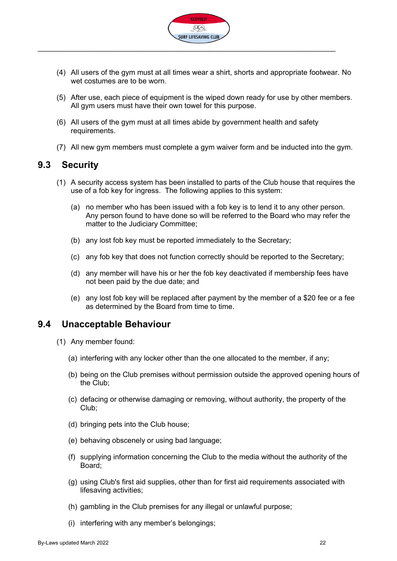

- (4) All users of the gym must at all times wear a shirt, shorts and appropriate footwear. No wet costumes are to be worn.
- (5) After use, each piece of equipment is the wiped down ready for use by other members. All gym users must have their own towel for this purpose.
- (6) All users of the gym must at all times abide by government health and safety requirements.
- (7) All new gym members must complete a gym waiver form and be inducted into the gym.

### **9.3 Security**

- (1) A security access system has been installed to parts of the Club house that requires the use of a fob key for ingress. The following applies to this system:
	- (a) no member who has been issued with a fob key is to lend it to any other person. Any person found to have done so will be referred to the Board who may refer the matter to the Judiciary Committee;
	- (b) any lost fob key must be reported immediately to the Secretary;
	- (c) any fob key that does not function correctly should be reported to the Secretary;
	- (d) any member will have his or her the fob key deactivated if membership fees have not been paid by the due date; and
	- (e) any lost fob key will be replaced after payment by the member of a \$20 fee or a fee as determined by the Board from time to time.

### **9.4 Unacceptable Behaviour**

- (1) Any member found:
	- (a) interfering with any locker other than the one allocated to the member, if any;
	- (b) being on the Club premises without permission outside the approved opening hours of the Club;
	- (c) defacing or otherwise damaging or removing, without authority, the property of the Club;
	- (d) bringing pets into the Club house;
	- (e) behaving obscenely or using bad language;
	- (f) supplying information concerning the Club to the media without the authority of the Board;
	- (g) using Club's first aid supplies, other than for first aid requirements associated with lifesaving activities;
	- (h) gambling in the Club premises for any illegal or unlawful purpose;
	- $(i)$  interfering with any member's belongings;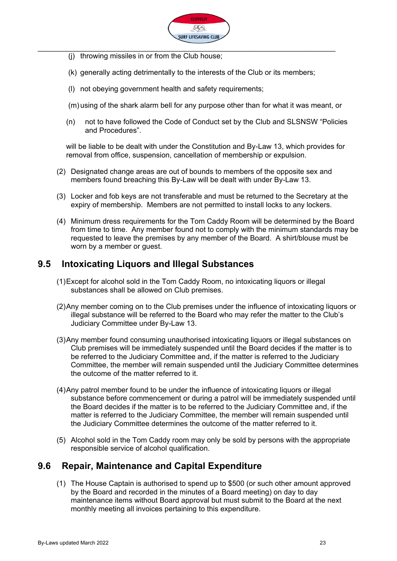

- \_\_\_\_\_\_\_\_\_\_\_\_\_\_\_\_\_\_\_\_\_\_\_\_\_\_\_\_\_\_\_\_\_\_\_\_\_\_\_\_\_\_\_\_\_\_\_\_\_\_\_\_\_\_\_\_\_\_\_\_\_\_\_\_\_\_\_\_\_\_\_\_\_ (j) throwing missiles in or from the Club house;
	- (k) generally acting detrimentally to the interests of the Club or its members;
	- (l) not obeying government health and safety requirements;
	- (m) using of the shark alarm bell for any purpose other than for what it was meant, or
	- (n) not to have followed the Code of Conduct set by the Club and SLSNSW "Policies and Procedures".

will be liable to be dealt with under the Constitution and By-Law 13, which provides for removal from office, suspension, cancellation of membership or expulsion.

- (2) Designated change areas are out of bounds to members of the opposite sex and members found breaching this By-Law will be dealt with under By-Law 13.
- (3) Locker and fob keys are not transferable and must be returned to the Secretary at the expiry of membership. Members are not permitted to install locks to any lockers.
- (4) Minimum dress requirements for the Tom Caddy Room will be determined by the Board from time to time. Any member found not to comply with the minimum standards may be requested to leave the premises by any member of the Board. A shirt/blouse must be worn by a member or guest.

## **9.5 Intoxicating Liquors and Illegal Substances**

- (1)Except for alcohol sold in the Tom Caddy Room, no intoxicating liquors or illegal substances shall be allowed on Club premises.
- (2)Any member coming on to the Club premises under the influence of intoxicating liquors or illegal substance will be referred to the Board who may refer the matter to the Club's Judiciary Committee under By-Law 13.
- (3)Any member found consuming unauthorised intoxicating liquors or illegal substances on Club premises will be immediately suspended until the Board decides if the matter is to be referred to the Judiciary Committee and, if the matter is referred to the Judiciary Committee, the member will remain suspended until the Judiciary Committee determines the outcome of the matter referred to it.
- (4)Any patrol member found to be under the influence of intoxicating liquors or illegal substance before commencement or during a patrol will be immediately suspended until the Board decides if the matter is to be referred to the Judiciary Committee and, if the matter is referred to the Judiciary Committee, the member will remain suspended until the Judiciary Committee determines the outcome of the matter referred to it.
- (5) Alcohol sold in the Tom Caddy room may only be sold by persons with the appropriate responsible service of alcohol qualification.

## **9.6 Repair, Maintenance and Capital Expenditure**

(1) The House Captain is authorised to spend up to \$500 (or such other amount approved by the Board and recorded in the minutes of a Board meeting) on day to day maintenance items without Board approval but must submit to the Board at the next monthly meeting all invoices pertaining to this expenditure.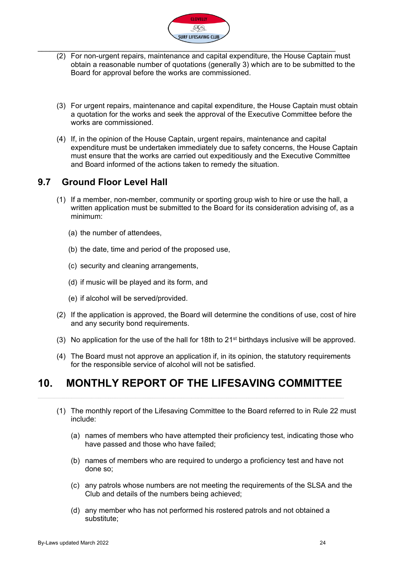

- \_\_\_\_\_\_\_\_\_\_\_\_\_\_\_\_\_\_\_\_\_\_\_\_\_\_\_\_\_\_\_\_\_\_\_\_\_\_\_\_\_\_\_\_\_\_\_\_\_\_\_\_\_\_\_\_\_\_\_\_\_\_\_\_\_\_\_\_\_\_\_\_\_ (2) For non-urgent repairs, maintenance and capital expenditure, the House Captain must obtain a reasonable number of quotations (generally 3) which are to be submitted to the Board for approval before the works are commissioned.
	- (3) For urgent repairs, maintenance and capital expenditure, the House Captain must obtain a quotation for the works and seek the approval of the Executive Committee before the works are commissioned.
	- (4) If, in the opinion of the House Captain, urgent repairs, maintenance and capital expenditure must be undertaken immediately due to safety concerns, the House Captain must ensure that the works are carried out expeditiously and the Executive Committee and Board informed of the actions taken to remedy the situation.

## **9.7 Ground Floor Level Hall**

- (1) If a member, non-member, community or sporting group wish to hire or use the hall, a written application must be submitted to the Board for its consideration advising of, as a minimum:
	- (a) the number of attendees,
	- (b) the date, time and period of the proposed use,
	- (c) security and cleaning arrangements,
	- (d) if music will be played and its form, and
	- (e) if alcohol will be served/provided.
- (2) If the application is approved, the Board will determine the conditions of use, cost of hire and any security bond requirements.
- (3) No application for the use of the hall for 18th to  $21<sup>st</sup>$  birthdays inclusive will be approved.
- (4) The Board must not approve an application if, in its opinion, the statutory requirements for the responsible service of alcohol will not be satisfied.

## **10. MONTHLY REPORT OF THE LIFESAVING COMMITTEE**

\_\_\_\_\_\_\_\_\_\_\_\_\_\_\_\_\_\_\_\_\_\_\_\_\_\_\_\_\_\_\_\_\_\_\_\_\_\_\_\_\_\_\_\_\_\_\_\_\_\_\_\_\_\_\_\_\_\_\_\_\_\_\_\_\_\_\_\_\_\_\_\_\_\_\_\_\_\_\_\_\_\_\_\_\_\_\_\_\_\_\_\_\_\_\_\_\_\_\_\_\_\_\_\_\_\_\_\_\_\_\_\_\_\_\_\_\_\_\_\_\_\_\_\_\_\_\_\_\_\_\_\_\_\_\_\_\_\_\_\_\_\_\_\_\_\_\_\_\_\_\_\_\_\_\_\_\_\_\_\_\_\_\_\_\_\_\_\_\_\_\_\_\_\_\_\_\_\_\_\_\_\_\_\_\_\_\_\_\_\_\_\_\_\_\_\_\_\_\_\_\_\_\_\_\_\_\_\_\_\_\_\_\_\_\_\_\_\_\_\_\_\_\_\_\_\_\_\_\_\_\_\_\_\_\_\_\_\_\_\_\_\_\_\_\_\_\_\_\_\_\_\_\_\_\_\_\_\_\_\_\_\_\_\_\_\_\_\_\_\_\_\_\_\_\_\_\_\_\_\_\_\_\_\_\_\_\_\_\_\_\_\_\_\_\_\_\_\_\_\_\_\_\_\_\_\_\_\_\_\_\_\_\_\_\_\_\_\_\_\_\_\_\_\_\_\_\_\_\_\_\_\_\_\_\_\_\_\_\_\_\_\_\_\_\_\_\_\_\_\_\_\_\_\_\_\_\_\_\_\_\_\_\_\_\_\_\_\_\_\_\_\_\_\_\_\_\_\_\_\_\_\_\_\_\_\_\_\_\_\_\_\_\_\_\_\_\_\_\_\_\_\_\_\_\_\_\_\_\_\_\_\_\_

- (1) The monthly report of the Lifesaving Committee to the Board referred to in Rule 22 must include:
	- (a) names of members who have attempted their proficiency test, indicating those who have passed and those who have failed;
	- (b) names of members who are required to undergo a proficiency test and have not done so;
	- (c) any patrols whose numbers are not meeting the requirements of the SLSA and the Club and details of the numbers being achieved;
	- (d) any member who has not performed his rostered patrols and not obtained a substitute;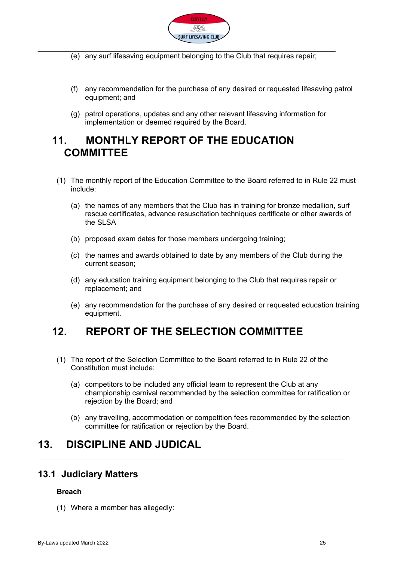

- \_\_\_\_\_\_\_\_\_\_\_\_\_\_\_\_\_\_\_\_\_\_\_\_\_\_\_\_\_\_\_\_\_\_\_\_\_\_\_\_\_\_\_\_\_\_\_\_\_\_\_\_\_\_\_\_\_\_\_\_\_\_\_\_\_\_\_\_\_\_\_\_\_ (e) any surf lifesaving equipment belonging to the Club that requires repair;
	- (f) any recommendation for the purchase of any desired or requested lifesaving patrol equipment; and
	- (g) patrol operations, updates and any other relevant lifesaving information for implementation or deemed required by the Board.

,我们就是一个人的人,我们就是一个人的人,我们就是一个人的人,我们就是一个人的人,我们就是一个人的人,我们就是一个人的人,我们就是一个人的人,我们就是一个人的人,

## **11. MONTHLY REPORT OF THE EDUCATION COMMITTEE**

- (1) The monthly report of the Education Committee to the Board referred to in Rule 22 must include:
	- (a) the names of any members that the Club has in training for bronze medallion, surf rescue certificates, advance resuscitation techniques certificate or other awards of the SLSA
	- (b) proposed exam dates for those members undergoing training;
	- (c) the names and awards obtained to date by any members of the Club during the current season;
	- (d) any education training equipment belonging to the Club that requires repair or replacement; and
	- (e) any recommendation for the purchase of any desired or requested education training equipment.

## **12. REPORT OF THE SELECTION COMMITTEE**

(1) The report of the Selection Committee to the Board referred to in Rule 22 of the Constitution must include:

\_\_\_\_\_\_\_\_\_\_\_\_\_\_\_\_\_\_\_\_\_\_\_\_\_\_\_\_\_\_\_\_\_\_\_\_\_\_\_\_\_\_\_\_\_\_\_\_\_\_\_\_\_\_\_\_\_\_\_\_\_\_\_\_\_\_\_\_\_\_\_\_\_\_\_\_\_\_\_\_\_\_\_\_\_\_\_\_\_\_\_\_\_\_\_\_\_\_\_\_\_\_\_\_\_\_\_\_\_\_\_\_\_\_\_\_\_\_\_\_\_\_\_\_\_\_\_\_\_\_\_\_\_\_\_\_\_\_\_\_\_\_\_\_\_\_\_\_\_\_\_\_\_\_\_\_\_\_\_\_\_\_\_\_\_\_\_\_\_\_\_\_\_\_\_\_\_\_\_\_\_\_\_\_\_\_\_\_\_\_\_\_\_\_\_\_\_\_\_\_\_\_\_\_\_\_\_\_\_\_\_\_\_\_\_\_\_\_\_\_\_\_\_\_\_\_\_\_\_\_\_\_\_\_\_\_\_\_\_\_\_\_\_\_\_\_\_\_\_\_\_\_\_\_\_\_\_\_\_\_\_\_\_\_\_\_\_\_\_\_\_\_\_\_\_\_\_\_\_\_\_\_\_\_\_\_\_\_\_\_\_\_\_\_\_\_\_\_\_\_\_\_\_\_\_\_\_\_\_\_\_\_\_\_\_\_\_\_\_\_\_\_\_\_\_\_\_\_\_\_\_\_\_\_\_\_\_\_\_\_\_\_\_\_\_\_\_\_\_\_\_\_\_\_\_\_\_\_\_\_\_\_\_\_\_\_\_\_\_\_\_\_\_\_\_\_\_\_\_\_\_\_\_\_\_\_\_\_\_\_\_\_\_\_\_\_\_\_\_\_\_\_\_\_\_\_\_\_\_\_\_\_\_

- (a) competitors to be included any official team to represent the Club at any championship carnival recommended by the selection committee for ratification or rejection by the Board; and
- (b) any travelling, accommodation or competition fees recommended by the selection committee for ratification or rejection by the Board.

## **13. DISCIPLINE AND JUDICAL**

## **13.1 Judiciary Matters**

#### **Breach**

(1) Where a member has allegedly: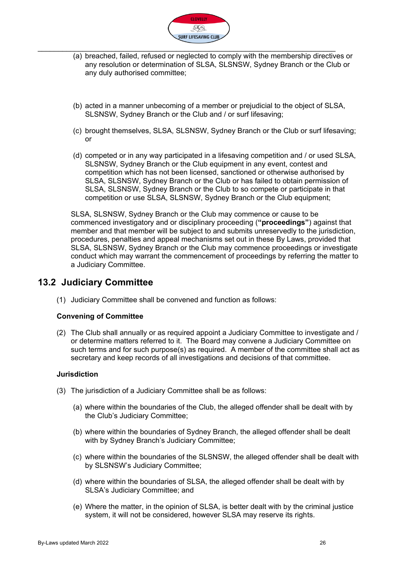

- \_\_\_\_\_\_\_\_\_\_\_\_\_\_\_\_\_\_\_\_\_\_\_\_\_\_\_\_\_\_\_\_\_\_\_\_\_\_\_\_\_\_\_\_\_\_\_\_\_\_\_\_\_\_\_\_\_\_\_\_\_\_\_\_\_\_\_\_\_\_\_\_\_ (a) breached, failed, refused or neglected to comply with the membership directives or any resolution or determination of SLSA, SLSNSW, Sydney Branch or the Club or any duly authorised committee;
	- (b) acted in a manner unbecoming of a member or prejudicial to the object of SLSA, SLSNSW, Sydney Branch or the Club and / or surf lifesaving;
	- (c) brought themselves, SLSA, SLSNSW, Sydney Branch or the Club or surf lifesaving; or
	- (d) competed or in any way participated in a lifesaving competition and / or used SLSA, SLSNSW, Sydney Branch or the Club equipment in any event, contest and competition which has not been licensed, sanctioned or otherwise authorised by SLSA, SLSNSW, Sydney Branch or the Club or has failed to obtain permission of SLSA, SLSNSW, Sydney Branch or the Club to so compete or participate in that competition or use SLSA, SLSNSW, Sydney Branch or the Club equipment;

SLSA, SLSNSW, Sydney Branch or the Club may commence or cause to be commenced investigatory and or disciplinary proceeding (**"proceedings´**) against that member and that member will be subject to and submits unreservedly to the jurisdiction, procedures, penalties and appeal mechanisms set out in these By Laws, provided that SLSA, SLSNSW, Sydney Branch or the Club may commence proceedings or investigate conduct which may warrant the commencement of proceedings by referring the matter to a Judiciary Committee.

## **13.2 Judiciary Committee**

(1) Judiciary Committee shall be convened and function as follows:

### **Convening of Committee**

(2) The Club shall annually or as required appoint a Judiciary Committee to investigate and / or determine matters referred to it. The Board may convene a Judiciary Committee on such terms and for such purpose(s) as required. A member of the committee shall act as secretary and keep records of all investigations and decisions of that committee.

#### **Jurisdiction**

- (3) The jurisdiction of a Judiciary Committee shall be as follows:
	- (a) where within the boundaries of the Club, the alleged offender shall be dealt with by the Club's Judiciary Committee;
	- (b) where within the boundaries of Sydney Branch, the alleged offender shall be dealt with by Sydney Branch's Judiciary Committee;
	- (c) where within the boundaries of the SLSNSW, the alleged offender shall be dealt with by SLSNSW's Judiciary Committee;
	- (d) where within the boundaries of SLSA, the alleged offender shall be dealt with by SLSA's Judiciary Committee; and
	- (e) Where the matter, in the opinion of SLSA, is better dealt with by the criminal justice system, it will not be considered, however SLSA may reserve its rights.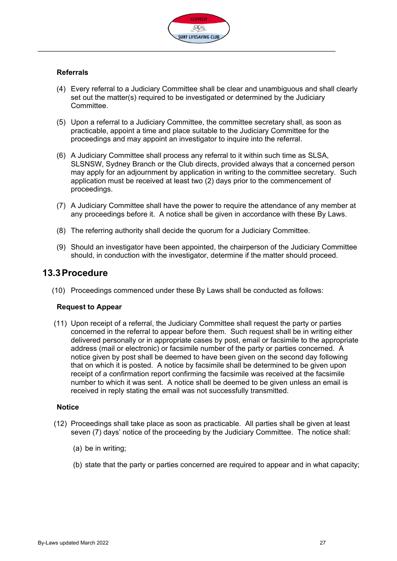

#### **Referrals**

- (4) Every referral to a Judiciary Committee shall be clear and unambiguous and shall clearly set out the matter(s) required to be investigated or determined by the Judiciary Committee.
- (5) Upon a referral to a Judiciary Committee, the committee secretary shall, as soon as practicable, appoint a time and place suitable to the Judiciary Committee for the proceedings and may appoint an investigator to inquire into the referral.
- (6) A Judiciary Committee shall process any referral to it within such time as SLSA, SLSNSW, Sydney Branch or the Club directs, provided always that a concerned person may apply for an adjournment by application in writing to the committee secretary. Such application must be received at least two (2) days prior to the commencement of proceedings.
- (7) A Judiciary Committee shall have the power to require the attendance of any member at any proceedings before it. A notice shall be given in accordance with these By Laws.
- (8) The referring authority shall decide the quorum for a Judiciary Committee.
- (9) Should an investigator have been appointed, the chairperson of the Judiciary Committee should, in conduction with the investigator, determine if the matter should proceed.

### **13.3Procedure**

(10) Proceedings commenced under these By Laws shall be conducted as follows:

#### **Request to Appear**

(11) Upon receipt of a referral, the Judiciary Committee shall request the party or parties concerned in the referral to appear before them. Such request shall be in writing either delivered personally or in appropriate cases by post, email or facsimile to the appropriate address (mail or electronic) or facsimile number of the party or parties concerned. A notice given by post shall be deemed to have been given on the second day following that on which it is posted. A notice by facsimile shall be determined to be given upon receipt of a confirmation report confirming the facsimile was received at the facsimile number to which it was sent. A notice shall be deemed to be given unless an email is received in reply stating the email was not successfully transmitted.

#### **Notice**

- (12) Proceedings shall take place as soon as practicable. All parties shall be given at least seven (7) days' notice of the proceeding by the Judiciary Committee. The notice shall:
	- (a) be in writing;
	- (b) state that the party or parties concerned are required to appear and in what capacity;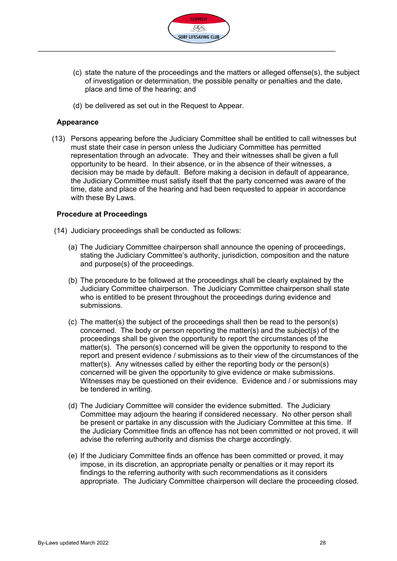

- (c) state the nature of the proceedings and the matters or alleged offense(s), the subject of investigation or determination, the possible penalty or penalties and the date, place and time of the hearing; and
- (d) be delivered as set out in the Request to Appear.

#### **Appearance**

(13) Persons appearing before the Judiciary Committee shall be entitled to call witnesses but must state their case in person unless the Judiciary Committee has permitted representation through an advocate. They and their witnesses shall be given a full opportunity to be heard. In their absence, or in the absence of their witnesses, a decision may be made by default. Before making a decision in default of appearance, the Judiciary Committee must satisfy itself that the party concerned was aware of the time, date and place of the hearing and had been requested to appear in accordance with these By Laws.

#### **Procedure at Proceedings**

- (14) Judiciary proceedings shall be conducted as follows:
	- (a) The Judiciary Committee chairperson shall announce the opening of proceedings, stating the Judiciary Committee's authority, jurisdiction, composition and the nature and purpose(s) of the proceedings.
	- (b) The procedure to be followed at the proceedings shall be clearly explained by the Judiciary Committee chairperson. The Judiciary Committee chairperson shall state who is entitled to be present throughout the proceedings during evidence and submissions.
	- (c) The matter(s) the subject of the proceedings shall then be read to the person(s) concerned. The body or person reporting the matter(s) and the subject(s) of the proceedings shall be given the opportunity to report the circumstances of the matter(s). The person(s) concerned will be given the opportunity to respond to the report and present evidence / submissions as to their view of the circumstances of the matter(s). Any witnesses called by either the reporting body or the person(s) concerned will be given the opportunity to give evidence or make submissions. Witnesses may be questioned on their evidence. Evidence and / or submissions may be tendered in writing.
	- (d) The Judiciary Committee will consider the evidence submitted. The Judiciary Committee may adjourn the hearing if considered necessary. No other person shall be present or partake in any discussion with the Judiciary Committee at this time. If the Judiciary Committee finds an offence has not been committed or not proved, it will advise the referring authority and dismiss the charge accordingly.
	- (e) If the Judiciary Committee finds an offence has been committed or proved, it may impose, in its discretion, an appropriate penalty or penalties or it may report its findings to the referring authority with such recommendations as it considers appropriate. The Judiciary Committee chairperson will declare the proceeding closed.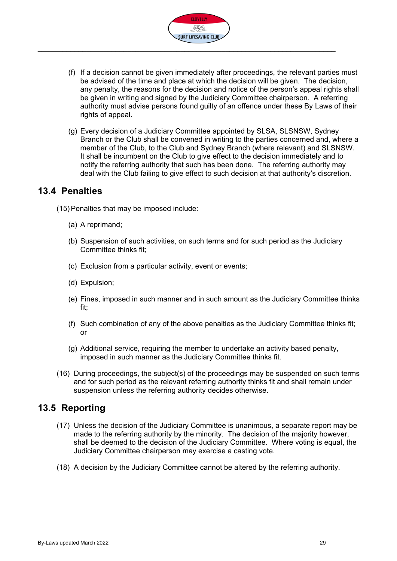

- (f) If a decision cannot be given immediately after proceedings, the relevant parties must be advised of the time and place at which the decision will be given. The decision, any penalty, the reasons for the decision and notice of the person's appeal rights shall be given in writing and signed by the Judiciary Committee chairperson. A referring authority must advise persons found guilty of an offence under these By Laws of their rights of appeal.
- (g) Every decision of a Judiciary Committee appointed by SLSA, SLSNSW, Sydney Branch or the Club shall be convened in writing to the parties concerned and, where a member of the Club, to the Club and Sydney Branch (where relevant) and SLSNSW. It shall be incumbent on the Club to give effect to the decision immediately and to notify the referring authority that such has been done. The referring authority may deal with the Club failing to give effect to such decision at that authority's discretion.

### **13.4 Penalties**

(15)Penalties that may be imposed include:

- (a) A reprimand;
- (b) Suspension of such activities, on such terms and for such period as the Judiciary Committee thinks fit;
- (c) Exclusion from a particular activity, event or events;
- (d) Expulsion;
- (e) Fines, imposed in such manner and in such amount as the Judiciary Committee thinks fit;
- (f) Such combination of any of the above penalties as the Judiciary Committee thinks fit; or
- (g) Additional service, requiring the member to undertake an activity based penalty, imposed in such manner as the Judiciary Committee thinks fit.
- (16) During proceedings, the subject(s) of the proceedings may be suspended on such terms and for such period as the relevant referring authority thinks fit and shall remain under suspension unless the referring authority decides otherwise.

## **13.5 Reporting**

- (17) Unless the decision of the Judiciary Committee is unanimous, a separate report may be made to the referring authority by the minority. The decision of the majority however, shall be deemed to the decision of the Judiciary Committee. Where voting is equal, the Judiciary Committee chairperson may exercise a casting vote.
- (18) A decision by the Judiciary Committee cannot be altered by the referring authority.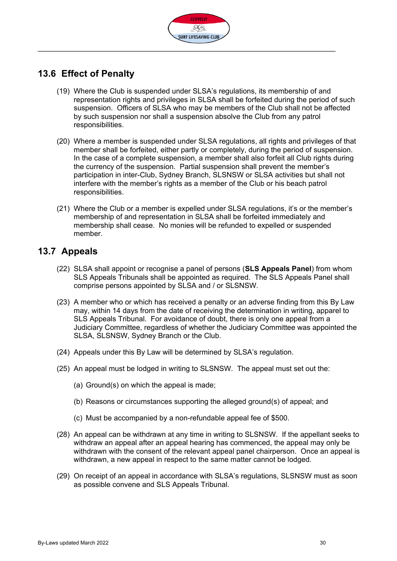

## **13.6 Effect of Penalty**

- (19) Where the Club is suspended under SLSA's regulations, its membership of and representation rights and privileges in SLSA shall be forfeited during the period of such suspension. Officers of SLSA who may be members of the Club shall not be affected by such suspension nor shall a suspension absolve the Club from any patrol responsibilities.
- (20) Where a member is suspended under SLSA regulations, all rights and privileges of that member shall be forfeited, either partly or completely, during the period of suspension. In the case of a complete suspension, a member shall also forfeit all Club rights during the currency of the suspension. Partial suspension shall prevent the member's participation in inter-Club, Sydney Branch, SLSNSW or SLSA activities but shall not interfere with the member's rights as a member of the Club or his beach patrol responsibilities.
- $(21)$  Where the Club or a member is expelled under SLSA regulations, it's or the member's membership of and representation in SLSA shall be forfeited immediately and membership shall cease. No monies will be refunded to expelled or suspended member.

### **13.7 Appeals**

- (22) SLSA shall appoint or recognise a panel of persons (**SLS Appeals Panel**) from whom SLS Appeals Tribunals shall be appointed as required. The SLS Appeals Panel shall comprise persons appointed by SLSA and / or SLSNSW.
- (23) A member who or which has received a penalty or an adverse finding from this By Law may, within 14 days from the date of receiving the determination in writing, apparel to SLS Appeals Tribunal. For avoidance of doubt, there is only one appeal from a Judiciary Committee, regardless of whether the Judiciary Committee was appointed the SLSA, SLSNSW, Sydney Branch or the Club.
- (24) Appeals under this By Law will be determined by SLSA's regulation.
- (25) An appeal must be lodged in writing to SLSNSW. The appeal must set out the:
	- (a) Ground(s) on which the appeal is made;
	- (b) Reasons or circumstances supporting the alleged ground(s) of appeal; and
	- (c) Must be accompanied by a non-refundable appeal fee of \$500.
- (28) An appeal can be withdrawn at any time in writing to SLSNSW. If the appellant seeks to withdraw an appeal after an appeal hearing has commenced, the appeal may only be withdrawn with the consent of the relevant appeal panel chairperson. Once an appeal is withdrawn, a new appeal in respect to the same matter cannot be lodged.
- (29) On receipt of an appeal in accordance with SLSA's regulations, SLSNSW must as soon as possible convene and SLS Appeals Tribunal.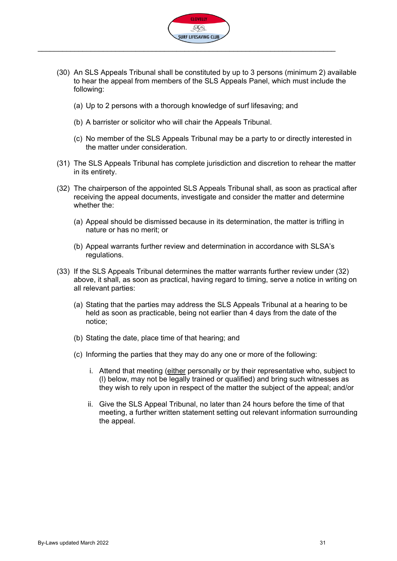

- (30) An SLS Appeals Tribunal shall be constituted by up to 3 persons (minimum 2) available to hear the appeal from members of the SLS Appeals Panel, which must include the following:
	- (a) Up to 2 persons with a thorough knowledge of surf lifesaving; and
	- (b) A barrister or solicitor who will chair the Appeals Tribunal.
	- (c) No member of the SLS Appeals Tribunal may be a party to or directly interested in the matter under consideration.
- (31) The SLS Appeals Tribunal has complete jurisdiction and discretion to rehear the matter in its entirety.
- (32) The chairperson of the appointed SLS Appeals Tribunal shall, as soon as practical after receiving the appeal documents, investigate and consider the matter and determine whether the:
	- (a) Appeal should be dismissed because in its determination, the matter is trifling in nature or has no merit; or
	- (b) Appeal warrants further review and determination in accordance with SLSA's regulations.
- (33) If the SLS Appeals Tribunal determines the matter warrants further review under (32) above, it shall, as soon as practical, having regard to timing, serve a notice in writing on all relevant parties:
	- (a) Stating that the parties may address the SLS Appeals Tribunal at a hearing to be held as soon as practicable, being not earlier than 4 days from the date of the notice;
	- (b) Stating the date, place time of that hearing; and
	- (c) Informing the parties that they may do any one or more of the following:
		- i. Attend that meeting (either personally or by their representative who, subject to (l) below, may not be legally trained or qualified) and bring such witnesses as they wish to rely upon in respect of the matter the subject of the appeal; and/or
		- ii. Give the SLS Appeal Tribunal, no later than 24 hours before the time of that meeting, a further written statement setting out relevant information surrounding the appeal.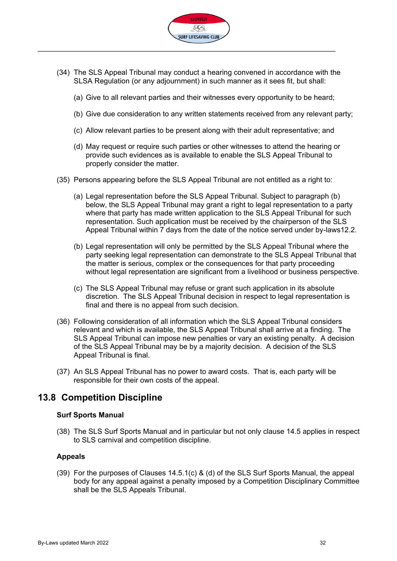

- (34) The SLS Appeal Tribunal may conduct a hearing convened in accordance with the SLSA Regulation (or any adjournment) in such manner as it sees fit, but shall:
	- (a) Give to all relevant parties and their witnesses every opportunity to be heard;
	- (b) Give due consideration to any written statements received from any relevant party;
	- (c) Allow relevant parties to be present along with their adult representative; and
	- (d) May request or require such parties or other witnesses to attend the hearing or provide such evidences as is available to enable the SLS Appeal Tribunal to properly consider the matter.
- (35) Persons appearing before the SLS Appeal Tribunal are not entitled as a right to:
	- (a) Legal representation before the SLS Appeal Tribunal. Subject to paragraph (b) below, the SLS Appeal Tribunal may grant a right to legal representation to a party where that party has made written application to the SLS Appeal Tribunal for such representation. Such application must be received by the chairperson of the SLS Appeal Tribunal within 7 days from the date of the notice served under by-laws12.2.
	- (b) Legal representation will only be permitted by the SLS Appeal Tribunal where the party seeking legal representation can demonstrate to the SLS Appeal Tribunal that the matter is serious, complex or the consequences for that party proceeding without legal representation are significant from a livelihood or business perspective.
	- (c) The SLS Appeal Tribunal may refuse or grant such application in its absolute discretion. The SLS Appeal Tribunal decision in respect to legal representation is final and there is no appeal from such decision.
- (36) Following consideration of all information which the SLS Appeal Tribunal considers relevant and which is available, the SLS Appeal Tribunal shall arrive at a finding. The SLS Appeal Tribunal can impose new penalties or vary an existing penalty. A decision of the SLS Appeal Tribunal may be by a majority decision. A decision of the SLS Appeal Tribunal is final.
- (37) An SLS Appeal Tribunal has no power to award costs. That is, each party will be responsible for their own costs of the appeal.

### **13.8 Competition Discipline**

#### **Surf Sports Manual**

(38) The SLS Surf Sports Manual and in particular but not only clause 14.5 applies in respect to SLS carnival and competition discipline.

#### **Appeals**

(39) For the purposes of Clauses 14.5.1(c) & (d) of the SLS Surf Sports Manual, the appeal body for any appeal against a penalty imposed by a Competition Disciplinary Committee shall be the SLS Appeals Tribunal.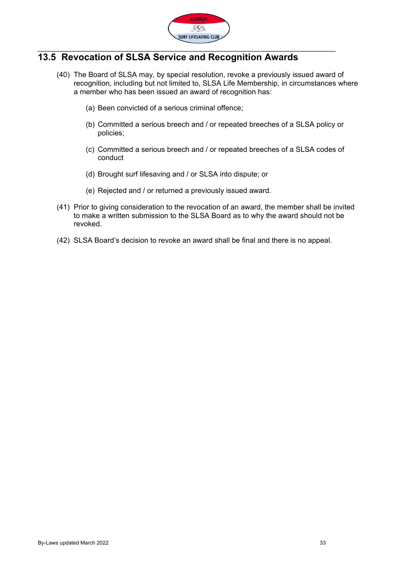

### \_\_\_\_\_\_\_\_\_\_\_\_\_\_\_\_\_\_\_\_\_\_\_\_\_\_\_\_\_\_\_\_\_\_\_\_\_\_\_\_\_\_\_\_\_\_\_\_\_\_\_\_\_\_\_\_\_\_\_\_\_\_\_\_\_\_\_\_\_\_\_\_\_ **13.5 Revocation of SLSA Service and Recognition Awards**

- (40) The Board of SLSA may, by special resolution, revoke a previously issued award of recognition, including but not limited to, SLSA Life Membership, in circumstances where a member who has been issued an award of recognition has:
	- (a) Been convicted of a serious criminal offence;
	- (b) Committed a serious breech and / or repeated breeches of a SLSA policy or policies;
	- (c) Committed a serious breech and / or repeated breeches of a SLSA codes of conduct
	- (d) Brought surf lifesaving and / or SLSA into dispute; or
	- (e) Rejected and / or returned a previously issued award.
- (41) Prior to giving consideration to the revocation of an award, the member shall be invited to make a written submission to the SLSA Board as to why the award should not be revoked.
- (42) SLSA Board's decision to revoke an award shall be final and there is no appeal.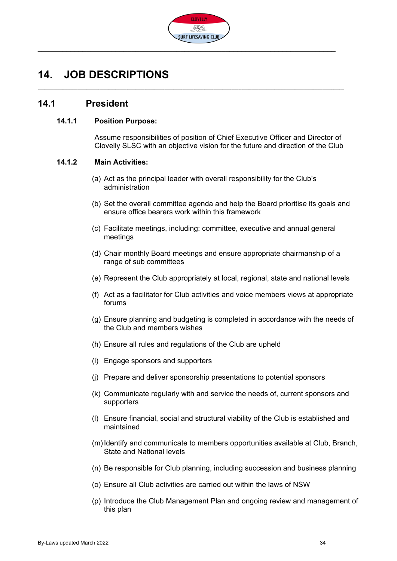

\_\_\_\_\_\_\_\_\_\_\_\_\_\_\_\_\_\_\_\_\_\_\_\_\_\_\_\_\_\_\_\_\_\_\_\_\_\_\_\_\_\_\_\_\_\_\_\_\_\_\_\_\_\_\_\_\_\_\_\_\_\_\_\_\_\_\_\_\_\_\_\_\_

## **14. JOB DESCRIPTIONS**

### **14.1 President**

#### **14.1.1 Position Purpose:**

Assume responsibilities of position of Chief Executive Officer and Director of Clovelly SLSC with an objective vision for the future and direction of the Club

#### **14.1.2 Main Activities:**

- (a) Act as the principal leader with overall responsibility for the Club's administration
- (b) Set the overall committee agenda and help the Board prioritise its goals and ensure office bearers work within this framework
- (c) Facilitate meetings, including: committee, executive and annual general meetings
- (d) Chair monthly Board meetings and ensure appropriate chairmanship of a range of sub committees
- (e) Represent the Club appropriately at local, regional, state and national levels
- (f) Act as a facilitator for Club activities and voice members views at appropriate forums
- (g) Ensure planning and budgeting is completed in accordance with the needs of the Club and members wishes
- (h) Ensure all rules and regulations of the Club are upheld
- (i) Engage sponsors and supporters
- (j) Prepare and deliver sponsorship presentations to potential sponsors
- (k) Communicate regularly with and service the needs of, current sponsors and supporters
- (l) Ensure financial, social and structural viability of the Club is established and maintained
- (m)Identify and communicate to members opportunities available at Club, Branch, State and National levels
- (n) Be responsible for Club planning, including succession and business planning
- (o) Ensure all Club activities are carried out within the laws of NSW
- (p) Introduce the Club Management Plan and ongoing review and management of this plan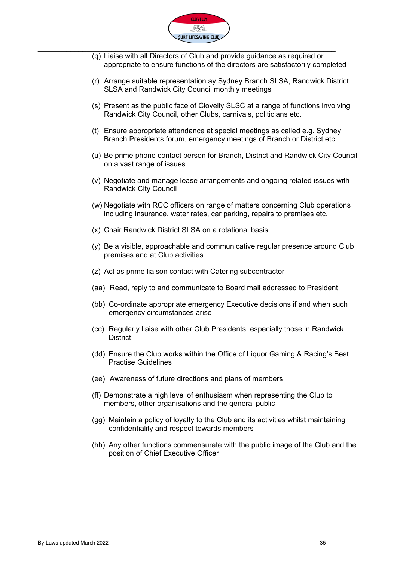

- \_\_\_\_\_\_\_\_\_\_\_\_\_\_\_\_\_\_\_\_\_\_\_\_\_\_\_\_\_\_\_\_\_\_\_\_\_\_\_\_\_\_\_\_\_\_\_\_\_\_\_\_\_\_\_\_\_\_\_\_\_\_\_\_\_\_\_\_\_\_\_\_\_ (q) Liaise with all Directors of Club and provide guidance as required or appropriate to ensure functions of the directors are satisfactorily completed
	- (r) Arrange suitable representation ay Sydney Branch SLSA, Randwick District SLSA and Randwick City Council monthly meetings
	- (s) Present as the public face of Clovelly SLSC at a range of functions involving Randwick City Council, other Clubs, carnivals, politicians etc.
	- (t) Ensure appropriate attendance at special meetings as called e.g. Sydney Branch Presidents forum, emergency meetings of Branch or District etc.
	- (u) Be prime phone contact person for Branch, District and Randwick City Council on a vast range of issues
	- (v) Negotiate and manage lease arrangements and ongoing related issues with Randwick City Council
	- (w) Negotiate with RCC officers on range of matters concerning Club operations including insurance, water rates, car parking, repairs to premises etc.
	- (x) Chair Randwick District SLSA on a rotational basis
	- (y) Be a visible, approachable and communicative regular presence around Club premises and at Club activities
	- (z) Act as prime liaison contact with Catering subcontractor
	- (aa) Read, reply to and communicate to Board mail addressed to President
	- (bb) Co-ordinate appropriate emergency Executive decisions if and when such emergency circumstances arise
	- (cc) Regularly liaise with other Club Presidents, especially those in Randwick District;
	- (dd) Ensure the Club works within the Office of Liquor Gaming & Racing's Best Practise Guidelines
	- (ee) Awareness of future directions and plans of members
	- (ff) Demonstrate a high level of enthusiasm when representing the Club to members, other organisations and the general public
	- (gg) Maintain a policy of loyalty to the Club and its activities whilst maintaining confidentiality and respect towards members
	- (hh) Any other functions commensurate with the public image of the Club and the position of Chief Executive Officer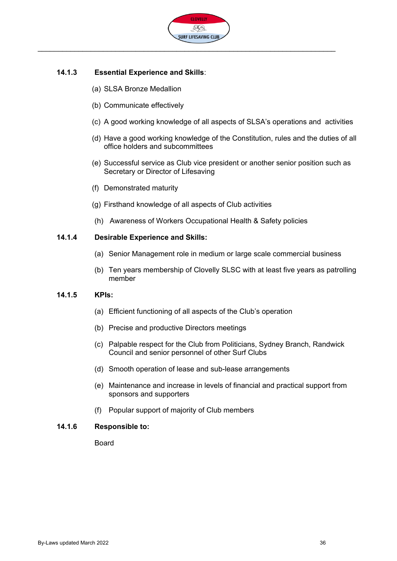

#### **14.1.3 Essential Experience and Skills**:

- (a) SLSA Bronze Medallion
- (b) Communicate effectively
- (c) A good working knowledge of all aspects of SLSA's operations and activities
- (d) Have a good working knowledge of the Constitution, rules and the duties of all office holders and subcommittees
- (e) Successful service as Club vice president or another senior position such as Secretary or Director of Lifesaving
- (f) Demonstrated maturity
- (g) Firsthand knowledge of all aspects of Club activities
- (h) Awareness of Workers Occupational Health & Safety policies

#### **14.1.4 Desirable Experience and Skills:**

- (a) Senior Management role in medium or large scale commercial business
- (b) Ten years membership of Clovelly SLSC with at least five years as patrolling member

#### **14.1.5 KPIs:**

- (a) Efficient functioning of all aspects of the Club's operation
- (b) Precise and productive Directors meetings
- (c) Palpable respect for the Club from Politicians, Sydney Branch, Randwick Council and senior personnel of other Surf Clubs
- (d) Smooth operation of lease and sub-lease arrangements
- (e) Maintenance and increase in levels of financial and practical support from sponsors and supporters
- (f) Popular support of majority of Club members

#### **14.1.6 Responsible to:**

Board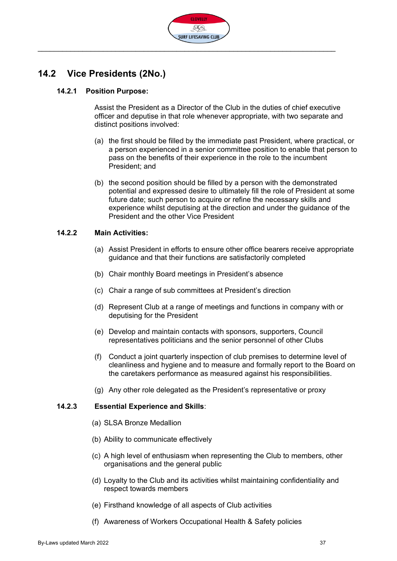

# **14.2 Vice Presidents (2No.)**

# **14.2.1 Position Purpose:**

Assist the President as a Director of the Club in the duties of chief executive officer and deputise in that role whenever appropriate, with two separate and distinct positions involved:

- (a) the first should be filled by the immediate past President, where practical, or a person experienced in a senior committee position to enable that person to pass on the benefits of their experience in the role to the incumbent President; and
- (b) the second position should be filled by a person with the demonstrated potential and expressed desire to ultimately fill the role of President at some future date; such person to acquire or refine the necessary skills and experience whilst deputising at the direction and under the guidance of the President and the other Vice President

# **14.2.2 Main Activities:**

- (a) Assist President in efforts to ensure other office bearers receive appropriate guidance and that their functions are satisfactorily completed
- (b) Chair monthly Board meetings in President's absence
- (c) Chair a range of sub committees at President's direction
- (d) Represent Club at a range of meetings and functions in company with or deputising for the President
- (e) Develop and maintain contacts with sponsors, supporters, Council representatives politicians and the senior personnel of other Clubs
- (f) Conduct a joint quarterly inspection of club premises to determine level of cleanliness and hygiene and to measure and formally report to the Board on the caretakers performance as measured against his responsibilities.
- (g) Any other role delegated as the President's representative or proxy

## **14.2.3 Essential Experience and Skills**:

- (a) SLSA Bronze Medallion
- (b) Ability to communicate effectively
- (c) A high level of enthusiasm when representing the Club to members, other organisations and the general public
- (d) Loyalty to the Club and its activities whilst maintaining confidentiality and respect towards members
- (e) Firsthand knowledge of all aspects of Club activities
- (f) Awareness of Workers Occupational Health & Safety policies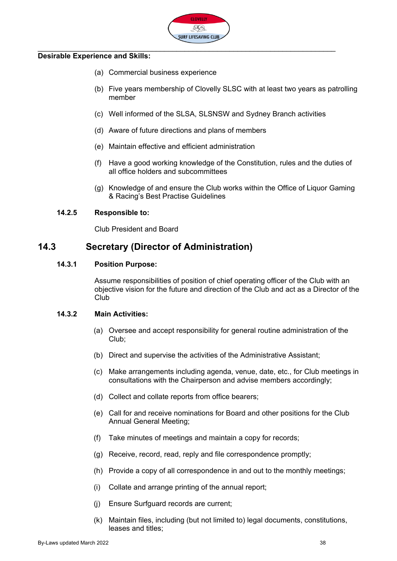

#### \_\_\_\_\_\_\_\_\_\_\_\_\_\_\_\_\_\_\_\_\_\_\_\_\_\_\_\_\_\_\_\_\_\_\_\_\_\_\_\_\_\_\_\_\_\_\_\_\_\_\_\_\_\_\_\_\_\_\_\_\_\_\_\_\_\_\_\_\_\_\_\_\_ **Desirable Experience and Skills:**

- (a) Commercial business experience
- (b) Five years membership of Clovelly SLSC with at least two years as patrolling member
- (c) Well informed of the SLSA, SLSNSW and Sydney Branch activities
- (d) Aware of future directions and plans of members
- (e) Maintain effective and efficient administration
- (f) Have a good working knowledge of the Constitution, rules and the duties of all office holders and subcommittees
- (g) Knowledge of and ensure the Club works within the Office of Liquor Gaming & Racing's Best Practise Guidelines

# **14.2.5 Responsible to:**

Club President and Board

# **14.3 Secretary (Director of Administration)**

## **14.3.1 Position Purpose:**

Assume responsibilities of position of chief operating officer of the Club with an objective vision for the future and direction of the Club and act as a Director of the Club

# **14.3.2 Main Activities:**

- (a) Oversee and accept responsibility for general routine administration of the Club;
- (b) Direct and supervise the activities of the Administrative Assistant;
- (c) Make arrangements including agenda, venue, date, etc., for Club meetings in consultations with the Chairperson and advise members accordingly;
- (d) Collect and collate reports from office bearers;
- (e) Call for and receive nominations for Board and other positions for the Club Annual General Meeting;
- (f) Take minutes of meetings and maintain a copy for records;
- (g) Receive, record, read, reply and file correspondence promptly;
- (h) Provide a copy of all correspondence in and out to the monthly meetings;
- (i) Collate and arrange printing of the annual report;
- (j) Ensure Surfguard records are current;
- (k) Maintain files, including (but not limited to) legal documents, constitutions, leases and titles;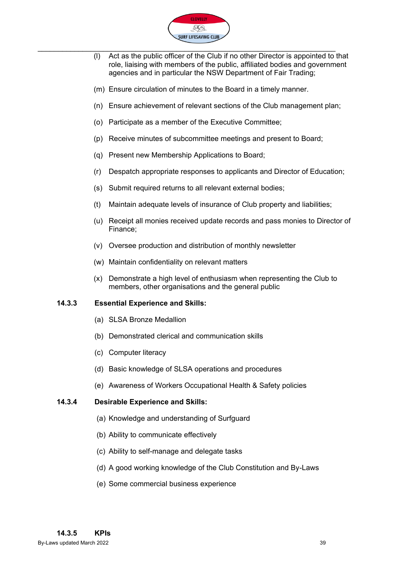

- \_\_\_\_\_\_\_\_\_\_\_\_\_\_\_\_\_\_\_\_\_\_\_\_\_\_\_\_\_\_\_\_\_\_\_\_\_\_\_\_\_\_\_\_\_\_\_\_\_\_\_\_\_\_\_\_\_\_\_\_\_\_\_\_\_\_\_\_\_\_\_\_\_ (l) Act as the public officer of the Club if no other Director is appointed to that role, liaising with members of the public, affiliated bodies and government agencies and in particular the NSW Department of Fair Trading;
	- (m) Ensure circulation of minutes to the Board in a timely manner.
	- (n) Ensure achievement of relevant sections of the Club management plan;
	- (o) Participate as a member of the Executive Committee;
	- (p) Receive minutes of subcommittee meetings and present to Board;
	- (q) Present new Membership Applications to Board;
	- (r) Despatch appropriate responses to applicants and Director of Education;
	- (s) Submit required returns to all relevant external bodies;
	- (t) Maintain adequate levels of insurance of Club property and liabilities;
	- (u) Receipt all monies received update records and pass monies to Director of Finance;
	- (v) Oversee production and distribution of monthly newsletter
	- (w) Maintain confidentiality on relevant matters
	- (x) Demonstrate a high level of enthusiasm when representing the Club to members, other organisations and the general public

# **14.3.3 Essential Experience and Skills:**

- (a) SLSA Bronze Medallion
- (b) Demonstrated clerical and communication skills
- (c) Computer literacy
- (d) Basic knowledge of SLSA operations and procedures
- (e) Awareness of Workers Occupational Health & Safety policies

# **14.3.4 Desirable Experience and Skills:**

- (a) Knowledge and understanding of Surfguard
- (b) Ability to communicate effectively
- (c) Ability to self-manage and delegate tasks
- (d) A good working knowledge of the Club Constitution and By-Laws
- (e) Some commercial business experience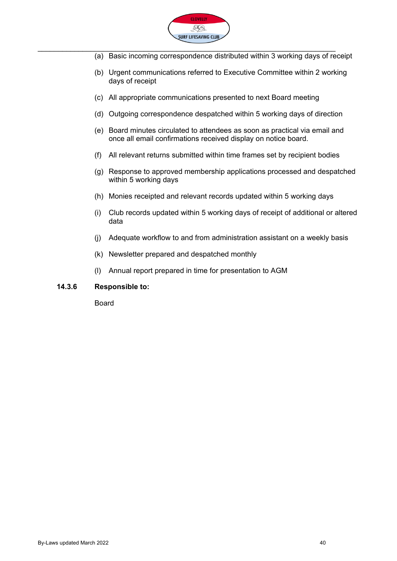

- \_\_\_\_\_\_\_\_\_\_\_\_\_\_\_\_\_\_\_\_\_\_\_\_\_\_\_\_\_\_\_\_\_\_\_\_\_\_\_\_\_\_\_\_\_\_\_\_\_\_\_\_\_\_\_\_\_\_\_\_\_\_\_\_\_\_\_\_\_\_\_\_\_ (a) Basic incoming correspondence distributed within 3 working days of receipt
	- (b) Urgent communications referred to Executive Committee within 2 working days of receipt
	- (c) All appropriate communications presented to next Board meeting
	- (d) Outgoing correspondence despatched within 5 working days of direction
	- (e) Board minutes circulated to attendees as soon as practical via email and once all email confirmations received display on notice board.
	- (f) All relevant returns submitted within time frames set by recipient bodies
	- (g) Response to approved membership applications processed and despatched within 5 working days
	- (h) Monies receipted and relevant records updated within 5 working days
	- (i) Club records updated within 5 working days of receipt of additional or altered data
	- (j) Adequate workflow to and from administration assistant on a weekly basis
	- (k) Newsletter prepared and despatched monthly
	- (l) Annual report prepared in time for presentation to AGM

# **14.3.6 Responsible to:**

Board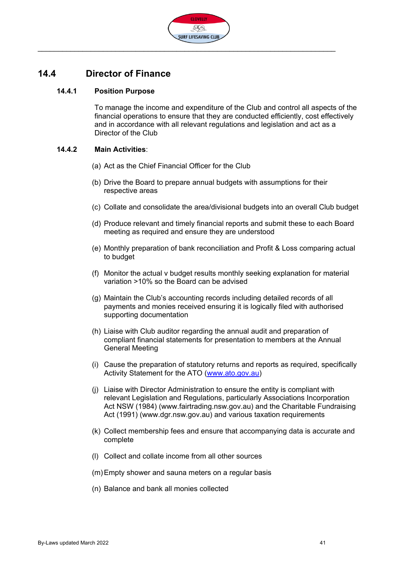

# **14.4 Director of Finance**

# **14.4.1 Position Purpose**

To manage the income and expenditure of the Club and control all aspects of the financial operations to ensure that they are conducted efficiently, cost effectively and in accordance with all relevant regulations and legislation and act as a Director of the Club

# **14.4.2 Main Activities**:

- (a) Act as the Chief Financial Officer for the Club
- (b) Drive the Board to prepare annual budgets with assumptions for their respective areas
- (c) Collate and consolidate the area/divisional budgets into an overall Club budget
- (d) Produce relevant and timely financial reports and submit these to each Board meeting as required and ensure they are understood
- (e) Monthly preparation of bank reconciliation and Profit & Loss comparing actual to budget
- (f) Monitor the actual v budget results monthly seeking explanation for material variation >10% so the Board can be advised
- (g) Maintain the Club's accounting records including detailed records of all payments and monies received ensuring it is logically filed with authorised supporting documentation
- (h) Liaise with Club auditor regarding the annual audit and preparation of compliant financial statements for presentation to members at the Annual General Meeting
- (i) Cause the preparation of statutory returns and reports as required, specifically Activity Statement for the ATO (www.ato.gov.au)
- (j) Liaise with Director Administration to ensure the entity is compliant with relevant Legislation and Regulations, particularly Associations Incorporation Act NSW (1984) (www.fairtrading.nsw.gov.au) and the Charitable Fundraising Act (1991) (www.dgr.nsw.gov.au) and various taxation requirements
- (k) Collect membership fees and ensure that accompanying data is accurate and complete
- (l) Collect and collate income from all other sources
- (m)Empty shower and sauna meters on a regular basis
- (n) Balance and bank all monies collected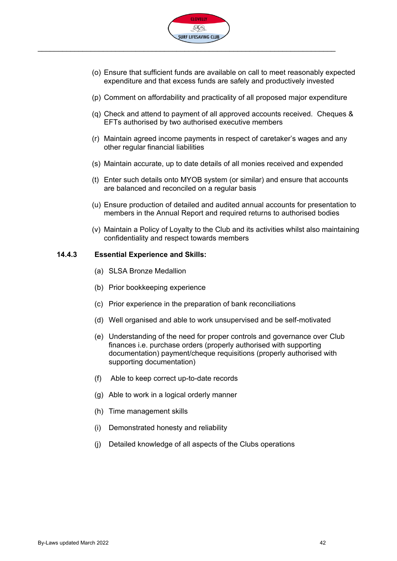

- (o) Ensure that sufficient funds are available on call to meet reasonably expected expenditure and that excess funds are safely and productively invested
- (p) Comment on affordability and practicality of all proposed major expenditure
- (q) Check and attend to payment of all approved accounts received. Cheques & EFTs authorised by two authorised executive members
- (r) Maintain agreed income payments in respect of caretaker's wages and any other regular financial liabilities
- (s) Maintain accurate, up to date details of all monies received and expended
- (t) Enter such details onto MYOB system (or similar) and ensure that accounts are balanced and reconciled on a regular basis
- (u) Ensure production of detailed and audited annual accounts for presentation to members in the Annual Report and required returns to authorised bodies
- (v) Maintain a Policy of Loyalty to the Club and its activities whilst also maintaining confidentiality and respect towards members

## **14.4.3 Essential Experience and Skills:**

- (a) SLSA Bronze Medallion
- (b) Prior bookkeeping experience
- (c) Prior experience in the preparation of bank reconciliations
- (d) Well organised and able to work unsupervised and be self-motivated
- (e) Understanding of the need for proper controls and governance over Club finances i.e. purchase orders (properly authorised with supporting documentation) payment/cheque requisitions (properly authorised with supporting documentation)
- (f) Able to keep correct up-to-date records
- (g) Able to work in a logical orderly manner
- (h) Time management skills
- (i) Demonstrated honesty and reliability
- (j) Detailed knowledge of all aspects of the Clubs operations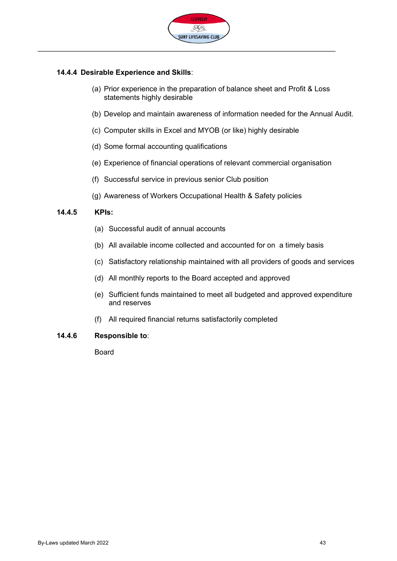

# **14.4.4 Desirable Experience and Skills**:

- (a) Prior experience in the preparation of balance sheet and Profit & Loss statements highly desirable
- (b) Develop and maintain awareness of information needed for the Annual Audit.
- (c) Computer skills in Excel and MYOB (or like) highly desirable
- (d) Some formal accounting qualifications
- (e) Experience of financial operations of relevant commercial organisation
- (f) Successful service in previous senior Club position
- (g) Awareness of Workers Occupational Health & Safety policies

# **14.4.5 KPIs:**

- (a) Successful audit of annual accounts
- (b) All available income collected and accounted for on a timely basis
- (c) Satisfactory relationship maintained with all providers of goods and services
- (d) All monthly reports to the Board accepted and approved
- (e) Sufficient funds maintained to meet all budgeted and approved expenditure and reserves
- (f) All required financial returns satisfactorily completed

## **14.4.6 Responsible to**:

Board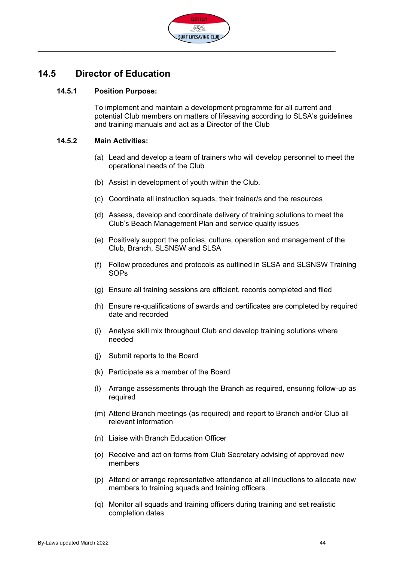

\_\_\_\_\_\_\_\_\_\_\_\_\_\_\_\_\_\_\_\_\_\_\_\_\_\_\_\_\_\_\_\_\_\_\_\_\_\_\_\_\_\_\_\_\_\_\_\_\_\_\_\_\_\_\_\_\_\_\_\_\_\_\_\_\_\_\_\_\_\_\_\_\_

# **14.5 Director of Education**

## **14.5.1 Position Purpose:**

To implement and maintain a development programme for all current and potential Club members on matters of lifesaving according to SLSA's guidelines and training manuals and act as a Director of the Club

## **14.5.2 Main Activities:**

- (a) Lead and develop a team of trainers who will develop personnel to meet the operational needs of the Club
- (b) Assist in development of youth within the Club.
- (c) Coordinate all instruction squads, their trainer/s and the resources
- (d) Assess, develop and coordinate delivery of training solutions to meet the Club's Beach Management Plan and service quality issues
- (e) Positively support the policies, culture, operation and management of the Club, Branch, SLSNSW and SLSA
- (f) Follow procedures and protocols as outlined in SLSA and SLSNSW Training SOPs
- (g) Ensure all training sessions are efficient, records completed and filed
- (h) Ensure re-qualifications of awards and certificates are completed by required date and recorded
- (i) Analyse skill mix throughout Club and develop training solutions where needed
- (j) Submit reports to the Board
- (k) Participate as a member of the Board
- (l) Arrange assessments through the Branch as required, ensuring follow-up as required
- (m) Attend Branch meetings (as required) and report to Branch and/or Club all relevant information
- (n) Liaise with Branch Education Officer
- (o) Receive and act on forms from Club Secretary advising of approved new members
- (p) Attend or arrange representative attendance at all inductions to allocate new members to training squads and training officers.
- (q) Monitor all squads and training officers during training and set realistic completion dates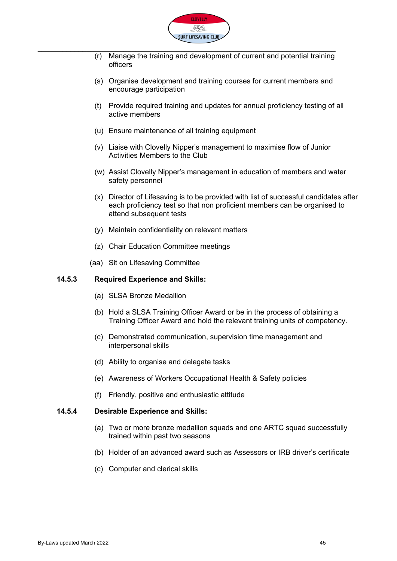

- \_\_\_\_\_\_\_\_\_\_\_\_\_\_\_\_\_\_\_\_\_\_\_\_\_\_\_\_\_\_\_\_\_\_\_\_\_\_\_\_\_\_\_\_\_\_\_\_\_\_\_\_\_\_\_\_\_\_\_\_\_\_\_\_\_\_\_\_\_\_\_\_\_ (r) Manage the training and development of current and potential training officers
	- (s) Organise development and training courses for current members and encourage participation
	- (t) Provide required training and updates for annual proficiency testing of all active members
	- (u) Ensure maintenance of all training equipment
	- (v) Liaise with Clovelly Nipper's management to maximise flow of Junior Activities Members to the Club
	- (w) Assist Clovelly Nipper's management in education of members and water safety personnel
	- (x) Director of Lifesaving is to be provided with list of successful candidates after each proficiency test so that non proficient members can be organised to attend subsequent tests
	- (y) Maintain confidentiality on relevant matters
	- (z) Chair Education Committee meetings
	- (aa) Sit on Lifesaving Committee

## **14.5.3 Required Experience and Skills:**

- (a) SLSA Bronze Medallion
- (b) Hold a SLSA Training Officer Award or be in the process of obtaining a Training Officer Award and hold the relevant training units of competency.
- (c) Demonstrated communication, supervision time management and interpersonal skills
- (d) Ability to organise and delegate tasks
- (e) Awareness of Workers Occupational Health & Safety policies
- (f) Friendly, positive and enthusiastic attitude

## **14.5.4 Desirable Experience and Skills:**

- (a) Two or more bronze medallion squads and one ARTC squad successfully trained within past two seasons
- (b) Holder of an advanced award such as Assessors or IRB driver's certificate
- (c) Computer and clerical skills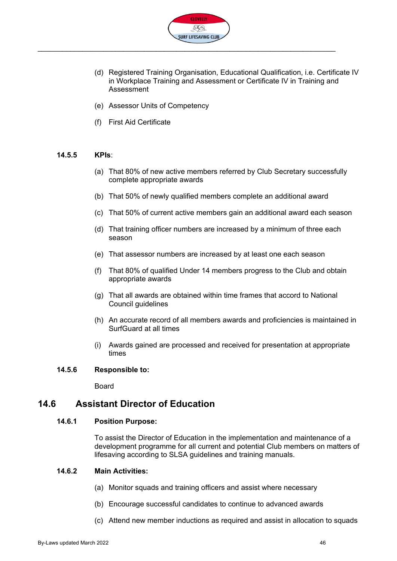

- (d) Registered Training Organisation, Educational Qualification, i.e. Certificate IV in Workplace Training and Assessment or Certificate IV in Training and Assessment
- (e) Assessor Units of Competency
- (f) First Aid Certificate

# **14.5.5 KPIs**:

- (a) That 80% of new active members referred by Club Secretary successfully complete appropriate awards
- (b) That 50% of newly qualified members complete an additional award
- (c) That 50% of current active members gain an additional award each season
- (d) That training officer numbers are increased by a minimum of three each season
- (e) That assessor numbers are increased by at least one each season
- (f) That 80% of qualified Under 14 members progress to the Club and obtain appropriate awards
- (g) That all awards are obtained within time frames that accord to National Council guidelines
- (h) An accurate record of all members awards and proficiencies is maintained in SurfGuard at all times
- (i) Awards gained are processed and received for presentation at appropriate times

# **14.5.6 Responsible to:**

Board

# **14.6 Assistant Director of Education**

## **14.6.1 Position Purpose:**

To assist the Director of Education in the implementation and maintenance of a development programme for all current and potential Club members on matters of lifesaving according to SLSA guidelines and training manuals.

## **14.6.2 Main Activities:**

- (a) Monitor squads and training officers and assist where necessary
- (b) Encourage successful candidates to continue to advanced awards
- (c) Attend new member inductions as required and assist in allocation to squads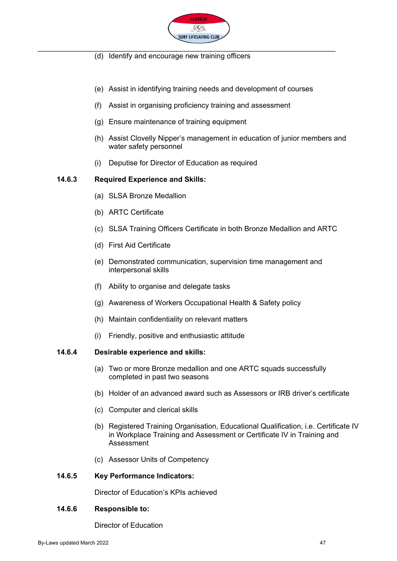

- \_\_\_\_\_\_\_\_\_\_\_\_\_\_\_\_\_\_\_\_\_\_\_\_\_\_\_\_\_\_\_\_\_\_\_\_\_\_\_\_\_\_\_\_\_\_\_\_\_\_\_\_\_\_\_\_\_\_\_\_\_\_\_\_\_\_\_\_\_\_\_\_\_ (d) Identify and encourage new training officers
	- (e) Assist in identifying training needs and development of courses
	- (f) Assist in organising proficiency training and assessment
	- (g) Ensure maintenance of training equipment
	- (h) Assist Clovelly Nipper's management in education of junior members and water safety personnel
	- (i) Deputise for Director of Education as required

# **14.6.3 Required Experience and Skills:**

- (a) SLSA Bronze Medallion
- (b) ARTC Certificate
- (c) SLSA Training Officers Certificate in both Bronze Medallion and ARTC
- (d) First Aid Certificate
- (e) Demonstrated communication, supervision time management and interpersonal skills
- (f) Ability to organise and delegate tasks
- (g) Awareness of Workers Occupational Health & Safety policy
- (h) Maintain confidentiality on relevant matters
- (i) Friendly, positive and enthusiastic attitude

# **14.6.4 Desirable experience and skills:**

- (a) Two or more Bronze medallion and one ARTC squads successfully completed in past two seasons
- (b) Holder of an advanced award such as Assessors or IRB driver's certificate
- (c) Computer and clerical skills
- (b) Registered Training Organisation, Educational Qualification, i.e. Certificate IV in Workplace Training and Assessment or Certificate IV in Training and Assessment
- (c) Assessor Units of Competency

# **14.6.5 Key Performance Indicators:**

Director of Education's KPIs achieved

# **14.6.6 Responsible to:**

Director of Education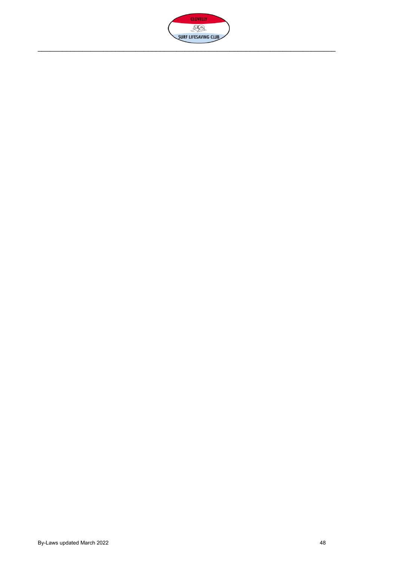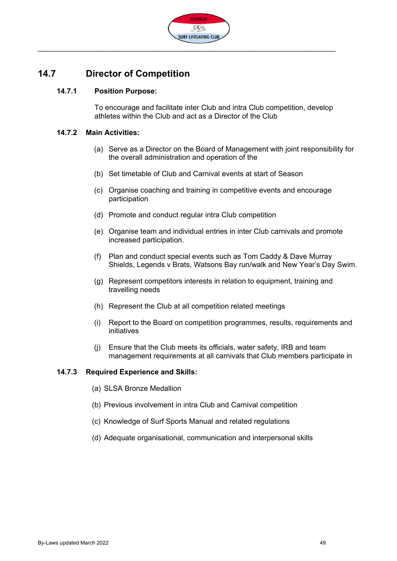

\_\_\_\_\_\_\_\_\_\_\_\_\_\_\_\_\_\_\_\_\_\_\_\_\_\_\_\_\_\_\_\_\_\_\_\_\_\_\_\_\_\_\_\_\_\_\_\_\_\_\_\_\_\_\_\_\_\_\_\_\_\_\_\_\_\_\_\_\_\_\_\_\_

# **14.7 Director of Competition**

# **14.7.1 Position Purpose:**

To encourage and facilitate inter Club and intra Club competition, develop athletes within the Club and act as a Director of the Club

## **14.7.2 Main Activities:**

- (a) Serve as a Director on the Board of Management with joint responsibility for the overall administration and operation of the
- (b) Set timetable of Club and Carnival events at start of Season
- (c) Organise coaching and training in competitive events and encourage participation
- (d) Promote and conduct regular intra Club competition
- (e) Organise team and individual entries in inter Club carnivals and promote increased participation.
- (f) Plan and conduct special events such as Tom Caddy & Dave Murray Shields, Legends v Brats, Watsons Bay run/walk and New Year's Day Swim.
- (g) Represent competitors interests in relation to equipment, training and travelling needs
- (h) Represent the Club at all competition related meetings
- (i) Report to the Board on competition programmes, results, requirements and initiatives
- (j) Ensure that the Club meets its officials, water safety, IRB and team management requirements at all carnivals that Club members participate in

# **14.7.3 Required Experience and Skills:**

- (a) SLSA Bronze Medallion
- (b) Previous involvement in intra Club and Carnival competition
- (c) Knowledge of Surf Sports Manual and related regulations
- (d) Adequate organisational, communication and interpersonal skills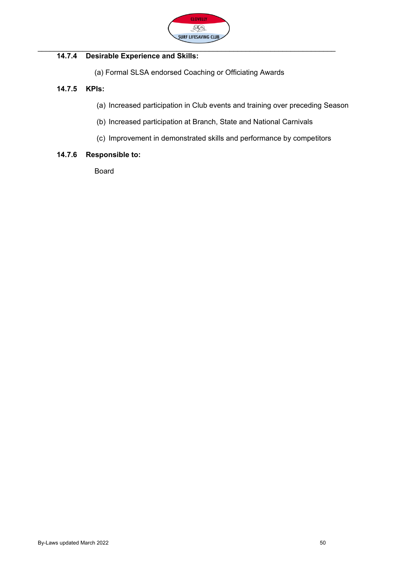

#### \_\_\_\_\_\_\_\_\_\_\_\_\_\_\_\_\_\_\_\_\_\_\_\_\_\_\_\_\_\_\_\_\_\_\_\_\_\_\_\_\_\_\_\_\_\_\_\_\_\_\_\_\_\_\_\_\_\_\_\_\_\_\_\_\_\_\_\_\_\_\_\_\_ **14.7.4 Desirable Experience and Skills:**

(a) Formal SLSA endorsed Coaching or Officiating Awards

# **14.7.5 KPIs:**

- (a) Increased participation in Club events and training over preceding Season
- (b) Increased participation at Branch, State and National Carnivals
- (c) Improvement in demonstrated skills and performance by competitors

# **14.7.6 Responsible to:**

Board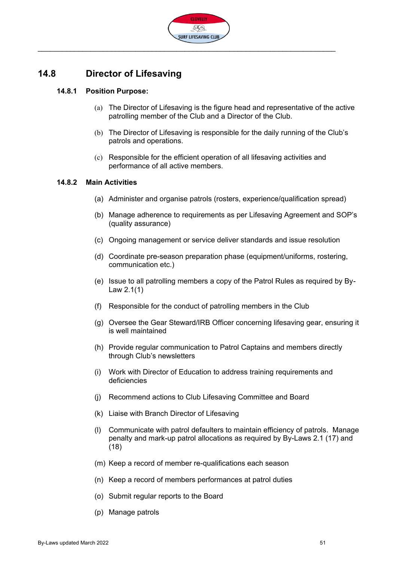

\_\_\_\_\_\_\_\_\_\_\_\_\_\_\_\_\_\_\_\_\_\_\_\_\_\_\_\_\_\_\_\_\_\_\_\_\_\_\_\_\_\_\_\_\_\_\_\_\_\_\_\_\_\_\_\_\_\_\_\_\_\_\_\_\_\_\_\_\_\_\_\_\_

# **14.8 Director of Lifesaving**

# **14.8.1 Position Purpose:**

- (a) The Director of Lifesaving is the figure head and representative of the active patrolling member of the Club and a Director of the Club.
- (b) The Director of Lifesaving is responsible for the daily running of the Club's patrols and operations.
- (c) Responsible for the efficient operation of all lifesaving activities and performance of all active members.

# **14.8.2 Main Activities**

- (a) Administer and organise patrols (rosters, experience/qualification spread)
- (b) Manage adherence to requirements as per Lifesaving Agreement and SOP's (quality assurance)
- (c) Ongoing management or service deliver standards and issue resolution
- (d) Coordinate pre-season preparation phase (equipment/uniforms, rostering, communication etc.)
- (e) Issue to all patrolling members a copy of the Patrol Rules as required by By-Law 2.1(1)
- (f) Responsible for the conduct of patrolling members in the Club
- (g) Oversee the Gear Steward/IRB Officer concerning lifesaving gear, ensuring it is well maintained
- (h) Provide regular communication to Patrol Captains and members directly through Club's newsletters
- (i) Work with Director of Education to address training requirements and deficiencies
- (j) Recommend actions to Club Lifesaving Committee and Board
- (k) Liaise with Branch Director of Lifesaving
- (l) Communicate with patrol defaulters to maintain efficiency of patrols. Manage penalty and mark-up patrol allocations as required by By-Laws 2.1 (17) and (18)
- (m) Keep a record of member re-qualifications each season
- (n) Keep a record of members performances at patrol duties
- (o) Submit regular reports to the Board
- (p) Manage patrols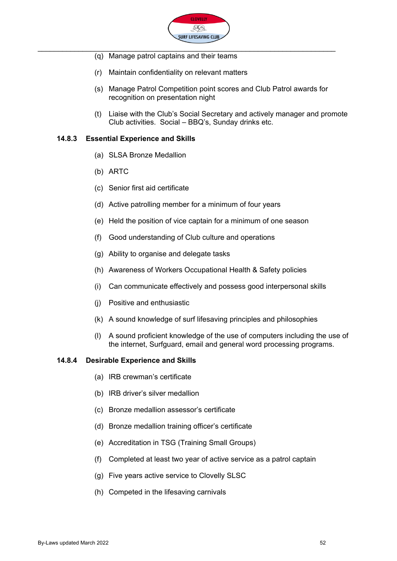

- \_\_\_\_\_\_\_\_\_\_\_\_\_\_\_\_\_\_\_\_\_\_\_\_\_\_\_\_\_\_\_\_\_\_\_\_\_\_\_\_\_\_\_\_\_\_\_\_\_\_\_\_\_\_\_\_\_\_\_\_\_\_\_\_\_\_\_\_\_\_\_\_\_ (q) Manage patrol captains and their teams
	- (r) Maintain confidentiality on relevant matters
	- (s) Manage Patrol Competition point scores and Club Patrol awards for recognition on presentation night
	- (t) Liaise with the Club's Social Secretary and actively manager and promote Club activities. Social –  $BBQ's$ , Sunday drinks etc.

## **14.8.3 Essential Experience and Skills**

- (a) SLSA Bronze Medallion
- (b) ARTC
- (c) Senior first aid certificate
- (d) Active patrolling member for a minimum of four years
- (e) Held the position of vice captain for a minimum of one season
- (f) Good understanding of Club culture and operations
- (g) Ability to organise and delegate tasks
- (h) Awareness of Workers Occupational Health & Safety policies
- (i) Can communicate effectively and possess good interpersonal skills
- (j) Positive and enthusiastic
- (k) A sound knowledge of surf lifesaving principles and philosophies
- (l) A sound proficient knowledge of the use of computers including the use of the internet, Surfguard, email and general word processing programs.

## **14.8.4 Desirable Experience and Skills**

- (a) IRB crewman's certificate
- (b) IRB driver's silver medallion
- (c) Bronze medallion assessor's certificate
- (d) Bronze medallion training officer's certificate
- (e) Accreditation in TSG (Training Small Groups)
- (f) Completed at least two year of active service as a patrol captain
- (g) Five years active service to Clovelly SLSC
- (h) Competed in the lifesaving carnivals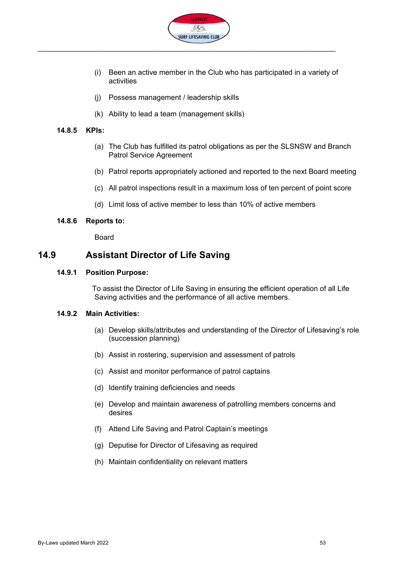

- (i) Been an active member in the Club who has participated in a variety of activities
- (j) Possess management / leadership skills
- (k) Ability to lead a team (management skills)

## **14.8.5 KPIs:**

- (a) The Club has fulfilled its patrol obligations as per the SLSNSW and Branch Patrol Service Agreement
- (b) Patrol reports appropriately actioned and reported to the next Board meeting
- (c) All patrol inspections result in a maximum loss of ten percent of point score
- (d) Limit loss of active member to less than 10% of active members

## **14.8.6 Reports to:**

Board

# **14.9 Assistant Director of Life Saving**

## **14.9.1 Position Purpose:**

To assist the Director of Life Saving in ensuring the efficient operation of all Life Saving activities and the performance of all active members.

## **14.9.2 Main Activities:**

- (a) Develop skills/attributes and understanding of the Director of Lifesaving's role (succession planning)
- (b) Assist in rostering, supervision and assessment of patrols
- (c) Assist and monitor performance of patrol captains
- (d) Identify training deficiencies and needs
- (e) Develop and maintain awareness of patrolling members concerns and desires
- (f) Attend Life Saving and Patrol Captain's meetings
- (g) Deputise for Director of Lifesaving as required
- (h) Maintain confidentiality on relevant matters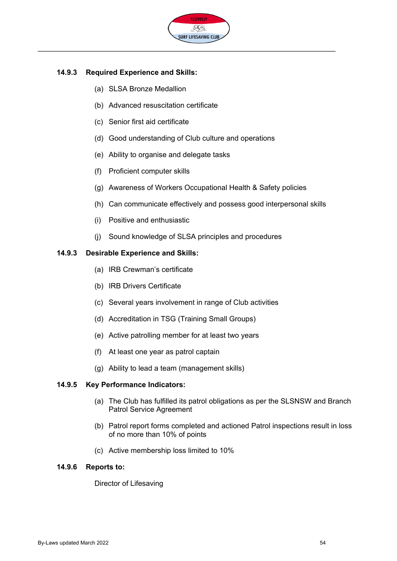

\_\_\_\_\_\_\_\_\_\_\_\_\_\_\_\_\_\_\_\_\_\_\_\_\_\_\_\_\_\_\_\_\_\_\_\_\_\_\_\_\_\_\_\_\_\_\_\_\_\_\_\_\_\_\_\_\_\_\_\_\_\_\_\_\_\_\_\_\_\_\_\_\_

# **14.9.3 Required Experience and Skills:**

- (a) SLSA Bronze Medallion
- (b) Advanced resuscitation certificate
- (c) Senior first aid certificate
- (d) Good understanding of Club culture and operations
- (e) Ability to organise and delegate tasks
- (f) Proficient computer skills
- (g) Awareness of Workers Occupational Health & Safety policies
- (h) Can communicate effectively and possess good interpersonal skills
- (i) Positive and enthusiastic
- (j) Sound knowledge of SLSA principles and procedures

# **14.9.3 Desirable Experience and Skills:**

- (a) IRB Crewman's certificate
- (b) IRB Drivers Certificate
- (c) Several years involvement in range of Club activities
- (d) Accreditation in TSG (Training Small Groups)
- (e) Active patrolling member for at least two years
- (f) At least one year as patrol captain
- (g) Ability to lead a team (management skills)

# **14.9.5 Key Performance Indicators:**

- (a) The Club has fulfilled its patrol obligations as per the SLSNSW and Branch Patrol Service Agreement
- (b) Patrol report forms completed and actioned Patrol inspections result in loss of no more than 10% of points
- (c) Active membership loss limited to 10%

# **14.9.6 Reports to:**

Director of Lifesaving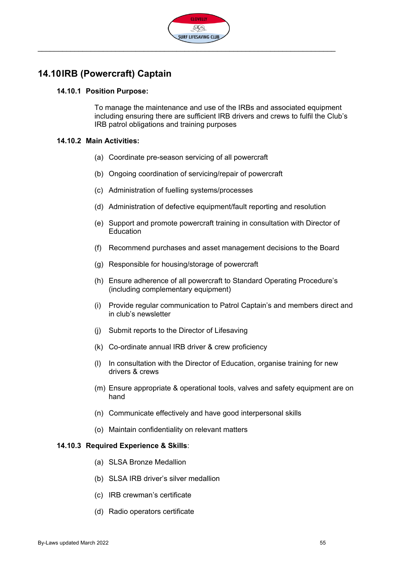

\_\_\_\_\_\_\_\_\_\_\_\_\_\_\_\_\_\_\_\_\_\_\_\_\_\_\_\_\_\_\_\_\_\_\_\_\_\_\_\_\_\_\_\_\_\_\_\_\_\_\_\_\_\_\_\_\_\_\_\_\_\_\_\_\_\_\_\_\_\_\_\_\_

# **14.10IRB (Powercraft) Captain**

## **14.10.1 Position Purpose:**

To manage the maintenance and use of the IRBs and associated equipment including ensuring there are sufficient IRB drivers and crews to fulfil the Club's IRB patrol obligations and training purposes

## **14.10.2 Main Activities:**

- (a) Coordinate pre-season servicing of all powercraft
- (b) Ongoing coordination of servicing/repair of powercraft
- (c) Administration of fuelling systems/processes
- (d) Administration of defective equipment/fault reporting and resolution
- (e) Support and promote powercraft training in consultation with Director of Education
- (f) Recommend purchases and asset management decisions to the Board
- (g) Responsible for housing/storage of powercraft
- (h) Ensure adherence of all powercraft to Standard Operating Procedure's (including complementary equipment)
- (i) Provide regular communication to Patrol Captain's and members direct and in club's newsletter
- (j) Submit reports to the Director of Lifesaving
- (k) Co-ordinate annual IRB driver & crew proficiency
- (l) In consultation with the Director of Education, organise training for new drivers & crews
- (m) Ensure appropriate & operational tools, valves and safety equipment are on hand
- (n) Communicate effectively and have good interpersonal skills
- (o) Maintain confidentiality on relevant matters

## **14.10.3 Required Experience & Skills**:

- (a) SLSA Bronze Medallion
- (b) SLSA IRB driver's silver medallion
- (c) IRB crewman¶s certificate
- (d) Radio operators certificate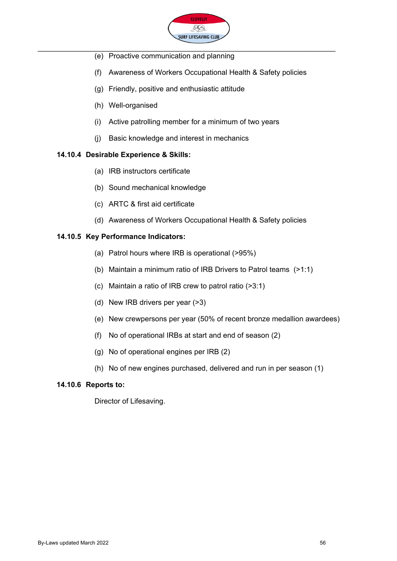

- \_\_\_\_\_\_\_\_\_\_\_\_\_\_\_\_\_\_\_\_\_\_\_\_\_\_\_\_\_\_\_\_\_\_\_\_\_\_\_\_\_\_\_\_\_\_\_\_\_\_\_\_\_\_\_\_\_\_\_\_\_\_\_\_\_\_\_\_\_\_\_\_\_ (e) Proactive communication and planning
	- (f) Awareness of Workers Occupational Health & Safety policies
	- (g) Friendly, positive and enthusiastic attitude
	- (h) Well-organised
	- (i) Active patrolling member for a minimum of two years
	- (j) Basic knowledge and interest in mechanics

## **14.10.4 Desirable Experience & Skills:**

- (a) IRB instructors certificate
- (b) Sound mechanical knowledge
- (c) ARTC & first aid certificate
- (d) Awareness of Workers Occupational Health & Safety policies

## **14.10.5 Key Performance Indicators:**

- (a) Patrol hours where IRB is operational (>95%)
- (b) Maintain a minimum ratio of IRB Drivers to Patrol teams (>1:1)
- (c) Maintain a ratio of IRB crew to patrol ratio (>3:1)
- (d) New IRB drivers per year (>3)
- (e) New crewpersons per year (50% of recent bronze medallion awardees)
- (f) No of operational IRBs at start and end of season (2)
- (g) No of operational engines per IRB (2)
- (h) No of new engines purchased, delivered and run in per season (1)

## **14.10.6 Reports to:**

Director of Lifesaving.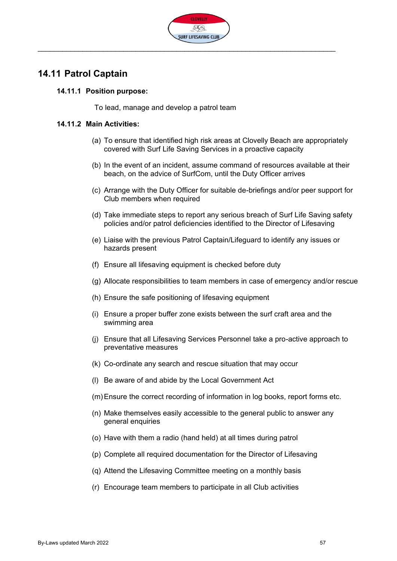

# **14.11 Patrol Captain**

# **14.11.1 Position purpose:**

To lead, manage and develop a patrol team

## **14.11.2 Main Activities:**

- (a) To ensure that identified high risk areas at Clovelly Beach are appropriately covered with Surf Life Saving Services in a proactive capacity
- (b) In the event of an incident, assume command of resources available at their beach, on the advice of SurfCom, until the Duty Officer arrives
- (c) Arrange with the Duty Officer for suitable de-briefings and/or peer support for Club members when required
- (d) Take immediate steps to report any serious breach of Surf Life Saving safety policies and/or patrol deficiencies identified to the Director of Lifesaving
- (e) Liaise with the previous Patrol Captain/Lifeguard to identify any issues or hazards present
- (f) Ensure all lifesaving equipment is checked before duty
- (g) Allocate responsibilities to team members in case of emergency and/or rescue
- (h) Ensure the safe positioning of lifesaving equipment
- (i) Ensure a proper buffer zone exists between the surf craft area and the swimming area
- (j) Ensure that all Lifesaving Services Personnel take a pro-active approach to preventative measures
- (k) Co-ordinate any search and rescue situation that may occur
- (l) Be aware of and abide by the Local Government Act
- (m)Ensure the correct recording of information in log books, report forms etc.
- (n) Make themselves easily accessible to the general public to answer any general enquiries
- (o) Have with them a radio (hand held) at all times during patrol
- (p) Complete all required documentation for the Director of Lifesaving
- (q) Attend the Lifesaving Committee meeting on a monthly basis
- (r) Encourage team members to participate in all Club activities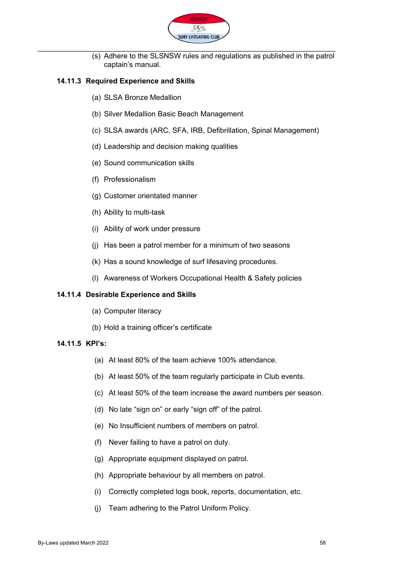

\_\_\_\_\_\_\_\_\_\_\_\_\_\_\_\_\_\_\_\_\_\_\_\_\_\_\_\_\_\_\_\_\_\_\_\_\_\_\_\_\_\_\_\_\_\_\_\_\_\_\_\_\_\_\_\_\_\_\_\_\_\_\_\_\_\_\_\_\_\_\_\_\_ (s) Adhere to the SLSNSW rules and regulations as published in the patrol captain's manual.

# **14.11.3 Required Experience and Skills**

- (a) SLSA Bronze Medallion
- (b) Silver Medallion Basic Beach Management
- (c) SLSA awards (ARC, SFA, IRB, Defibrillation, Spinal Management)
- (d) Leadership and decision making qualities
- (e) Sound communication skills
- (f) Professionalism
- (g) Customer orientated manner
- (h) Ability to multi-task
- (i) Ability of work under pressure
- (j) Has been a patrol member for a minimum of two seasons
- (k) Has a sound knowledge of surf lifesaving procedures.
- (l) Awareness of Workers Occupational Health & Safety policies

# **14.11.4 Desirable Experience and Skills**

- (a) Computer literacy
- (b) Hold a training officer's certificate

## **14.11.5 KPI's:**

- (a) At least 80% of the team achieve 100% attendance.
- (b) At least 50% of the team regularly participate in Club events.
- (c) At least 50% of the team increase the award numbers per season.
- (d) No late "sign on" or early "sign off" of the patrol.
- (e) No Insufficient numbers of members on patrol.
- (f) Never failing to have a patrol on duty.
- (g) Appropriate equipment displayed on patrol.
- (h) Appropriate behaviour by all members on patrol.
- (i) Correctly completed logs book, reports, documentation, etc.
- (j) Team adhering to the Patrol Uniform Policy.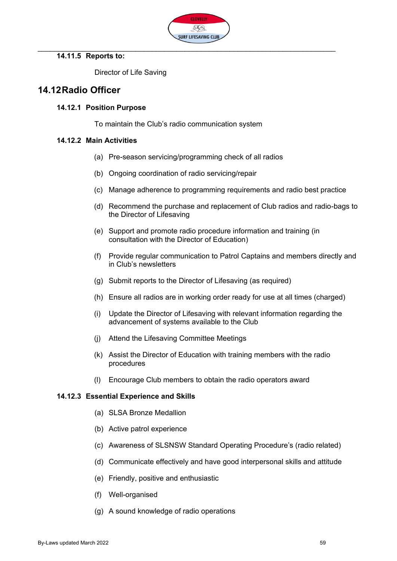

#### \_\_\_\_\_\_\_\_\_\_\_\_\_\_\_\_\_\_\_\_\_\_\_\_\_\_\_\_\_\_\_\_\_\_\_\_\_\_\_\_\_\_\_\_\_\_\_\_\_\_\_\_\_\_\_\_\_\_\_\_\_\_\_\_\_\_\_\_\_\_\_\_\_ **14.11.5 Reports to:**

Director of Life Saving

# **14.12Radio Officer**

# **14.12.1 Position Purpose**

To maintain the Club's radio communication system

# **14.12.2 Main Activities**

- (a) Pre-season servicing/programming check of all radios
- (b) Ongoing coordination of radio servicing/repair
- (c) Manage adherence to programming requirements and radio best practice
- (d) Recommend the purchase and replacement of Club radios and radio-bags to the Director of Lifesaving
- (e) Support and promote radio procedure information and training (in consultation with the Director of Education)
- (f) Provide regular communication to Patrol Captains and members directly and in Club's newsletters
- (g) Submit reports to the Director of Lifesaving (as required)
- (h) Ensure all radios are in working order ready for use at all times (charged)
- (i) Update the Director of Lifesaving with relevant information regarding the advancement of systems available to the Club
- (j) Attend the Lifesaving Committee Meetings
- (k) Assist the Director of Education with training members with the radio procedures
- (l) Encourage Club members to obtain the radio operators award

## **14.12.3 Essential Experience and Skills**

- (a) SLSA Bronze Medallion
- (b) Active patrol experience
- (c) Awareness of SLSNSW Standard Operating Procedure's (radio related)
- (d) Communicate effectively and have good interpersonal skills and attitude
- (e) Friendly, positive and enthusiastic
- (f) Well-organised
- (g) A sound knowledge of radio operations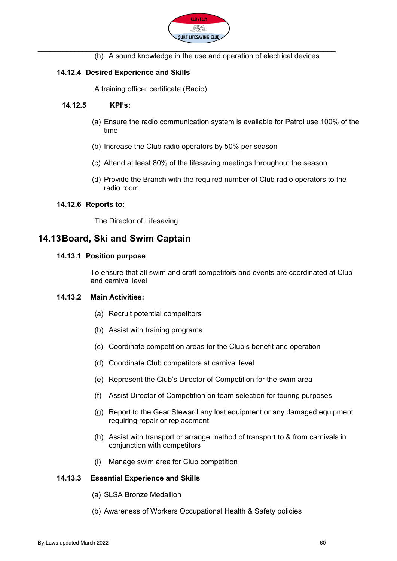

\_\_\_\_\_\_\_\_\_\_\_\_\_\_\_\_\_\_\_\_\_\_\_\_\_\_\_\_\_\_\_\_\_\_\_\_\_\_\_\_\_\_\_\_\_\_\_\_\_\_\_\_\_\_\_\_\_\_\_\_\_\_\_\_\_\_\_\_\_\_\_\_\_ (h) A sound knowledge in the use and operation of electrical devices

# **14.12.4 Desired Experience and Skills**

A training officer certificate (Radio)

# **14.12.5 KPI's:**

- (a) Ensure the radio communication system is available for Patrol use 100% of the time
- (b) Increase the Club radio operators by 50% per season
- (c) Attend at least 80% of the lifesaving meetings throughout the season
- (d) Provide the Branch with the required number of Club radio operators to the radio room

# **14.12.6 Reports to:**

The Director of Lifesaving

# **14.13Board, Ski and Swim Captain**

# **14.13.1 Position purpose**

To ensure that all swim and craft competitors and events are coordinated at Club and carnival level

# **14.13.2 Main Activities:**

- (a) Recruit potential competitors
- (b) Assist with training programs
- (c) Coordinate competition areas for the Club's benefit and operation
- (d) Coordinate Club competitors at carnival level
- (e) Represent the Club's Director of Competition for the swim area
- (f) Assist Director of Competition on team selection for touring purposes
- (g) Report to the Gear Steward any lost equipment or any damaged equipment requiring repair or replacement
- (h) Assist with transport or arrange method of transport to & from carnivals in conjunction with competitors
- (i) Manage swim area for Club competition

# **14.13.3 Essential Experience and Skills**

- (a) SLSA Bronze Medallion
- (b) Awareness of Workers Occupational Health & Safety policies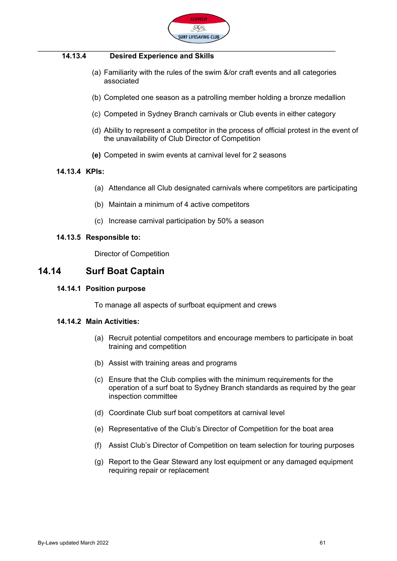

#### \_\_\_\_\_\_\_\_\_\_\_\_\_\_\_\_\_\_\_\_\_\_\_\_\_\_\_\_\_\_\_\_\_\_\_\_\_\_\_\_\_\_\_\_\_\_\_\_\_\_\_\_\_\_\_\_\_\_\_\_\_\_\_\_\_\_\_\_\_\_\_\_\_ **14.13.4 Desired Experience and Skills**

- (a) Familiarity with the rules of the swim &/or craft events and all categories associated
- (b) Completed one season as a patrolling member holding a bronze medallion
- (c) Competed in Sydney Branch carnivals or Club events in either category
- (d) Ability to represent a competitor in the process of official protest in the event of the unavailability of Club Director of Competition
- **(e)** Competed in swim events at carnival level for 2 seasons

# **14.13.4 KPIs:**

- (a) Attendance all Club designated carnivals where competitors are participating
- (b) Maintain a minimum of 4 active competitors
- (c) Increase carnival participation by 50% a season

## **14.13.5 Responsible to:**

Director of Competition

# **14.14 Surf Boat Captain**

## **14.14.1 Position purpose**

To manage all aspects of surfboat equipment and crews

## **14.14.2 Main Activities:**

- (a) Recruit potential competitors and encourage members to participate in boat training and competition
- (b) Assist with training areas and programs
- (c) Ensure that the Club complies with the minimum requirements for the operation of a surf boat to Sydney Branch standards as required by the gear inspection committee
- (d) Coordinate Club surf boat competitors at carnival level
- (e) Representative of the Club's Director of Competition for the boat area
- (f) Assist Club's Director of Competition on team selection for touring purposes
- (g) Report to the Gear Steward any lost equipment or any damaged equipment requiring repair or replacement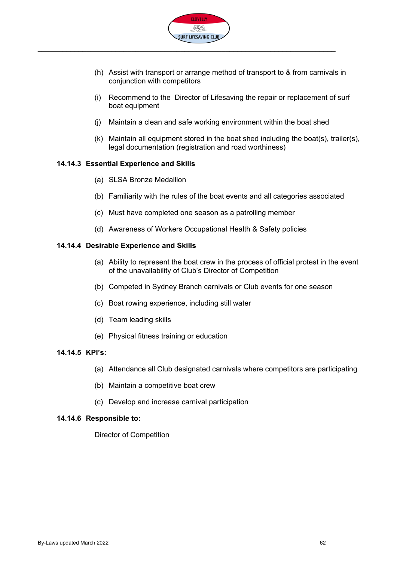

- (h) Assist with transport or arrange method of transport to & from carnivals in conjunction with competitors
- (i) Recommend to the Director of Lifesaving the repair or replacement of surf boat equipment
- (j) Maintain a clean and safe working environment within the boat shed
- (k) Maintain all equipment stored in the boat shed including the boat(s), trailer(s), legal documentation (registration and road worthiness)

## **14.14.3 Essential Experience and Skills**

- (a) SLSA Bronze Medallion
- (b) Familiarity with the rules of the boat events and all categories associated
- (c) Must have completed one season as a patrolling member
- (d) Awareness of Workers Occupational Health & Safety policies

# **14.14.4 Desirable Experience and Skills**

- (a) Ability to represent the boat crew in the process of official protest in the event of the unavailability of Club's Director of Competition
- (b) Competed in Sydney Branch carnivals or Club events for one season
- (c) Boat rowing experience, including still water
- (d) Team leading skills
- (e) Physical fitness training or education

## **14.14.5 KPI's:**

- (a) Attendance all Club designated carnivals where competitors are participating
- (b) Maintain a competitive boat crew
- (c) Develop and increase carnival participation

## **14.14.6 Responsible to:**

Director of Competition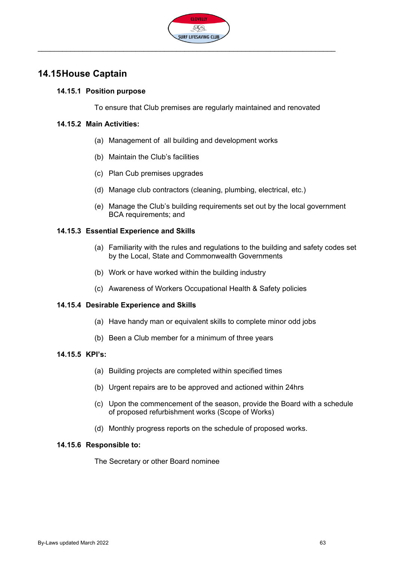

# **14.15House Captain**

## **14.15.1 Position purpose**

To ensure that Club premises are regularly maintained and renovated

## **14.15.2 Main Activities:**

- (a) Management of all building and development works
- (b) Maintain the Club's facilities
- (c) Plan Cub premises upgrades
- (d) Manage club contractors (cleaning, plumbing, electrical, etc.)
- (e) Manage the Club's building requirements set out by the local government BCA requirements; and

## **14.15.3 Essential Experience and Skills**

- (a) Familiarity with the rules and regulations to the building and safety codes set by the Local, State and Commonwealth Governments
- (b) Work or have worked within the building industry
- (c) Awareness of Workers Occupational Health & Safety policies

## **14.15.4 Desirable Experience and Skills**

- (a) Have handy man or equivalent skills to complete minor odd jobs
- (b) Been a Club member for a minimum of three years

## **14.15.5 KPI's:**

- (a) Building projects are completed within specified times
- (b) Urgent repairs are to be approved and actioned within 24hrs
- (c) Upon the commencement of the season, provide the Board with a schedule of proposed refurbishment works (Scope of Works)
- (d) Monthly progress reports on the schedule of proposed works.

## **14.15.6 Responsible to:**

The Secretary or other Board nominee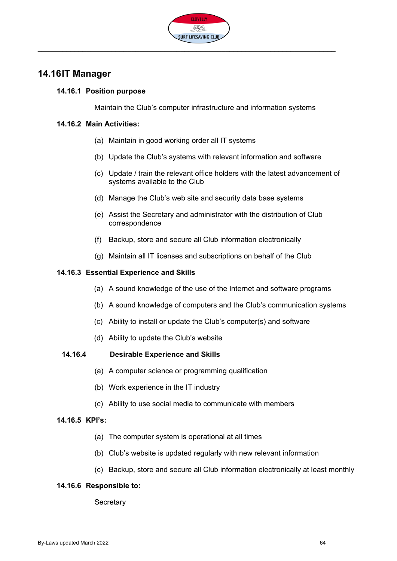

# **14.16IT Manager**

## **14.16.1 Position purpose**

Maintain the Club's computer infrastructure and information systems

## **14.16.2 Main Activities:**

- (a) Maintain in good working order all IT systems
- (b) Update the Club's systems with relevant information and software
- (c) Update / train the relevant office holders with the latest advancement of systems available to the Club
- (d) Manage the Club's web site and security data base systems
- (e) Assist the Secretary and administrator with the distribution of Club correspondence
- (f) Backup, store and secure all Club information electronically
- (g) Maintain all IT licenses and subscriptions on behalf of the Club

## **14.16.3 Essential Experience and Skills**

- (a) A sound knowledge of the use of the Internet and software programs
- (b) A sound knowledge of computers and the Club's communication systems
- (c) Ability to install or update the Club's computer(s) and software
- (d) Ability to update the Club's website

# **14.16.4 Desirable Experience and Skills**

- (a) A computer science or programming qualification
- (b) Work experience in the IT industry
- (c) Ability to use social media to communicate with members

## **14.16.5 KPI's:**

- (a) The computer system is operational at all times
- (b) Club's website is updated regularly with new relevant information
- (c) Backup, store and secure all Club information electronically at least monthly

## **14.16.6 Responsible to:**

**Secretary**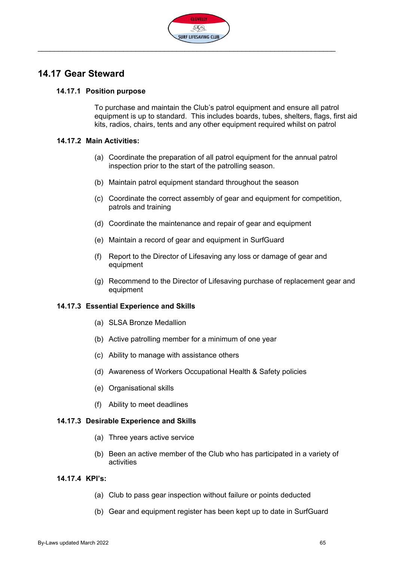

# **14.17 Gear Steward**

## **14.17.1 Position purpose**

To purchase and maintain the Club's patrol equipment and ensure all patrol equipment is up to standard. This includes boards, tubes, shelters, flags, first aid kits, radios, chairs, tents and any other equipment required whilst on patrol

## **14.17.2 Main Activities:**

- (a) Coordinate the preparation of all patrol equipment for the annual patrol inspection prior to the start of the patrolling season.
- (b) Maintain patrol equipment standard throughout the season
- (c) Coordinate the correct assembly of gear and equipment for competition, patrols and training
- (d) Coordinate the maintenance and repair of gear and equipment
- (e) Maintain a record of gear and equipment in SurfGuard
- (f) Report to the Director of Lifesaving any loss or damage of gear and equipment
- (g) Recommend to the Director of Lifesaving purchase of replacement gear and equipment

# **14.17.3 Essential Experience and Skills**

- (a) SLSA Bronze Medallion
- (b) Active patrolling member for a minimum of one year
- (c) Ability to manage with assistance others
- (d) Awareness of Workers Occupational Health & Safety policies
- (e) Organisational skills
- (f) Ability to meet deadlines

## **14.17.3 Desirable Experience and Skills**

- (a) Three years active service
- (b) Been an active member of the Club who has participated in a variety of activities

## **14.17.4 KPI's:**

- (a) Club to pass gear inspection without failure or points deducted
- (b) Gear and equipment register has been kept up to date in SurfGuard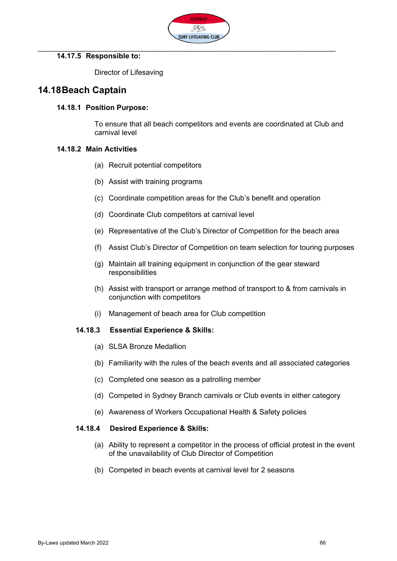

#### \_\_\_\_\_\_\_\_\_\_\_\_\_\_\_\_\_\_\_\_\_\_\_\_\_\_\_\_\_\_\_\_\_\_\_\_\_\_\_\_\_\_\_\_\_\_\_\_\_\_\_\_\_\_\_\_\_\_\_\_\_\_\_\_\_\_\_\_\_\_\_\_\_ **14.17.5 Responsible to:**

Director of Lifesaving

# **14.18Beach Captain**

# **14.18.1 Position Purpose:**

To ensure that all beach competitors and events are coordinated at Club and carnival level

# **14.18.2 Main Activities**

- (a) Recruit potential competitors
- (b) Assist with training programs
- (c) Coordinate competition areas for the Club's benefit and operation
- (d) Coordinate Club competitors at carnival level
- (e) Representative of the Club's Director of Competition for the beach area
- (f) Assist Club's Director of Competition on team selection for touring purposes
- (g) Maintain all training equipment in conjunction of the gear steward responsibilities
- (h) Assist with transport or arrange method of transport to & from carnivals in conjunction with competitors
- (i) Management of beach area for Club competition

# **14.18.3 Essential Experience & Skills:**

- (a) SLSA Bronze Medallion
- (b) Familiarity with the rules of the beach events and all associated categories
- (c) Completed one season as a patrolling member
- (d) Competed in Sydney Branch carnivals or Club events in either category
- (e) Awareness of Workers Occupational Health & Safety policies

# **14.18.4 Desired Experience & Skills:**

- (a) Ability to represent a competitor in the process of official protest in the event of the unavailability of Club Director of Competition
- (b) Competed in beach events at carnival level for 2 seasons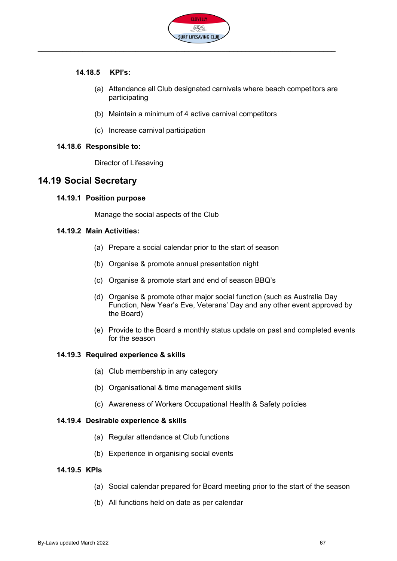

# **14.18.5 KPI's:**

- (a) Attendance all Club designated carnivals where beach competitors are participating
- (b) Maintain a minimum of 4 active carnival competitors
- (c) Increase carnival participation

## **14.18.6 Responsible to:**

Director of Lifesaving

# **14.19 Social Secretary**

## **14.19.1 Position purpose**

Manage the social aspects of the Club

# **14.19.2 Main Activities:**

- (a) Prepare a social calendar prior to the start of season
- (b) Organise & promote annual presentation night
- (c) Organise & promote start and end of season BBQ's
- (d) Organise & promote other major social function (such as Australia Day Function, New Year's Eve, Veterans' Day and any other event approved by the Board)
- (e) Provide to the Board a monthly status update on past and completed events for the season

# **14.19.3 Required experience & skills**

- (a) Club membership in any category
- (b) Organisational & time management skills
- (c) Awareness of Workers Occupational Health & Safety policies

## **14.19.4 Desirable experience & skills**

- (a) Regular attendance at Club functions
- (b) Experience in organising social events

# **14.19.5 KPIs**

- (a) Social calendar prepared for Board meeting prior to the start of the season
- (b) All functions held on date as per calendar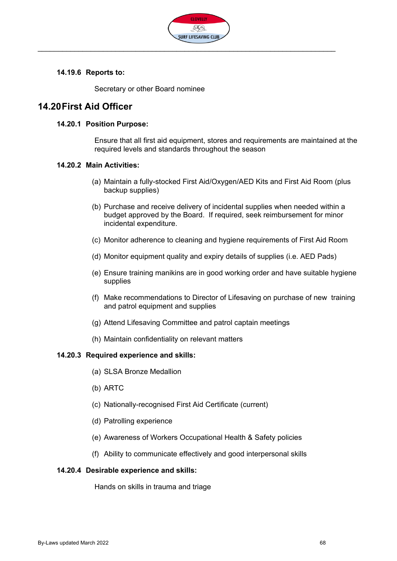

# **14.19.6 Reports to:**

Secretary or other Board nominee

# **14.20First Aid Officer**

## **14.20.1 Position Purpose:**

Ensure that all first aid equipment, stores and requirements are maintained at the required levels and standards throughout the season

# **14.20.2 Main Activities:**

- (a) Maintain a fully-stocked First Aid/Oxygen/AED Kits and First Aid Room (plus backup supplies)
- (b) Purchase and receive delivery of incidental supplies when needed within a budget approved by the Board. If required, seek reimbursement for minor incidental expenditure.
- (c) Monitor adherence to cleaning and hygiene requirements of First Aid Room
- (d) Monitor equipment quality and expiry details of supplies (i.e. AED Pads)
- (e) Ensure training manikins are in good working order and have suitable hygiene supplies
- (f) Make recommendations to Director of Lifesaving on purchase of new training and patrol equipment and supplies
- (g) Attend Lifesaving Committee and patrol captain meetings
- (h) Maintain confidentiality on relevant matters

## **14.20.3 Required experience and skills:**

- (a) SLSA Bronze Medallion
- (b) ARTC
- (c) Nationally-recognised First Aid Certificate (current)
- (d) Patrolling experience
- (e) Awareness of Workers Occupational Health & Safety policies
- (f) Ability to communicate effectively and good interpersonal skills

## **14.20.4 Desirable experience and skills:**

Hands on skills in trauma and triage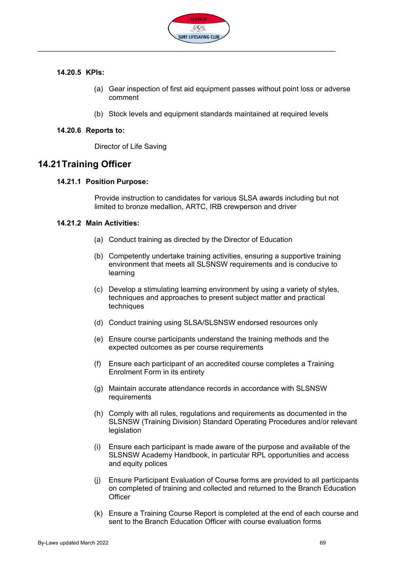

# **14.20.5 KPIs:**

- (a) Gear inspection of first aid equipment passes without point loss or adverse comment
- (b) Stock levels and equipment standards maintained at required levels

## **14.20.6 Reports to:**

Director of Life Saving

# **14.21Training Officer**

## **14.21.1 Position Purpose:**

Provide instruction to candidates for various SLSA awards including but not limited to bronze medallion, ARTC, IRB crewperson and driver

# **14.21.2 Main Activities:**

- (a) Conduct training as directed by the Director of Education
- (b) Competently undertake training activities, ensuring a supportive training environment that meets all SLSNSW requirements and is conducive to learning
- (c) Develop a stimulating learning environment by using a variety of styles, techniques and approaches to present subject matter and practical techniques
- (d) Conduct training using SLSA/SLSNSW endorsed resources only
- (e) Ensure course participants understand the training methods and the expected outcomes as per course requirements
- (f) Ensure each participant of an accredited course completes a Training Enrolment Form in its entirety
- (g) Maintain accurate attendance records in accordance with SLSNSW requirements
- (h) Comply with all rules, regulations and requirements as documented in the SLSNSW (Training Division) Standard Operating Procedures and/or relevant **legislation**
- (i) Ensure each participant is made aware of the purpose and available of the SLSNSW Academy Handbook, in particular RPL opportunities and access and equity polices
- (j) Ensure Participant Evaluation of Course forms are provided to all participants on completed of training and collected and returned to the Branch Education **Officer**
- (k) Ensure a Training Course Report is completed at the end of each course and sent to the Branch Education Officer with course evaluation forms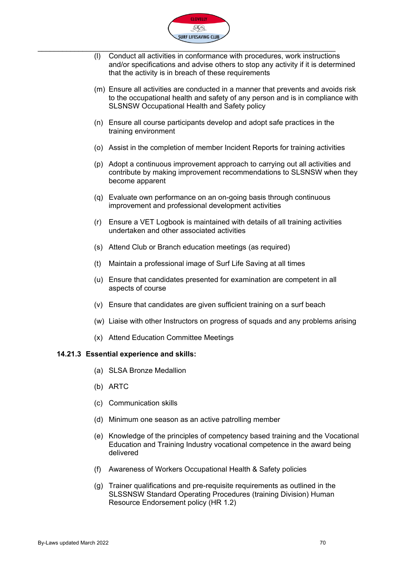

- \_\_\_\_\_\_\_\_\_\_\_\_\_\_\_\_\_\_\_\_\_\_\_\_\_\_\_\_\_\_\_\_\_\_\_\_\_\_\_\_\_\_\_\_\_\_\_\_\_\_\_\_\_\_\_\_\_\_\_\_\_\_\_\_\_\_\_\_\_\_\_\_\_ (l) Conduct all activities in conformance with procedures, work instructions and/or specifications and advise others to stop any activity if it is determined that the activity is in breach of these requirements
	- (m) Ensure all activities are conducted in a manner that prevents and avoids risk to the occupational health and safety of any person and is in compliance with SLSNSW Occupational Health and Safety policy
	- (n) Ensure all course participants develop and adopt safe practices in the training environment
	- (o) Assist in the completion of member Incident Reports for training activities
	- (p) Adopt a continuous improvement approach to carrying out all activities and contribute by making improvement recommendations to SLSNSW when they become apparent
	- (q) Evaluate own performance on an on-going basis through continuous improvement and professional development activities
	- (r) Ensure a VET Logbook is maintained with details of all training activities undertaken and other associated activities
	- (s) Attend Club or Branch education meetings (as required)
	- (t) Maintain a professional image of Surf Life Saving at all times
	- (u) Ensure that candidates presented for examination are competent in all aspects of course
	- (v) Ensure that candidates are given sufficient training on a surf beach
	- (w) Liaise with other Instructors on progress of squads and any problems arising
	- (x) Attend Education Committee Meetings

# **14.21.3 Essential experience and skills:**

- (a) SLSA Bronze Medallion
- (b) ARTC
- (c) Communication skills
- (d) Minimum one season as an active patrolling member
- (e) Knowledge of the principles of competency based training and the Vocational Education and Training Industry vocational competence in the award being delivered
- (f) Awareness of Workers Occupational Health & Safety policies
- (g) Trainer qualifications and pre-requisite requirements as outlined in the SLSSNSW Standard Operating Procedures (training Division) Human Resource Endorsement policy (HR 1.2)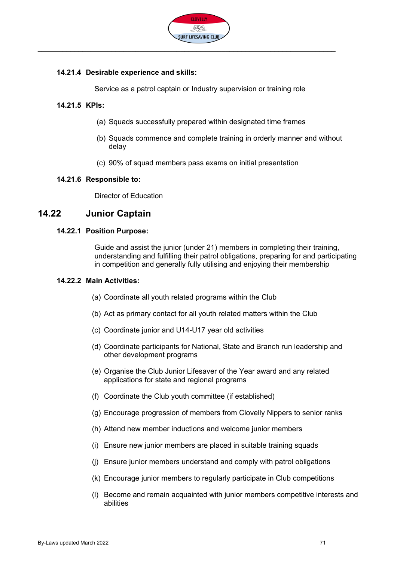

\_\_\_\_\_\_\_\_\_\_\_\_\_\_\_\_\_\_\_\_\_\_\_\_\_\_\_\_\_\_\_\_\_\_\_\_\_\_\_\_\_\_\_\_\_\_\_\_\_\_\_\_\_\_\_\_\_\_\_\_\_\_\_\_\_\_\_\_\_\_\_\_\_

# **14.21.4 Desirable experience and skills:**

Service as a patrol captain or Industry supervision or training role

## **14.21.5 KPIs:**

- (a) Squads successfully prepared within designated time frames
- (b) Squads commence and complete training in orderly manner and without delay
- (c) 90% of squad members pass exams on initial presentation

## **14.21.6 Responsible to:**

Director of Education

# **14.22 Junior Captain**

## **14.22.1 Position Purpose:**

Guide and assist the junior (under 21) members in completing their training, understanding and fulfilling their patrol obligations, preparing for and participating in competition and generally fully utilising and enjoying their membership

## **14.22.2 Main Activities:**

- (a) Coordinate all youth related programs within the Club
- (b) Act as primary contact for all youth related matters within the Club
- (c) Coordinate junior and U14-U17 year old activities
- (d) Coordinate participants for National, State and Branch run leadership and other development programs
- (e) Organise the Club Junior Lifesaver of the Year award and any related applications for state and regional programs
- (f) Coordinate the Club youth committee (if established)
- (g) Encourage progression of members from Clovelly Nippers to senior ranks
- (h) Attend new member inductions and welcome junior members
- (i) Ensure new junior members are placed in suitable training squads
- (j) Ensure junior members understand and comply with patrol obligations
- (k) Encourage junior members to regularly participate in Club competitions
- (l) Become and remain acquainted with junior members competitive interests and abilities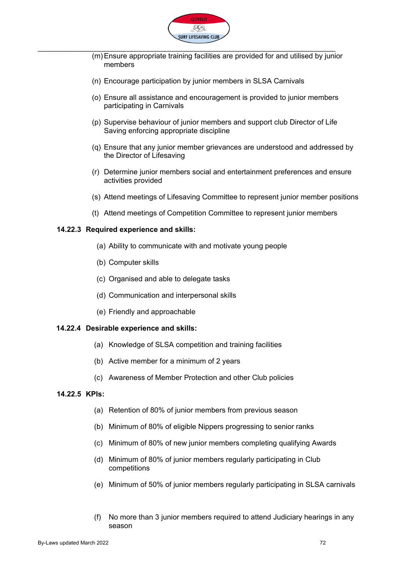

- \_\_\_\_\_\_\_\_\_\_\_\_\_\_\_\_\_\_\_\_\_\_\_\_\_\_\_\_\_\_\_\_\_\_\_\_\_\_\_\_\_\_\_\_\_\_\_\_\_\_\_\_\_\_\_\_\_\_\_\_\_\_\_\_\_\_\_\_\_\_\_\_\_ (m)Ensure appropriate training facilities are provided for and utilised by junior members
	- (n) Encourage participation by junior members in SLSA Carnivals
	- (o) Ensure all assistance and encouragement is provided to junior members participating in Carnivals
	- (p) Supervise behaviour of junior members and support club Director of Life Saving enforcing appropriate discipline
	- (q) Ensure that any junior member grievances are understood and addressed by the Director of Lifesaving
	- (r) Determine junior members social and entertainment preferences and ensure activities provided
	- (s) Attend meetings of Lifesaving Committee to represent junior member positions
	- (t) Attend meetings of Competition Committee to represent junior members

## **14.22.3 Required experience and skills:**

- (a) Ability to communicate with and motivate young people
- (b) Computer skills
- (c) Organised and able to delegate tasks
- (d) Communication and interpersonal skills
- (e) Friendly and approachable

## **14.22.4 Desirable experience and skills:**

- (a) Knowledge of SLSA competition and training facilities
- (b) Active member for a minimum of 2 years
- (c) Awareness of Member Protection and other Club policies

## **14.22.5 KPIs:**

- (a) Retention of 80% of junior members from previous season
- (b) Minimum of 80% of eligible Nippers progressing to senior ranks
- (c) Minimum of 80% of new junior members completing qualifying Awards
- (d) Minimum of 80% of junior members regularly participating in Club competitions
- (e) Minimum of 50% of junior members regularly participating in SLSA carnivals
- (f) No more than 3 junior members required to attend Judiciary hearings in any season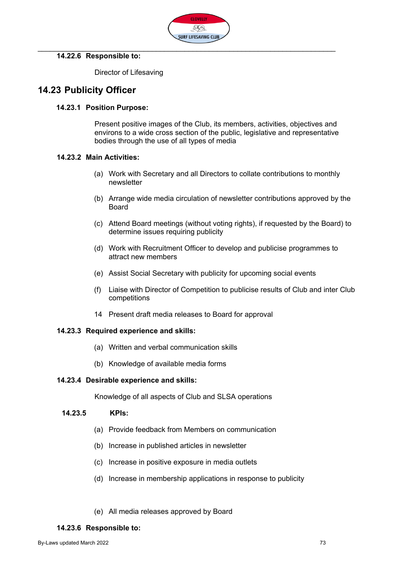

#### \_\_\_\_\_\_\_\_\_\_\_\_\_\_\_\_\_\_\_\_\_\_\_\_\_\_\_\_\_\_\_\_\_\_\_\_\_\_\_\_\_\_\_\_\_\_\_\_\_\_\_\_\_\_\_\_\_\_\_\_\_\_\_\_\_\_\_\_\_\_\_\_\_ **14.22.6 Responsible to:**

Director of Lifesaving

## **14.23 Publicity Officer**

## **14.23.1 Position Purpose:**

Present positive images of the Club, its members, activities, objectives and environs to a wide cross section of the public, legislative and representative bodies through the use of all types of media

## **14.23.2 Main Activities:**

- (a) Work with Secretary and all Directors to collate contributions to monthly newsletter
- (b) Arrange wide media circulation of newsletter contributions approved by the Board
- (c) Attend Board meetings (without voting rights), if requested by the Board) to determine issues requiring publicity
- (d) Work with Recruitment Officer to develop and publicise programmes to attract new members
- (e) Assist Social Secretary with publicity for upcoming social events
- (f) Liaise with Director of Competition to publicise results of Club and inter Club competitions
- 14 Present draft media releases to Board for approval

### **14.23.3 Required experience and skills:**

- (a) Written and verbal communication skills
- (b) Knowledge of available media forms

### **14.23.4 Desirable experience and skills:**

Knowledge of all aspects of Club and SLSA operations

### **14.23.5 KPIs:**

- (a) Provide feedback from Members on communication
- (b) Increase in published articles in newsletter
- (c) Increase in positive exposure in media outlets
- (d) Increase in membership applications in response to publicity
- (e) All media releases approved by Board

### **14.23.6 Responsible to:**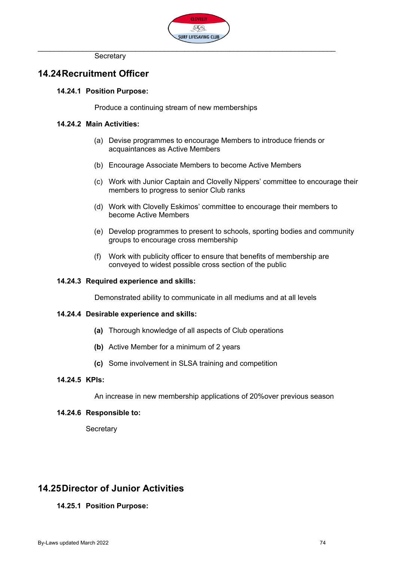

**Secretary** 

## **14.24Recruitment Officer**

### **14.24.1 Position Purpose:**

Produce a continuing stream of new memberships

### **14.24.2 Main Activities:**

- (a) Devise programmes to encourage Members to introduce friends or acquaintances as Active Members
- (b) Encourage Associate Members to become Active Members
- (c) Work with Junior Captain and Clovelly Nippers' committee to encourage their members to progress to senior Club ranks
- (d) Work with Clovelly Eskimos' committee to encourage their members to become Active Members
- (e) Develop programmes to present to schools, sporting bodies and community groups to encourage cross membership
- (f) Work with publicity officer to ensure that benefits of membership are conveyed to widest possible cross section of the public

#### **14.24.3 Required experience and skills:**

Demonstrated ability to communicate in all mediums and at all levels

#### **14.24.4 Desirable experience and skills:**

- **(a)** Thorough knowledge of all aspects of Club operations
- **(b)** Active Member for a minimum of 2 years
- **(c)** Some involvement in SLSA training and competition

### **14.24.5 KPIs:**

An increase in new membership applications of 20%over previous season

#### **14.24.6 Responsible to:**

**Secretary** 

## **14.25Director of Junior Activities**

### **14.25.1 Position Purpose:**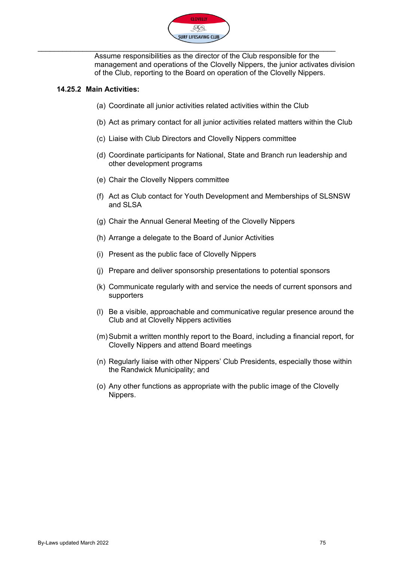

\_\_\_\_\_\_\_\_\_\_\_\_\_\_\_\_\_\_\_\_\_\_\_\_\_\_\_\_\_\_\_\_\_\_\_\_\_\_\_\_\_\_\_\_\_\_\_\_\_\_\_\_\_\_\_\_\_\_\_\_\_\_\_\_\_\_\_\_\_\_\_\_\_ Assume responsibilities as the director of the Club responsible for the management and operations of the Clovelly Nippers, the junior activates division of the Club, reporting to the Board on operation of the Clovelly Nippers.

#### **14.25.2 Main Activities:**

- (a) Coordinate all junior activities related activities within the Club
- (b) Act as primary contact for all junior activities related matters within the Club
- (c) Liaise with Club Directors and Clovelly Nippers committee
- (d) Coordinate participants for National, State and Branch run leadership and other development programs
- (e) Chair the Clovelly Nippers committee
- (f) Act as Club contact for Youth Development and Memberships of SLSNSW and SLSA
- (g) Chair the Annual General Meeting of the Clovelly Nippers
- (h) Arrange a delegate to the Board of Junior Activities
- (i) Present as the public face of Clovelly Nippers
- (j) Prepare and deliver sponsorship presentations to potential sponsors
- (k) Communicate regularly with and service the needs of current sponsors and supporters
- (l) Be a visible, approachable and communicative regular presence around the Club and at Clovelly Nippers activities
- (m)Submit a written monthly report to the Board, including a financial report, for Clovelly Nippers and attend Board meetings
- (n) Regularly liaise with other Nippers' Club Presidents, especially those within the Randwick Municipality; and
- (o) Any other functions as appropriate with the public image of the Clovelly Nippers.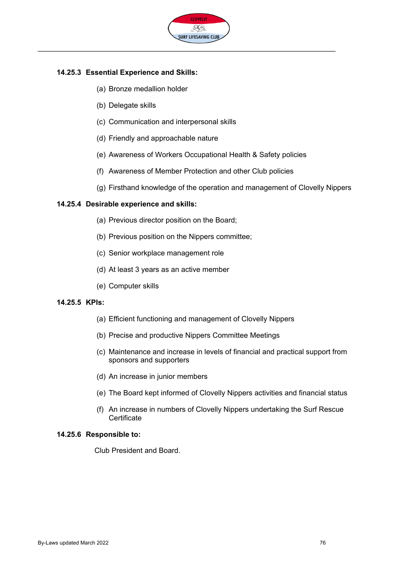

\_\_\_\_\_\_\_\_\_\_\_\_\_\_\_\_\_\_\_\_\_\_\_\_\_\_\_\_\_\_\_\_\_\_\_\_\_\_\_\_\_\_\_\_\_\_\_\_\_\_\_\_\_\_\_\_\_\_\_\_\_\_\_\_\_\_\_\_\_\_\_\_\_

#### **14.25.3 Essential Experience and Skills:**

- (a) Bronze medallion holder
- (b) Delegate skills
- (c) Communication and interpersonal skills
- (d) Friendly and approachable nature
- (e) Awareness of Workers Occupational Health & Safety policies
- (f) Awareness of Member Protection and other Club policies
- (g) Firsthand knowledge of the operation and management of Clovelly Nippers

#### **14.25.4 Desirable experience and skills:**

- (a) Previous director position on the Board;
- (b) Previous position on the Nippers committee;
- (c) Senior workplace management role
- (d) At least 3 years as an active member
- (e) Computer skills

### **14.25.5 KPIs:**

- (a) Efficient functioning and management of Clovelly Nippers
- (b) Precise and productive Nippers Committee Meetings
- (c) Maintenance and increase in levels of financial and practical support from sponsors and supporters
- (d) An increase in junior members
- (e) The Board kept informed of Clovelly Nippers activities and financial status
- (f) An increase in numbers of Clovelly Nippers undertaking the Surf Rescue **Certificate**

#### **14.25.6 Responsible to:**

Club President and Board.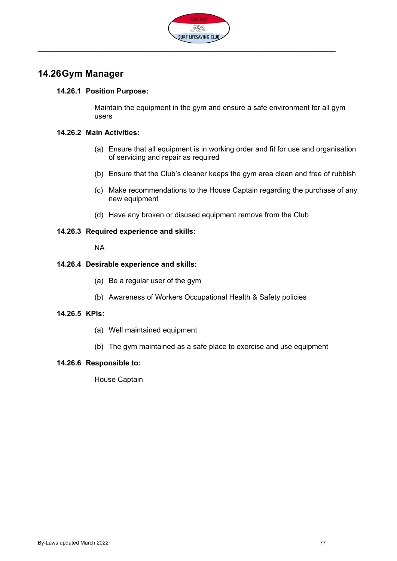

## **14.26Gym Manager**

### **14.26.1 Position Purpose:**

Maintain the equipment in the gym and ensure a safe environment for all gym users

### **14.26.2 Main Activities:**

- (a) Ensure that all equipment is in working order and fit for use and organisation of servicing and repair as required
- (b) Ensure that the Club's cleaner keeps the gym area clean and free of rubbish
- (c) Make recommendations to the House Captain regarding the purchase of any new equipment
- (d) Have any broken or disused equipment remove from the Club

## **14.26.3 Required experience and skills:**

NA

## **14.26.4 Desirable experience and skills:**

- (a) Be a regular user of the gym
- (b) Awareness of Workers Occupational Health & Safety policies

### **14.26.5 KPIs:**

- (a) Well maintained equipment
- (b) The gym maintained as a safe place to exercise and use equipment

### **14.26.6 Responsible to:**

House Captain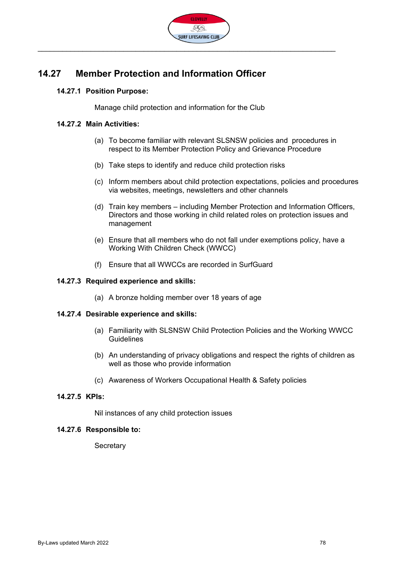

## **14.27 Member Protection and Information Officer**

### **14.27.1 Position Purpose:**

Manage child protection and information for the Club

#### **14.27.2 Main Activities:**

- (a) To become familiar with relevant SLSNSW policies and procedures in respect to its Member Protection Policy and Grievance Procedure
- (b) Take steps to identify and reduce child protection risks
- (c) Inform members about child protection expectations, policies and procedures via websites, meetings, newsletters and other channels
- (d) Train key members including Member Protection and Information Officers, Directors and those working in child related roles on protection issues and management
- (e) Ensure that all members who do not fall under exemptions policy, have a Working With Children Check (WWCC)
- (f) Ensure that all WWCCs are recorded in SurfGuard

#### **14.27.3 Required experience and skills:**

(a) A bronze holding member over 18 years of age

#### **14.27.4 Desirable experience and skills:**

- (a) Familiarity with SLSNSW Child Protection Policies and the Working WWCC **Guidelines**
- (b) An understanding of privacy obligations and respect the rights of children as well as those who provide information
- (c) Awareness of Workers Occupational Health & Safety policies

#### **14.27.5 KPIs:**

Nil instances of any child protection issues

#### **14.27.6 Responsible to:**

**Secretary**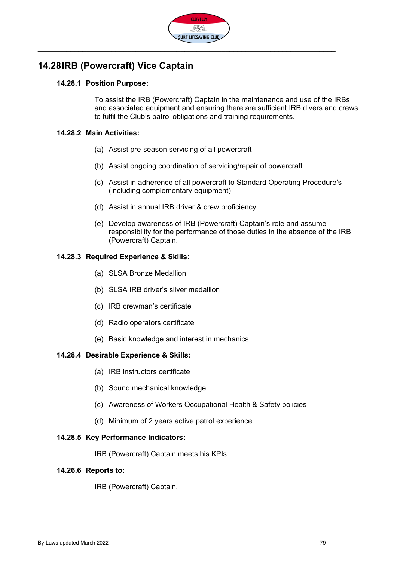

\_\_\_\_\_\_\_\_\_\_\_\_\_\_\_\_\_\_\_\_\_\_\_\_\_\_\_\_\_\_\_\_\_\_\_\_\_\_\_\_\_\_\_\_\_\_\_\_\_\_\_\_\_\_\_\_\_\_\_\_\_\_\_\_\_\_\_\_\_\_\_\_\_

## **14.28IRB (Powercraft) Vice Captain**

## **14.28.1 Position Purpose:**

To assist the IRB (Powercraft) Captain in the maintenance and use of the IRBs and associated equipment and ensuring there are sufficient IRB divers and crews to fulfil the Club's patrol obligations and training requirements.

### **14.28.2 Main Activities:**

- (a) Assist pre-season servicing of all powercraft
- (b) Assist ongoing coordination of servicing/repair of powercraft
- (c) Assist in adherence of all powercraft to Standard Operating Procedure's (including complementary equipment)
- (d) Assist in annual IRB driver & crew proficiency
- (e) Develop awareness of IRB (Powercraft) Captain's role and assume responsibility for the performance of those duties in the absence of the IRB (Powercraft) Captain.

### **14.28.3 Required Experience & Skills**:

- (a) SLSA Bronze Medallion
- (b) SLSA IRB driver's silver medallion
- (c) IRB crewman¶s certificate
- (d) Radio operators certificate
- (e) Basic knowledge and interest in mechanics

### **14.28.4 Desirable Experience & Skills:**

- (a) IRB instructors certificate
- (b) Sound mechanical knowledge
- (c) Awareness of Workers Occupational Health & Safety policies
- (d) Minimum of 2 years active patrol experience

#### **14.28.5 Key Performance Indicators:**

IRB (Powercraft) Captain meets his KPIs

### **14.26.6 Reports to:**

IRB (Powercraft) Captain.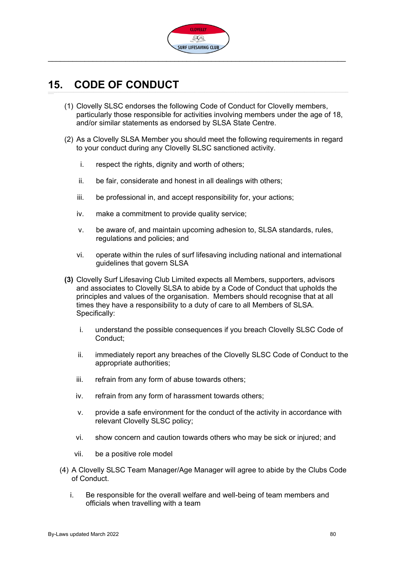

 $\_$  , and the set of the set of the set of the set of the set of the set of the set of the set of the set of the set of the set of the set of the set of the set of the set of the set of the set of the set of the set of th

\_\_\_\_\_\_\_\_\_\_\_\_\_\_\_\_\_\_\_\_\_\_\_\_\_\_\_\_\_\_\_\_\_\_\_\_\_\_\_\_\_\_\_\_\_\_\_\_\_\_\_\_\_\_\_\_\_\_\_\_\_\_\_\_\_\_\_\_\_\_\_\_\_\_\_\_\_\_\_\_\_\_\_\_\_\_\_\_\_\_\_\_\_\_\_\_\_\_\_\_\_\_\_\_\_\_\_\_\_\_\_\_\_\_\_\_\_\_\_\_\_\_\_\_\_\_\_\_\_\_\_\_\_\_\_\_\_\_\_\_\_\_\_\_\_\_\_\_\_\_\_\_\_\_\_\_\_\_\_\_\_\_\_\_\_\_\_\_\_\_\_\_\_\_\_\_\_\_\_\_\_\_\_\_\_\_\_\_\_\_\_\_\_\_\_\_\_\_\_\_\_\_\_\_\_\_\_\_\_\_\_\_\_\_\_\_\_\_\_\_\_\_\_\_\_\_\_\_\_\_\_\_\_\_\_\_\_\_\_\_\_\_\_\_\_\_\_\_\_\_\_\_\_\_\_\_\_\_\_\_\_\_\_\_\_\_\_\_\_\_\_\_\_\_\_\_\_\_\_\_\_\_\_\_\_\_\_\_\_\_\_\_\_\_\_\_\_\_\_\_\_\_\_\_\_\_\_\_\_\_\_\_\_\_\_\_\_\_\_\_\_\_\_\_\_\_\_\_\_\_\_\_\_\_\_\_\_\_\_\_\_\_\_\_\_\_\_\_\_\_\_\_\_\_\_\_\_\_\_\_\_\_\_\_\_\_\_\_\_\_\_\_\_\_\_\_\_\_\_\_\_\_\_\_\_\_\_\_\_\_\_\_\_\_\_\_\_\_\_\_\_\_\_\_\_

# **15. CODE OF CONDUCT**

 $\overline{\phantom{a}}$ 

- (1) Clovelly SLSC endorses the following Code of Conduct for Clovelly members, particularly those responsible for activities involving members under the age of 18, and/or similar statements as endorsed by SLSA State Centre.
- (2) As a Clovelly SLSA Member you should meet the following requirements in regard to your conduct during any Clovelly SLSC sanctioned activity.
	- i. respect the rights, dignity and worth of others;
	- ii. be fair, considerate and honest in all dealings with others;
	- iii. be professional in, and accept responsibility for, your actions;
	- iv. make a commitment to provide quality service;
	- v. be aware of, and maintain upcoming adhesion to, SLSA standards, rules, regulations and policies; and
	- vi. operate within the rules of surf lifesaving including national and international guidelines that govern SLSA
- **(3)** Clovelly Surf Lifesaving Club Limited expects all Members, supporters, advisors and associates to Clovelly SLSA to abide by a Code of Conduct that upholds the principles and values of the organisation. Members should recognise that at all times they have a responsibility to a duty of care to all Members of SLSA. Specifically:
	- i. understand the possible consequences if you breach Clovelly SLSC Code of Conduct;
	- ii. immediately report any breaches of the Clovelly SLSC Code of Conduct to the appropriate authorities;
	- iii. refrain from any form of abuse towards others;
	- iv. refrain from any form of harassment towards others;
	- v. provide a safe environment for the conduct of the activity in accordance with relevant Clovelly SLSC policy;
	- vi. show concern and caution towards others who may be sick or injured; and
	- vii. be a positive role model
- (4) A Clovelly SLSC Team Manager/Age Manager will agree to abide by the Clubs Code of Conduct.
	- i. Be responsible for the overall welfare and well-being of team members and officials when travelling with a team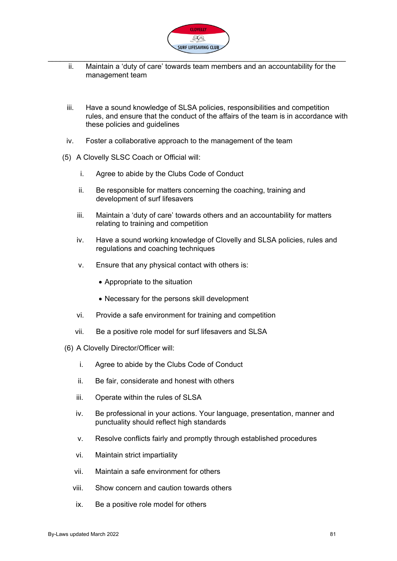

- $\_$  , and the set of the set of the set of the set of the set of the set of the set of the set of the set of the set of the set of the set of the set of the set of the set of the set of the set of the set of the set of th ii. Maintain a 'duty of care' towards team members and an accountability for the management team
	- iii. Have a sound knowledge of SLSA policies, responsibilities and competition rules, and ensure that the conduct of the affairs of the team is in accordance with these policies and guidelines
	- iv. Foster a collaborative approach to the management of the team
	- (5) A Clovelly SLSC Coach or Official will:
		- i. Agree to abide by the Clubs Code of Conduct
		- ii. Be responsible for matters concerning the coaching, training and development of surf lifesavers
		- iii. Maintain a 'duty of care' towards others and an accountability for matters relating to training and competition
		- iv. Have a sound working knowledge of Clovelly and SLSA policies, rules and regulations and coaching techniques
		- v. Ensure that any physical contact with others is:
			- Appropriate to the situation
			- Necessary for the persons skill development
		- vi. Provide a safe environment for training and competition
		- vii. Be a positive role model for surf lifesavers and SLSA
	- (6) A Clovelly Director/Officer will:
		- i. Agree to abide by the Clubs Code of Conduct
		- ii. Be fair, considerate and honest with others
		- iii. Operate within the rules of SLSA
		- iv. Be professional in your actions. Your language, presentation, manner and punctuality should reflect high standards
		- v. Resolve conflicts fairly and promptly through established procedures
		- vi. Maintain strict impartiality
		- vii. Maintain a safe environment for others
		- viii. Show concern and caution towards others
		- ix. Be a positive role model for others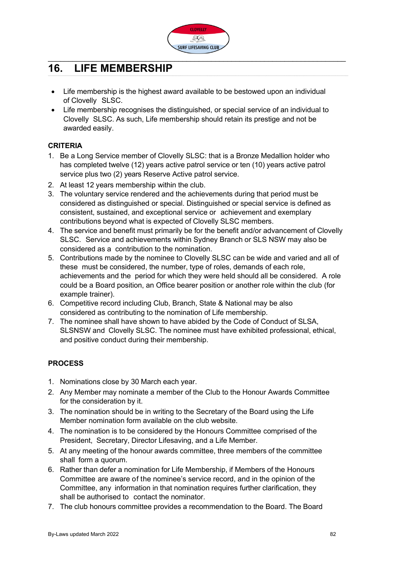

\_\_\_\_\_\_\_\_\_\_\_\_\_\_\_\_\_\_\_\_\_\_\_\_\_\_\_\_\_\_\_\_\_\_\_\_\_\_\_\_\_\_\_\_\_\_\_\_\_\_\_\_\_\_\_\_\_\_\_\_\_\_\_\_\_\_\_\_\_\_\_\_\_\_\_\_\_\_\_\_\_\_\_\_\_\_\_\_\_\_\_\_\_\_\_\_\_\_\_\_\_\_\_\_\_\_\_\_\_\_\_\_\_\_\_\_\_\_\_\_\_\_\_\_\_\_\_\_\_\_\_\_\_\_\_\_\_\_\_\_\_\_\_\_\_\_\_\_\_\_\_\_\_\_\_\_\_\_\_\_\_\_\_\_\_\_\_\_\_\_\_\_\_\_\_\_\_\_\_\_\_\_\_\_\_\_\_\_\_\_\_\_\_\_\_\_\_\_\_\_\_\_\_\_\_\_\_\_\_\_\_\_\_\_\_\_\_\_\_\_\_\_\_\_\_\_\_\_\_\_\_\_\_\_\_\_\_\_\_\_\_\_\_\_\_\_\_\_\_\_\_\_\_\_\_\_\_\_\_\_\_\_\_\_\_\_\_\_\_\_\_\_\_\_\_\_\_\_\_\_\_\_\_\_\_\_\_\_\_\_\_\_\_\_\_\_\_\_\_\_\_\_\_\_\_\_\_\_\_\_\_\_\_\_\_\_\_\_\_\_\_\_\_\_\_\_\_\_\_

#### $\_$  , and the set of the set of the set of the set of the set of the set of the set of the set of the set of the set of the set of the set of the set of the set of the set of the set of the set of the set of the set of th **16. LIFE MEMBERSHIP**

- Life membership is the highest award available to be bestowed upon an individual of Clovelly SLSC.
- Life membership recognises the distinguished, or special service of an individual to Clovelly SLSC. As such, Life membership should retain its prestige and not be awarded easily.

## **CRITERIA**

\_\_\_\_\_\_\_\_\_\_\_\_\_\_\_\_\_\_\_\_\_\_\_\_\_\_\_\_\_\_\_\_\_\_\_\_\_\_\_\_\_\_\_\_\_\_\_\_\_\_\_\_\_\_\_\_\_\_\_\_\_\_\_\_\_\_\_\_\_\_\_\_\_\_\_\_

- 1. Be a Long Service member of Clovelly SLSC: that is a Bronze Medallion holder who has completed twelve (12) years active patrol service or ten (10) years active patrol service plus two (2) years Reserve Active patrol service.
- 2. At least 12 years membership within the club.
- 3. The voluntary service rendered and the achievements during that period must be considered as distinguished or special. Distinguished or special service is defined as consistent, sustained, and exceptional service or achievement and exemplary contributions beyond what is expected of Clovelly SLSC members.
- 4. The service and benefit must primarily be for the benefit and/or advancement of Clovelly SLSC. Service and achievements within Sydney Branch or SLS NSW may also be considered as a contribution to the nomination.
- 5. Contributions made by the nominee to Clovelly SLSC can be wide and varied and all of these must be considered, the number, type of roles, demands of each role, achievements and the period for which they were held should all be considered. A role could be a Board position, an Office bearer position or another role within the club (for example trainer).
- 6. Competitive record including Club, Branch, State & National may be also considered as contributing to the nomination of Life membership.
- 7. The nominee shall have shown to have abided by the Code of Conduct of SLSA, SLSNSW and Clovelly SLSC. The nominee must have exhibited professional, ethical, and positive conduct during their membership.

## **PROCESS**

- 1. Nominations close by 30 March each year.
- 2. Any Member may nominate a member of the Club to the Honour Awards Committee for the consideration by it.
- 3. The nomination should be in writing to the Secretary of the Board using the Life Member nomination form available on the club website.
- 4. The nomination is to be considered by the Honours Committee comprised of the President, Secretary, Director Lifesaving, and a Life Member.
- 5. At any meeting of the honour awards committee, three members of the committee shall form a quorum.
- 6. Rather than defer a nomination for Life Membership, if Members of the Honours Committee are aware of the nominee's service record, and in the opinion of the Committee, any information in that nomination requires further clarification, they shall be authorised to contact the nominator.
- 7. The club honours committee provides a recommendation to the Board. The Board